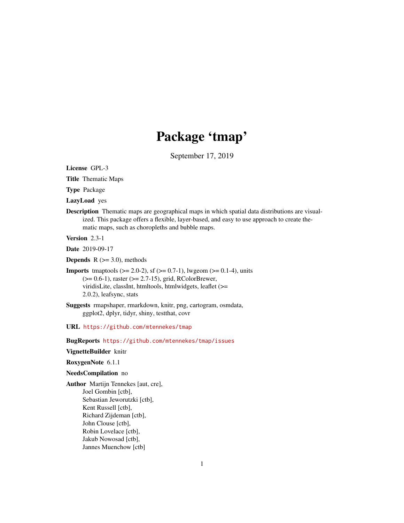# Package 'tmap'

September 17, 2019

<span id="page-0-0"></span>License GPL-3

Title Thematic Maps

Type Package

LazyLoad yes

Description Thematic maps are geographical maps in which spatial data distributions are visualized. This package offers a flexible, layer-based, and easy to use approach to create thematic maps, such as choropleths and bubble maps.

Version 2.3-1

Date 2019-09-17

**Depends** R  $(>= 3.0)$ , methods

**Imports** tmaptools ( $>= 2.0-2$ ), sf ( $>= 0.7-1$ ), lwgeom ( $>= 0.1-4$ ), units (>= 0.6-1), raster (>= 2.7-15), grid, RColorBrewer, viridisLite, classInt, htmltools, htmlwidgets, leaflet (>= 2.0.2), leafsync, stats

Suggests rmapshaper, rmarkdown, knitr, png, cartogram, osmdata, ggplot2, dplyr, tidyr, shiny, testthat, covr

URL <https://github.com/mtennekes/tmap>

BugReports <https://github.com/mtennekes/tmap/issues>

#### VignetteBuilder knitr

RoxygenNote 6.1.1

#### NeedsCompilation no

Author Martijn Tennekes [aut, cre], Joel Gombin [ctb], Sebastian Jeworutzki [ctb], Kent Russell [ctb], Richard Zijdeman [ctb], John Clouse [ctb], Robin Lovelace [ctb], Jakub Nowosad [ctb], Jannes Muenchow [ctb]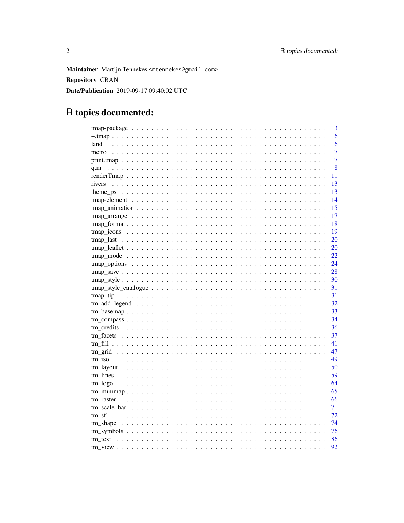Maintainer Martijn Tennekes <mtennekes@gmail.com> **Repository CRAN** Date/Publication 2019-09-17 09:40:02 UTC

# R topics documented:

|         | 3              |
|---------|----------------|
|         | 6              |
|         | 6              |
| metro   | $\overline{7}$ |
|         | $\overline{7}$ |
|         | 8              |
|         | 11             |
| rivers  | 13             |
|         | 13             |
|         | 14             |
|         | 15             |
|         | 17             |
|         | 18             |
|         | 19             |
|         | 20             |
|         | 20             |
|         | 22             |
|         | 24             |
|         | 28             |
|         | 30             |
|         | 31             |
|         | 31             |
|         | 32             |
|         | 33             |
|         | 34             |
|         | 36             |
|         | 37             |
|         | 41             |
|         | 47             |
|         | 49             |
|         | 50             |
|         | 59             |
|         | 64             |
|         | 65             |
|         | 66             |
|         | 71             |
| tm sf   | 72             |
|         | 74             |
|         | 76             |
| tm text | 86             |
|         | 92             |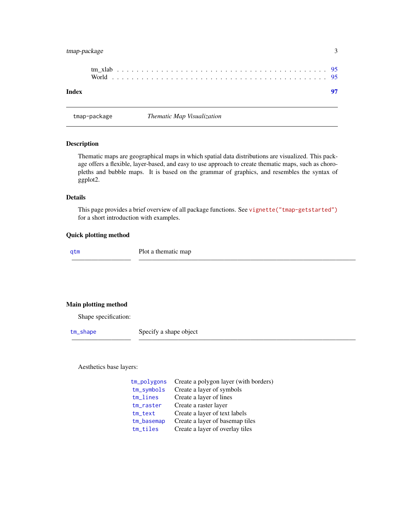# <span id="page-2-0"></span>tmap-package 3

| Index |  |  |  |  |  |  |  |  |  |  |  |  |  |  |  |  |  |  |  |  |
|-------|--|--|--|--|--|--|--|--|--|--|--|--|--|--|--|--|--|--|--|--|
|       |  |  |  |  |  |  |  |  |  |  |  |  |  |  |  |  |  |  |  |  |

tmap-package *Thematic Map Visualization*

# <span id="page-2-1"></span>Description

Thematic maps are geographical maps in which spatial data distributions are visualized. This package offers a flexible, layer-based, and easy to use approach to create thematic maps, such as choropleths and bubble maps. It is based on the grammar of graphics, and resembles the syntax of ggplot2.

#### Details

This page provides a brief overview of all package functions. See [vignette\("tmap-getstarted"\)](../doc/tmap-getstarted.html) for a short introduction with examples.

————————— —————————————————————————————————

————————— —————————————————————————————————

#### Quick plotting method

[qtm](#page-7-1) Plot a thematic map

# Main plotting method

Shape specification:

[tm\\_shape](#page-73-1) Specify a shape object

Aesthetics base layers:

| tm_polygons   | Create a polygon layer (with borders) |
|---------------|---------------------------------------|
| $tm$ _symbols | Create a layer of symbols             |
| tm_lines      | Create a layer of lines               |
| tm_raster     | Create a raster layer                 |
| $tm\_text$    | Create a layer of text labels         |
| tm_basemap    | Create a layer of basemap tiles       |
| tm_tiles      | Create a layer of overlay tiles       |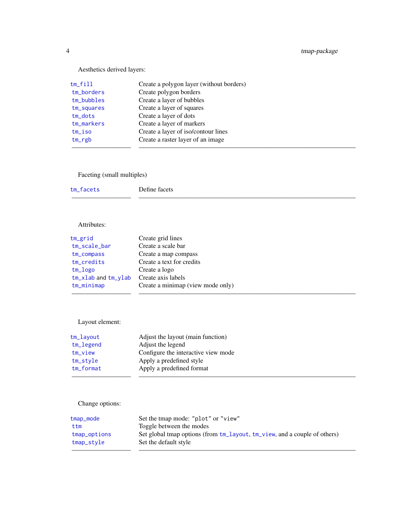Aesthetics derived layers:

| tm_fill      | Create a polygon layer (without borders) |
|--------------|------------------------------------------|
| tm_borders   | Create polygon borders                   |
| $tm_bubbles$ | Create a layer of bubbles                |
| tm_squares   | Create a layer of squares                |
| $tm\_dots$   | Create a layer of dots                   |
| tm_markers   | Create a layer of markers                |
| $tm$ iso     | Create a layer of iso/contour lines      |
| $tm_{rgb}$   | Create a raster layer of an image        |
|              |                                          |

# Faceting (small multiples)

| tm_facets | Define facets |
|-----------|---------------|
|           |               |

# Attributes:

| tm_grid                   | Create grid lines                 |
|---------------------------|-----------------------------------|
| tm_scale_bar              | Create a scale bar                |
| tm_compass                | Create a map compass              |
| tm_credits                | Create a text for credits         |
| tm_logo                   | Create a logo                     |
| $tm_x$ lab and $tm_y$ lab | Create axis labels                |
| tm_minimap                | Create a minimap (view mode only) |
|                           |                                   |

# Layout element:

| tm_layout   | Adjust the layout (main function)   |  |
|-------------|-------------------------------------|--|
| tm_legend   | Adjust the legend                   |  |
| tm_view     | Configure the interactive view mode |  |
| tm_style    | Apply a predefined style            |  |
| $tm_format$ | Apply a predefined format           |  |
|             |                                     |  |

# Change options:

| tmap_mode    | Set the tmap mode: "plot" or "view"                                       |
|--------------|---------------------------------------------------------------------------|
| ttm          | Toggle between the modes                                                  |
| tmap_options | Set global tmap options (from tm_layout, tm_view, and a couple of others) |
| tmap_style   | Set the default style                                                     |
|              |                                                                           |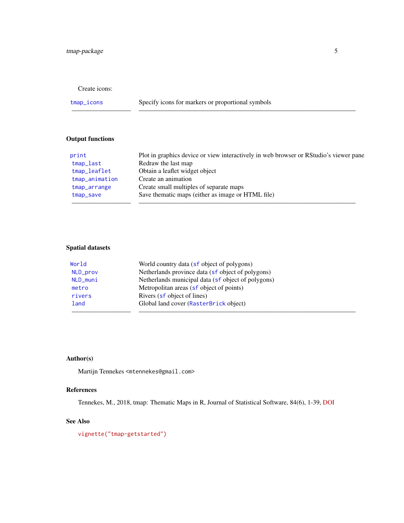# Create icons:

[tmap\\_icons](#page-18-1) Specify icons for markers or proportional symbols

————————— —————————————————————————————————

# Output functions

| print          | Plot in graphics device or view interactively in web browser or RStudio's viewer pane |
|----------------|---------------------------------------------------------------------------------------|
| tmap_last      | Redraw the last map                                                                   |
| tmap_leaflet   | Obtain a leaflet widget object                                                        |
| tmap_animation | Create an animation                                                                   |
| tmap_arrange   | Create small multiples of separate maps                                               |
| tmap_save      | Save thematic maps (either as image or HTML file)                                     |
|                |                                                                                       |

# Spatial datasets

| World    | World country data (sf object of polygons)         |
|----------|----------------------------------------------------|
| NLD_prov | Netherlands province data (sf object of polygons)  |
| NLD_muni | Netherlands municipal data (sf object of polygons) |
| metro    | Metropolitan areas (sf object of points)           |
| rivers   | Rivers (sf object of lines)                        |
| land     | Global land cover (RasterBrick object)             |
|          |                                                    |

# Author(s)

Martijn Tennekes <mtennekes@gmail.com>

# References

Tennekes, M., 2018, tmap: Thematic Maps in R, Journal of Statistical Software, 84(6), 1-39, [DOI](https://doi.org/10.18637/jss.v084.i06)

# See Also

[vignette\("tmap-getstarted"\)](../doc/tmap-getstarted.html)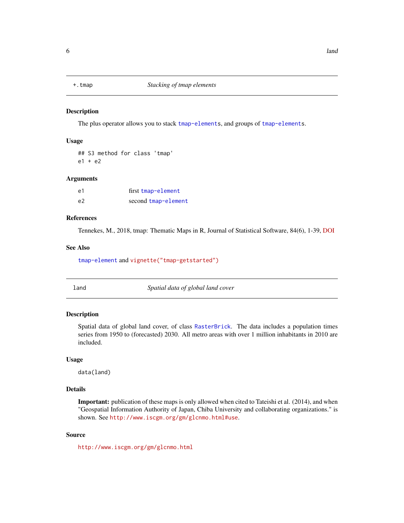<span id="page-5-0"></span>

#### Description

The plus operator allows you to stack [tmap-elements](#page-13-1), and groups of [tmap-elements](#page-13-1).

#### Usage

## S3 method for class 'tmap' e1 + e2

#### Arguments

| e1 | first tmap-element  |
|----|---------------------|
| e2 | second tmap-element |

# References

Tennekes, M., 2018, tmap: Thematic Maps in R, Journal of Statistical Software, 84(6), 1-39, [DOI](https://doi.org/10.18637/jss.v084.i06)

# See Also

[tmap-element](#page-13-1) and [vignette\("tmap-getstarted"\)](../doc/tmap-getstarted.html)

<span id="page-5-1"></span>land *Spatial data of global land cover*

# Description

Spatial data of global land cover, of class [RasterBrick](#page-0-0). The data includes a population times series from 1950 to (forecasted) 2030. All metro areas with over 1 million inhabitants in 2010 are included.

# Usage

data(land)

# Details

Important: publication of these maps is only allowed when cited to Tateishi et al. (2014), and when "Geospatial Information Authority of Japan, Chiba University and collaborating organizations." is shown. See <http://www.iscgm.org/gm/glcnmo.html#use>.

#### Source

<http://www.iscgm.org/gm/glcnmo.html>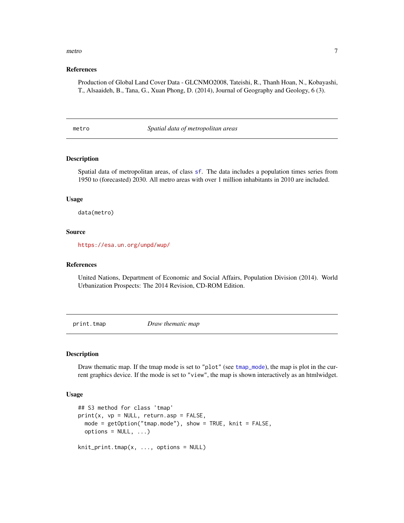#### <span id="page-6-0"></span>metro  $\frac{7}{3}$

#### References

Production of Global Land Cover Data - GLCNMO2008, Tateishi, R., Thanh Hoan, N., Kobayashi, T., Alsaaideh, B., Tana, G., Xuan Phong, D. (2014), Journal of Geography and Geology, 6 (3).

<span id="page-6-1"></span>metro *Spatial data of metropolitan areas*

#### Description

Spatial data of metropolitan areas, of class [sf](#page-0-0). The data includes a population times series from 1950 to (forecasted) 2030. All metro areas with over 1 million inhabitants in 2010 are included.

#### Usage

data(metro)

# Source

<https://esa.un.org/unpd/wup/>

#### References

United Nations, Department of Economic and Social Affairs, Population Division (2014). World Urbanization Prospects: The 2014 Revision, CD-ROM Edition.

<span id="page-6-2"></span>print.tmap *Draw thematic map*

#### Description

Draw thematic map. If the tmap mode is set to "plot" (see [tmap\\_mode](#page-21-1)), the map is plot in the current graphics device. If the mode is set to "view", the map is shown interactively as an htmlwidget.

#### Usage

```
## S3 method for class 'tmap'
print(x, vp = NULL, return.argv = FALSE,mode = getOption("tmap.mode"), show = TRUE, knit = FALSE,
 options = NULL, ...)knit_print.tmap(x, ..., options = NULL)
```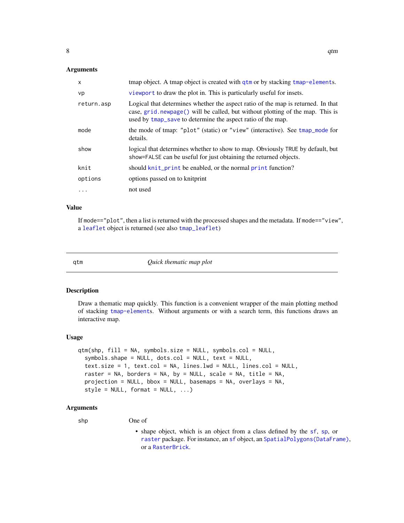#### <span id="page-7-0"></span>Arguments

| X          | tmap object. A tmap object is created with qtm or by stacking tmap-elements.                                                                                                                                                     |
|------------|----------------------------------------------------------------------------------------------------------------------------------------------------------------------------------------------------------------------------------|
| vp         | viewport to draw the plot in. This is particularly useful for insets.                                                                                                                                                            |
| return.asp | Logical that determines whether the aspect ratio of the map is returned. In that<br>case, grid.newpage() will be called, but without plotting of the map. This is<br>used by tmap_save to determine the aspect ratio of the map. |
| mode       | the mode of tmap: "plot" (static) or "view" (interactive). See tmap_mode for<br>details.                                                                                                                                         |
| show       | logical that determines whether to show to map. Obviously TRUE by default, but<br>show=FALSE can be useful for just obtaining the returned objects.                                                                              |
| knit       | should knit_print be enabled, or the normal print function?                                                                                                                                                                      |
| options    | options passed on to knitprint                                                                                                                                                                                                   |
| $\ddotsc$  | not used                                                                                                                                                                                                                         |

# Value

If mode=="plot", then a list is returned with the processed shapes and the metadata. If mode=="view", a [leaflet](#page-0-0) object is returned (see also [tmap\\_leaflet](#page-19-2))

<span id="page-7-1"></span>

qtm *Quick thematic map plot*

# Description

Draw a thematic map quickly. This function is a convenient wrapper of the main plotting method of stacking [tmap-element](#page-13-1)s. Without arguments or with a search term, this functions draws an interactive map.

#### Usage

```
qtm(shp, fill = NA, symbols.size = NULL, symbols,col = NULL,symbols.shape = NULL, dots.col = NULL, text = NULL,
  text.size = 1, text.col = NA, lines.lwd = NULL, lines.col = NULL,
  raster = NA, borders = NA, by = NULL, scale = NA, title = NA,
 projection = NULL, bbox = NULL, basemaps = NA, overlays = NA,
  style = NULL, format = NULL, ...
```
- shp One of
	- shape object, which is an object from a class defined by the [sf](#page-0-0), [sp](#page-0-0), or [raster](#page-0-0) package. For instance, an [sf](#page-0-0) object, an [SpatialPolygons\(DataFrame\)](#page-0-0), or a [RasterBrick](#page-0-0).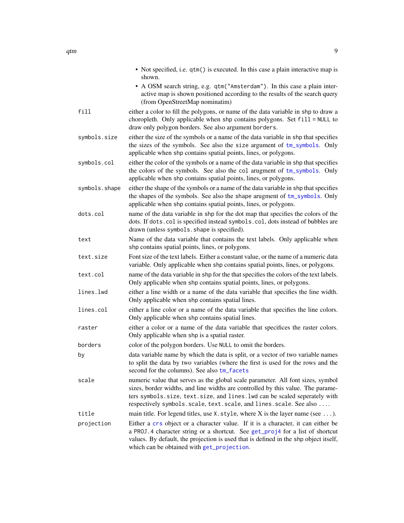|               | • Not specified, i.e. qtm() is executed. In this case a plain interactive map is<br>shown.<br>• A OSM search string, e.g. qtm("Amsterdam"). In this case a plain inter-<br>active map is shown positioned according to the results of the search query                                                               |
|---------------|----------------------------------------------------------------------------------------------------------------------------------------------------------------------------------------------------------------------------------------------------------------------------------------------------------------------|
| fill          | (from OpenStreetMap nominatim)<br>either a color to fill the polygons, or name of the data variable in shp to draw a<br>choropleth. Only applicable when shp contains polygons. Set fill = NULL to<br>draw only polygon borders. See also argument borders.                                                          |
| symbols.size  | either the size of the symbols or a name of the data variable in shp that specifies<br>the sizes of the symbols. See also the size argument of tm_symbols. Only<br>applicable when shp contains spatial points, lines, or polygons.                                                                                  |
| symbols.col   | either the color of the symbols or a name of the data variable in shp that specifies<br>the colors of the symbols. See also the col arugment of tm_symbols. Only<br>applicable when shp contains spatial points, lines, or polygons.                                                                                 |
| symbols.shape | either the shape of the symbols or a name of the data variable in shp that specifies<br>the shapes of the symbols. See also the shape arugment of tm_symbols. Only<br>applicable when shp contains spatial points, lines, or polygons.                                                                               |
| dots.col      | name of the data variable in shp for the dot map that specifies the colors of the<br>dots. If dots.col is specified instead symbols.col, dots instead of bubbles are<br>drawn (unless symbols. shape is specified).                                                                                                  |
| text          | Name of the data variable that contains the text labels. Only applicable when<br>shp contains spatial points, lines, or polygons.                                                                                                                                                                                    |
| text.size     | Font size of the text labels. Either a constant value, or the name of a numeric data<br>variable. Only applicable when shp contains spatial points, lines, or polygons.                                                                                                                                              |
| text.col      | name of the data variable in shp for the that specifies the colors of the text labels.<br>Only applicable when shp contains spatial points, lines, or polygons.                                                                                                                                                      |
| lines.lwd     | either a line width or a name of the data variable that specifies the line width.<br>Only applicable when shp contains spatial lines.                                                                                                                                                                                |
| lines.col     | either a line color or a name of the data variable that specifies the line colors.<br>Only applicable when shp contains spatial lines.                                                                                                                                                                               |
| raster        | either a color or a name of the data variable that specifices the raster colors.<br>Only applicable when shp is a spatial raster.                                                                                                                                                                                    |
| borders       | color of the polygon borders. Use NULL to omit the borders.                                                                                                                                                                                                                                                          |
| by            | data variable name by which the data is split, or a vector of two variable names<br>to split the data by two variables (where the first is used for the rows and the<br>second for the columns). See also tm_facets                                                                                                  |
| scale         | numeric value that serves as the global scale parameter. All font sizes, symbol<br>sizes, border widths, and line widths are controlled by this value. The parame-<br>ters symbols.size, text.size, and lines.lwd can be scaled seperately with<br>respectively symbols.scale, text.scale, and lines.scale. See also |
| title         | main title. For legend titles, use $X$ . style, where $X$ is the layer name (see ).                                                                                                                                                                                                                                  |
| projection    | Either a crs object or a character value. If it is a character, it can either be<br>a PROJ. 4 character string or a shortcut. See get_proj4 for a list of shortcut<br>values. By default, the projection is used that is defined in the shp object itself,<br>which can be obtained with get_projection.             |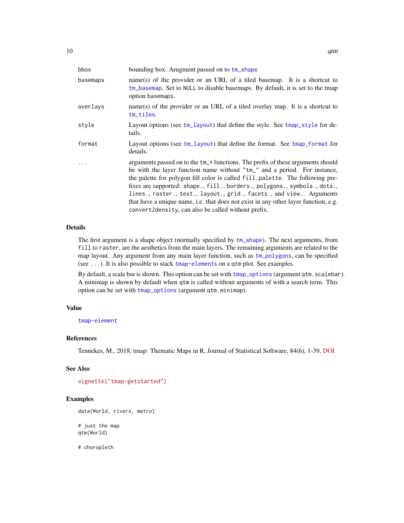| bbox     | bounding box. Arugment passed on to tm_shape                                                                                                                                                                                                                                                                                                                                                                                                                                                                                                    |
|----------|-------------------------------------------------------------------------------------------------------------------------------------------------------------------------------------------------------------------------------------------------------------------------------------------------------------------------------------------------------------------------------------------------------------------------------------------------------------------------------------------------------------------------------------------------|
| basemaps | name(s) of the provider or an URL of a tiled basemap. It is a shortcut to<br>tm_basemap. Set to NULL to disable basemaps. By default, it is set to the tmap<br>option basemaps.                                                                                                                                                                                                                                                                                                                                                                 |
| overlays | name(s) of the provider or an URL of a tiled overlay map. It is a shortcut to<br>tm_tiles.                                                                                                                                                                                                                                                                                                                                                                                                                                                      |
| style    | Layout options (see tm_layout) that define the style. See tmap_style for de-<br>tails.                                                                                                                                                                                                                                                                                                                                                                                                                                                          |
| format   | Layout options (see $tm_l$ -layout) that define the format. See $tm_p$ -format for<br>details.                                                                                                                                                                                                                                                                                                                                                                                                                                                  |
| $\cdots$ | arguments passed on to the tm_* functions. The prefix of these arguments should<br>be with the layer function name without "tm_" and a period. For instance,<br>the palette for polygon fill color is called fill.palette. The following pre-<br>fixes are supported: shape., fill., borders., polygons., symbols., dots.,<br>lines., raster., text., layout., grid., facets., and view Arguments<br>that have a unique name, i.e. that does not exist in any other layer function, e.g.<br>convert2density, can also be called without prefix. |

# Details

The first argument is a shape object (normally specified by [tm\\_shape](#page-73-1)). The next arguments, from fill to raster, are the aesthetics from the main layers. The remaining arguments are related to the map layout. Any argument from any main layer function, such as [tm\\_polygons](#page-40-1), can be specified (see ...). It is also possible to stack [tmap-element](#page-13-1)s on a qtm plot. See examples.

By default, a scale bar is shown. This option can be set with [tmap\\_options](#page-23-1) (argument qtm.scalebar). A minimap is shown by default when qtm is called without arguments of with a search term. This option can be set with [tmap\\_options](#page-23-1) (argument qtm.minimap).

# Value

[tmap-element](#page-13-1)

# References

Tennekes, M., 2018, tmap: Thematic Maps in R, Journal of Statistical Software, 84(6), 1-39, [DOI](https://doi.org/10.18637/jss.v084.i06)

# See Also

```
vignette("tmap-getstarted")
```

```
data(World, rivers, metro)
# just the map
qtm(World)
```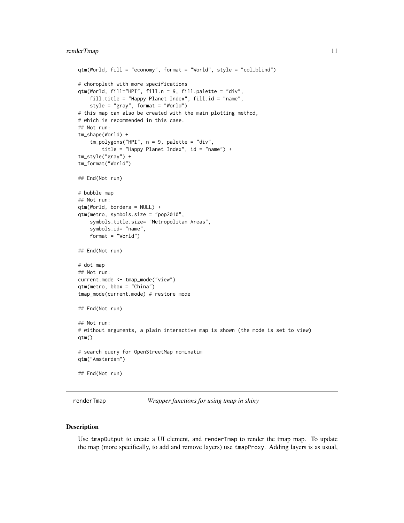# <span id="page-10-0"></span>renderTmap 11

```
qtm(World, fill = "economy", format = "World", style = "col_blind")
# choropleth with more specifications
qtm(World, fill="HPI", fill.n = 9, fill.palette = "div",
   fill.title = "Happy Planet Index", fill.id = "name",
    style = "gray", format = "World")
# this map can also be created with the main plotting method,
# which is recommended in this case.
## Not run:
tm_shape(World) +
    tm_polygons("HPI", n = 9, palette = "div",
        title = "Happy Planet Index", id = "name") +
tm_style("gray") +
tm_format("World")
## End(Not run)
# bubble map
## Not run:
qtm(World, borders = NULL) +
qtm(metro, symbols.size = "pop2010",
    symbols.title.size= "Metropolitan Areas",
    symbols.id= "name",
   format = "World")
## End(Not run)
# dot map
## Not run:
current.mode <- tmap_mode("view")
qtm(metro, bbox = "China")
tmap_mode(current.mode) # restore mode
## End(Not run)
## Not run:
# without arguments, a plain interactive map is shown (the mode is set to view)
qtm()
# search query for OpenStreetMap nominatim
qtm("Amsterdam")
## End(Not run)
```
renderTmap *Wrapper functions for using tmap in shiny*

#### <span id="page-10-1"></span>Description

Use tmapOutput to create a UI element, and renderTmap to render the tmap map. To update the map (more specifically, to add and remove layers) use tmapProxy. Adding layers is as usual,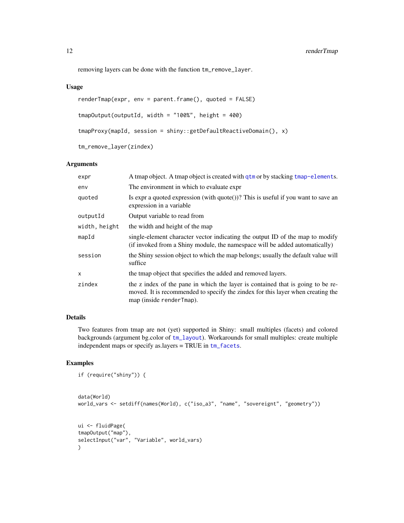removing layers can be done with the function tm\_remove\_layer.

# Usage

```
renderTmap(expr, env = parent.frame(), quoted = FALSE)
tmapOutput(outputId, width = "100%", height = 400)
tmapProxy(mapId, session = shiny::getDefaultReactiveDomain(), x)
tm_remove_layer(zindex)
```
#### Arguments

| A tmap object. A tmap object is created with qtm or by stacking tmap-elements.                                                                                                                 |
|------------------------------------------------------------------------------------------------------------------------------------------------------------------------------------------------|
| The environment in which to evaluate expr                                                                                                                                                      |
| Is expr a quoted expression (with $\text{quote}()$ )? This is useful if you want to save an<br>expression in a variable                                                                        |
| Output variable to read from                                                                                                                                                                   |
| the width and height of the map                                                                                                                                                                |
| single-element character vector indicating the output ID of the map to modify<br>(if invoked from a Shiny module, the namespace will be added automatically)                                   |
| the Shiny session object to which the map belongs; usually the default value will<br>suffice                                                                                                   |
| the tmap object that specifies the added and removed layers.                                                                                                                                   |
| the z index of the pane in which the layer is contained that is going to be re-<br>moved. It is recommended to specify the zindex for this layer when creating the<br>map (inside renderTmap). |
|                                                                                                                                                                                                |

#### Details

Two features from tmap are not (yet) supported in Shiny: small multiples (facets) and colored backgrounds (argument bg.color of [tm\\_layout](#page-49-1)). Workarounds for small multiples: create multiple independent maps or specify as.layers = TRUE in [tm\\_facets](#page-36-1).

```
if (require("shiny")) {
```

```
data(World)
world_vars <- setdiff(names(World), c("iso_a3", "name", "sovereignt", "geometry"))
ui <- fluidPage(
tmapOutput("map"),
selectInput("var", "Variable", world_vars)
\mathcal{L}
```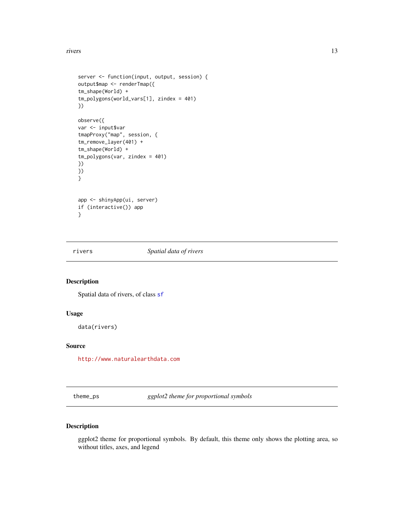#### <span id="page-12-0"></span>rivers and the set of the set of the set of the set of the set of the set of the set of the set of the set of the set of the set of the set of the set of the set of the set of the set of the set of the set of the set of th

```
server <- function(input, output, session) {
output$map <- renderTmap({
tm_shape(World) +
tm_polygons(world_vars[1], zindex = 401)
})
observe({
var <- input$var
tmapProxy("map", session, {
tm_remove_layer(401) +
tm_shape(World) +
tm_polygons(var, zindex = 401)
})
})
}
app <- shinyApp(ui, server)
if (interactive()) app
}
```
<span id="page-12-1"></span>

rivers *Spatial data of rivers*

# Description

Spatial data of rivers, of class [sf](#page-0-0)

#### Usage

data(rivers)

# Source

<http://www.naturalearthdata.com>

theme\_ps *ggplot2 theme for proportional symbols*

# Description

ggplot2 theme for proportional symbols. By default, this theme only shows the plotting area, so without titles, axes, and legend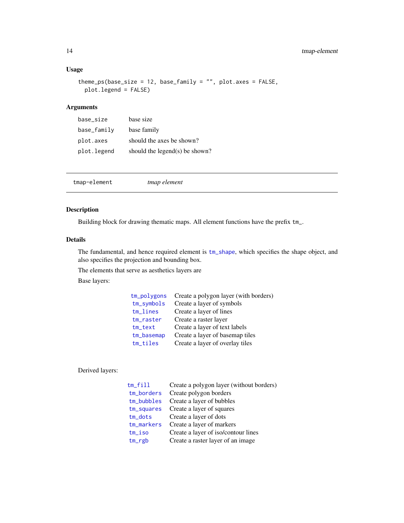# Usage

```
theme_ps(base_size = 12, base_family = ", plot.axes = FALSE,
 plot.legend = FALSE)
```
# Arguments

| base_size   | base size                         |
|-------------|-----------------------------------|
| base_family | base family                       |
| plot.axes   | should the axes be shown?         |
| plot.legend | should the legend $(s)$ be shown? |

<span id="page-13-1"></span>

| tmap-element |
|--------------|
|--------------|

# Description

Building block for drawing thematic maps. All element functions have the prefix tm\_.

# Details

The fundamental, and hence required element is  $tm\_shape$ , which specifies the shape object, and also specifies the projection and bounding box.

The elements that serve as aesthetics layers are

Base layers:

| tm_polygons   | Create a polygon layer (with borders) |
|---------------|---------------------------------------|
| $tm$ _symbols | Create a layer of symbols             |
| tm_lines      | Create a layer of lines               |
| tm_raster     | Create a raster layer                 |
| $tm\_text$    | Create a layer of text labels         |
| tm_basemap    | Create a layer of basemap tiles       |
| tm_tiles      | Create a layer of overlay tiles       |

# Derived layers:

| $tm$ _ $fill$ | Create a polygon layer (without borders) |
|---------------|------------------------------------------|
| tm_borders    | Create polygon borders                   |
| $tm_bubbles$  | Create a layer of bubbles                |
| tm_squares    | Create a layer of squares                |
| $tm\_dots$    | Create a layer of dots                   |
| tm_markers    | Create a layer of markers                |
| tm_iso        | Create a layer of iso/contour lines      |
| $tm\_rgb$     | Create a raster layer of an image        |
|               |                                          |

<span id="page-13-0"></span>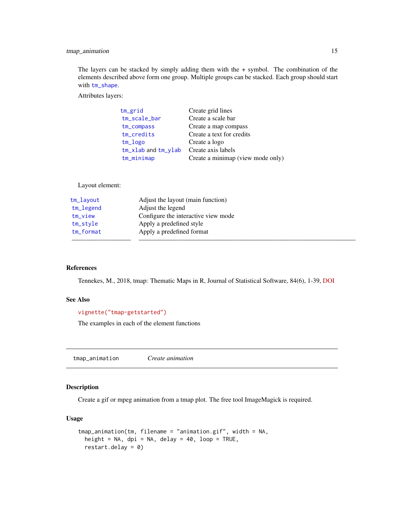# <span id="page-14-0"></span>tmap\_animation 15

The layers can be stacked by simply adding them with the  $+$  symbol. The combination of the elements described above form one group. Multiple groups can be stacked. Each group should start with [tm\\_shape](#page-73-1).

Attributes layers:

| tm_grid                   | Create grid lines                 |
|---------------------------|-----------------------------------|
| tm_scale_bar              | Create a scale bar                |
| tm_compass                | Create a map compass              |
| tm_credits                | Create a text for credits         |
| tm_logo                   | Create a logo                     |
| $tm_x$ lab and $tm_y$ lab | Create axis labels                |
| tm_minimap                | Create a minimap (view mode only) |

# Layout element:

| tm_layout   | Adjust the layout (main function)   |  |
|-------------|-------------------------------------|--|
| tm_legend   | Adjust the legend                   |  |
| tm_view     | Configure the interactive view mode |  |
| tm_style    | Apply a predefined style            |  |
| $tm_format$ | Apply a predefined format           |  |
|             |                                     |  |

#### References

Tennekes, M., 2018, tmap: Thematic Maps in R, Journal of Statistical Software, 84(6), 1-39, [DOI](https://doi.org/10.18637/jss.v084.i06)

# See Also

# [vignette\("tmap-getstarted"\)](../doc/tmap-getstarted.html)

The examples in each of the element functions

<span id="page-14-1"></span>tmap\_animation *Create animation*

#### Description

Create a gif or mpeg animation from a tmap plot. The free tool ImageMagick is required.

#### Usage

```
tmap_animation(tm, filename = "animation.gif", width = NA,
  height = NA, dpi = NA, delay = 40, loop = TRUE,
  restart.delay = <math>0</math>)
```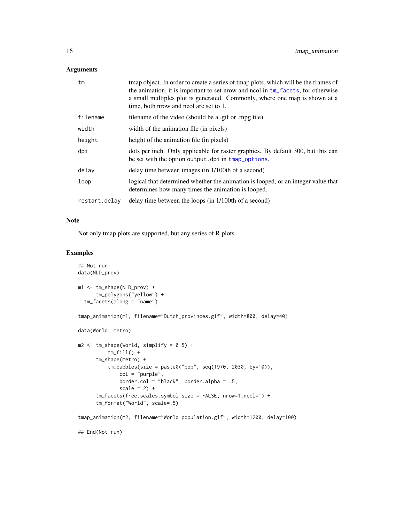# Arguments

| tm            | tmap object. In order to create a series of tmap plots, which will be the frames of<br>the animation, it is important to set nrow and nool in tm_facets, for otherwise<br>a small multiples plot is generated. Commonly, where one map is shown at a<br>time, both nrow and ncol are set to 1. |
|---------------|------------------------------------------------------------------------------------------------------------------------------------------------------------------------------------------------------------------------------------------------------------------------------------------------|
| filename      | filename of the video (should be a .gif or .mpg file)                                                                                                                                                                                                                                          |
| width         | width of the animation file (in pixels)                                                                                                                                                                                                                                                        |
| height        | height of the animation file (in pixels)                                                                                                                                                                                                                                                       |
| dpi           | dots per inch. Only applicable for raster graphics. By default 300, but this can<br>be set with the option output. dpi in tmap_options.                                                                                                                                                        |
| delay         | delay time between images (in 1/100th of a second)                                                                                                                                                                                                                                             |
| loop          | logical that determined whether the animation is looped, or an integer value that<br>determines how many times the animation is looped.                                                                                                                                                        |
| restart.delay | delay time between the loops (in 1/100th of a second)                                                                                                                                                                                                                                          |

# Note

Not only tmap plots are supported, but any series of R plots.

```
## Not run:
data(NLD_prov)
m1 <- tm_shape(NLD_prov) +
      tm_polygons("yellow") +
  tm_facets(along = "name")
tmap_animation(m1, filename="Dutch_provinces.gif", width=800, delay=40)
data(World, metro)
m2 \leq -\tmtext{tm\_shape}(\text{World}, \text{simply} = 0.5) +tm_fill() +tm_shape(metro) +
          tm_bubbles(size = paste0("pop", seq(1970, 2030, by=10)),
              col = "purple",
              border.col = "black", border.alpha = .5,
              scale = 2) +
      tm_facets(free.scales.symbol.size = FALSE, nrow=1,ncol=1) +
      tm_format("World", scale=.5)
tmap_animation(m2, filename="World population.gif", width=1200, delay=100)
## End(Not run)
```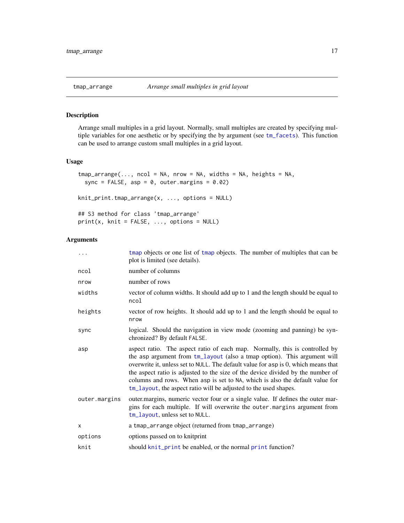<span id="page-16-1"></span><span id="page-16-0"></span>

# Description

Arrange small multiples in a grid layout. Normally, small multiples are created by specifying multiple variables for one aesthetic or by specifying the by argument (see [tm\\_facets](#page-36-1)). This function can be used to arrange custom small multiples in a grid layout.

# Usage

```
tmap\_arrange(..., ncol = NA, nrow = NA, widths = NA, heights = NA,sync = FALSE, asp = 0, outer.margins = 0.02)
knit_print.tmap_arrange(x, ..., options = NULL)
## S3 method for class 'tmap_arrange'
print(x, \text{ knit} = \text{FALSE}, \ldots, \text{ options} = \text{NULL})
```

| $\ddots$      | tmap objects or one list of tmap objects. The number of multiples that can be<br>plot is limited (see details).                                                                                                                                                                                                                                                                                                                                                                      |
|---------------|--------------------------------------------------------------------------------------------------------------------------------------------------------------------------------------------------------------------------------------------------------------------------------------------------------------------------------------------------------------------------------------------------------------------------------------------------------------------------------------|
| ncol          | number of columns                                                                                                                                                                                                                                                                                                                                                                                                                                                                    |
| nrow          | number of rows                                                                                                                                                                                                                                                                                                                                                                                                                                                                       |
| widths        | vector of column widths. It should add up to 1 and the length should be equal to<br>ncol                                                                                                                                                                                                                                                                                                                                                                                             |
| heights       | vector of row heights. It should add up to 1 and the length should be equal to<br>nrow                                                                                                                                                                                                                                                                                                                                                                                               |
| sync          | logical. Should the navigation in view mode (zooming and panning) be syn-<br>chronized? By default FALSE.                                                                                                                                                                                                                                                                                                                                                                            |
| asp           | aspect ratio. The aspect ratio of each map. Normally, this is controlled by<br>the asp argument from tm_layout (also a tmap option). This argument will<br>overwrite it, unless set to NULL. The default value for asp is 0, which means that<br>the aspect ratio is adjusted to the size of the device divided by the number of<br>columns and rows. When asp is set to NA, which is also the default value for<br>tm_layout, the aspect ratio will be adjusted to the used shapes. |
| outer.margins | outer margins, numeric vector four or a single value. If defines the outer mar-<br>gins for each multiple. If will overwrite the outer margins argument from<br>tm_layout, unless set to NULL.                                                                                                                                                                                                                                                                                       |
| X             | a tmap_arrange object (returned from tmap_arrange)                                                                                                                                                                                                                                                                                                                                                                                                                                   |
| options       | options passed on to knitprint                                                                                                                                                                                                                                                                                                                                                                                                                                                       |
| knit          | should knit_print be enabled, or the normal print function?                                                                                                                                                                                                                                                                                                                                                                                                                          |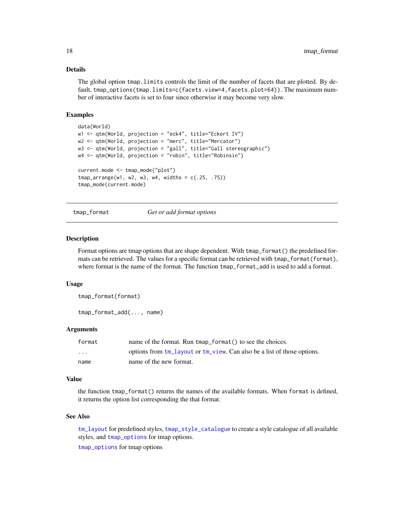#### <span id="page-17-0"></span>Details

The global option tmap.limits controls the limit of the number of facets that are plotted. By default, tmap\_options(tmap.limits=c(facets.view=4,facets.plot=64)). The maximum number of interactive facets is set to four since otherwise it may become very slow.

#### Examples

```
data(World)
w1 <- qtm(World, projection = "eck4", title="Eckert IV")
w2 <- qtm(World, projection = "merc", title="Mercator")
w3 <- qtm(World, projection = "gall", title="Gall stereographic")
w4 <- qtm(World, projection = "robin", title="Robinsin")
current.mode <- tmap_mode("plot")
tmap_arrange(w1, w2, w3, w4, widths = c(.25, .75))
tmap_mode(current.mode)
```
<span id="page-17-1"></span>tmap\_format *Get or add format options*

#### Description

Format options are tmap options that are shape dependent. With tmap\_format() the predefined formats can be retrieved. The values for a specific format can be retrieved with tmap\_format(format), where format is the name of the format. The function tmap\_format\_add is used to add a format.

#### Usage

```
tmap_format(format)
```
tmap\_format\_add(..., name)

#### Arguments

| format                  | name of the format. Run tmap format () to see the choices.              |
|-------------------------|-------------------------------------------------------------------------|
| $\cdot$ $\cdot$ $\cdot$ | options from tm_layout or tm_view. Can also be a list of those options. |
| name                    | name of the new format.                                                 |

#### Value

the function tmap\_format() returns the names of the available formats. When format is defined, it returns the option list corresponding the that format.

#### See Also

[tm\\_layout](#page-49-1) for predefined styles, [tmap\\_style\\_catalogue](#page-30-1) to create a style catalogue of all available styles, and [tmap\\_options](#page-23-1) for tmap options.

[tmap\\_options](#page-23-1) for tmap options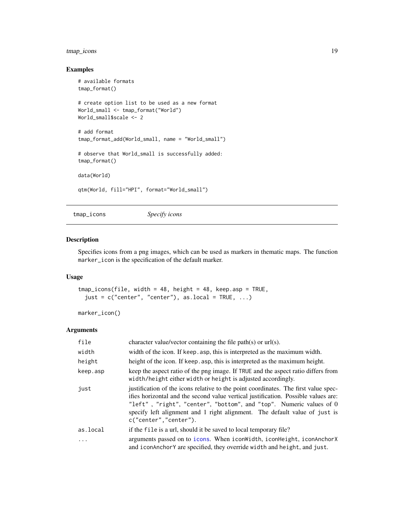# <span id="page-18-0"></span>tmap\_icons 19

# Examples

```
# available formats
tmap_format()
# create option list to be used as a new format
World_small <- tmap_format("World")
World_small$scale <- 2
# add format
tmap_format_add(World_small, name = "World_small")
# observe that World_small is successfully added:
tmap_format()
data(World)
qtm(World, fill="HPI", format="World_small")
```
<span id="page-18-1"></span>tmap\_icons *Specify icons*

# Description

Specifies icons from a png images, which can be used as markers in thematic maps. The function marker\_icon is the specification of the default marker.

#### Usage

```
tmap_icons(file, width = 48, height = 48, keep.asp = TRUE,
  just = c("center", "center"), as.local = TRUE, ...)
```
marker\_icon()

| file      | character value/vector containing the file path(s) or $url(s)$ .                                                                                                                                                                                                                                                                                         |
|-----------|----------------------------------------------------------------------------------------------------------------------------------------------------------------------------------------------------------------------------------------------------------------------------------------------------------------------------------------------------------|
| width     | width of the icon. If keep. asp, this is interpreted as the maximum width.                                                                                                                                                                                                                                                                               |
| height    | height of the icon. If keep. asp, this is interpreted as the maximum height.                                                                                                                                                                                                                                                                             |
| keep.asp  | keep the aspect ratio of the png image. If TRUE and the aspect ratio differs from<br>width/height either width or height is adjusted accordingly.                                                                                                                                                                                                        |
| just      | justification of the icons relative to the point coordinates. The first value spec-<br>ifies horizontal and the second value vertical justification. Possible values are:<br>"left", "right", "center", "bottom", and "top". Numeric values of 0<br>specify left alignment and 1 right alignment. The default value of just is<br>c("center", "center"). |
| as.local  | if the file is a url, should it be saved to local temporary file?                                                                                                                                                                                                                                                                                        |
| $\ddotsc$ | arguments passed on to icons. When icon width, icon Height, icon Anchor X<br>and iconAnchorY are specified, they override width and height, and just.                                                                                                                                                                                                    |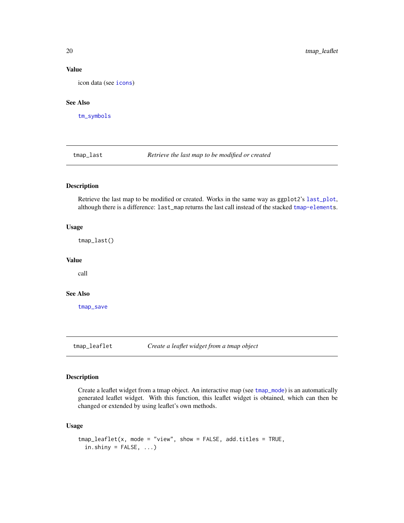#### Value

icon data (see [icons](#page-0-0))

### See Also

[tm\\_symbols](#page-75-1)

<span id="page-19-1"></span>tmap\_last *Retrieve the last map to be modified or created*

# Description

Retrieve the last map to be modified or created. Works in the same way as ggplot2's [last\\_plot](#page-0-0), although there is a difference: last\_map returns the last call instead of the stacked [tmap-elements](#page-13-1).

#### Usage

tmap\_last()

# Value

call

#### See Also

[tmap\\_save](#page-27-1)

<span id="page-19-2"></span>tmap\_leaflet *Create a leaflet widget from a tmap object*

# Description

Create a leaflet widget from a tmap object. An interactive map (see [tmap\\_mode](#page-21-1)) is an automatically generated leaflet widget. With this function, this leaflet widget is obtained, which can then be changed or extended by using leaflet's own methods.

#### Usage

```
tmap\_leaflet(x, mode = "view", show = FALSE, add.titles = TRUE,in.ship = FALSE, ...)
```
<span id="page-19-0"></span>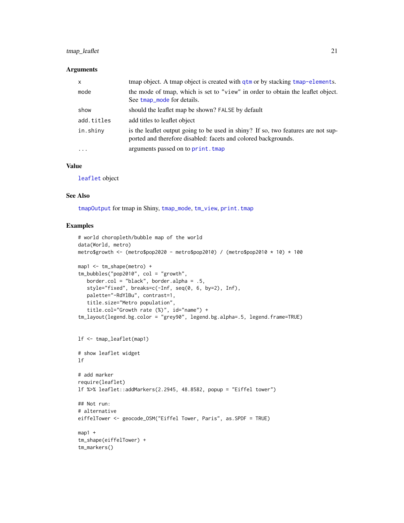# tmap\_leaflet 21

#### Arguments

| $\mathsf{x}$ | tmap object. A tmap object is created with qtm or by stacking tmap-elements.                                                                        |
|--------------|-----------------------------------------------------------------------------------------------------------------------------------------------------|
| mode         | the mode of tmap, which is set to "view" in order to obtain the leaflet object.<br>See tmap_mode for details.                                       |
| show         | should the leaflet map be shown? FALSE by default                                                                                                   |
| add.titles   | add titles to leaflet object                                                                                                                        |
| in.shiny     | is the leaflet output going to be used in shiny? If so, two features are not sup-<br>ported and therefore disabled: facets and colored backgrounds. |
| $\ddotsc$    | arguments passed on to print. tmap                                                                                                                  |

# Value

[leaflet](#page-0-0) object

#### See Also

[tmapOutput](#page-10-1) for tmap in Shiny, [tmap\\_mode](#page-21-1), [tm\\_view](#page-91-1), [print.tmap](#page-6-2)

```
# world choropleth/bubble map of the world
data(World, metro)
metro$growth <- (metro$pop2020 - metro$pop2010) / (metro$pop2010 * 10) * 100
map1 <- tm_shape(metro) +
tm_bubbles("pop2010", col = "growth",
   border.col = "black", border.alpha = .5,
   style="fixed", breaks=c(-Inf, seq(0, 6, by=2), Inf),
   palette="-RdYlBu", contrast=1,
   title.size="Metro population",
   title.col="Growth rate (%)", id="name") +
tm_layout(legend.bg.color = "grey90", legend.bg.alpha=.5, legend.frame=TRUE)
lf <- tmap_leaflet(map1)
# show leaflet widget
lf
# add marker
require(leaflet)
lf %>% leaflet::addMarkers(2.2945, 48.8582, popup = "Eiffel tower")
## Not run:
# alternative
eiffelTower <- geocode_OSM("Eiffel Tower, Paris", as.SPDF = TRUE)
map1 +
tm_shape(eiffelTower) +
tm_markers()
```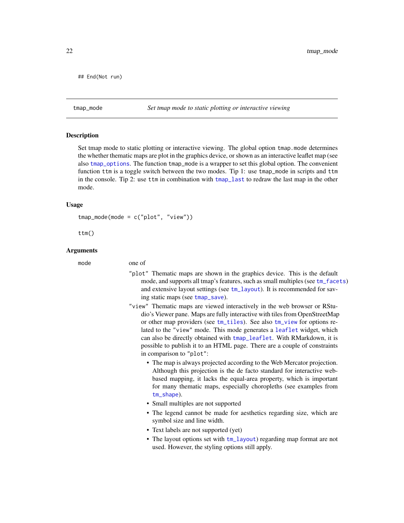<span id="page-21-0"></span>## End(Not run)

<span id="page-21-1"></span>tmap\_mode *Set tmap mode to static plotting or interactive viewing*

#### <span id="page-21-2"></span>**Description**

Set tmap mode to static plotting or interactive viewing. The global option tmap.mode determines the whether thematic maps are plot in the graphics device, or shown as an interactive leaflet map (see also [tmap\\_options](#page-23-1). The function tmap\_mode is a wrapper to set this global option. The convenient function ttm is a toggle switch between the two modes. Tip 1: use tmap\_mode in scripts and ttm in the console. Tip 2: use ttm in combination with [tmap\\_last](#page-19-1) to redraw the last map in the other mode.

#### Usage

tmap\_mode(mode = c("plot", "view"))

ttm()

#### Arguments

#### mode one of

- "plot" Thematic maps are shown in the graphics device. This is the default mode, and supports all tmap's features, such as small multiples (see  $tm_f$ acets) and extensive layout settings (see [tm\\_layout](#page-49-1)). It is recommended for saving static maps (see [tmap\\_save](#page-27-1)).
- "view" Thematic maps are viewed interactively in the web browser or RStudio's Viewer pane. Maps are fully interactive with tiles from OpenStreetMap or other map providers (see [tm\\_tiles](#page-32-2)). See also [tm\\_view](#page-91-1) for options related to the "view" mode. This mode generates a [leaflet](#page-0-0) widget, which can also be directly obtained with [tmap\\_leaflet](#page-19-2). With RMarkdown, it is possible to publish it to an HTML page. There are a couple of constraints in comparison to "plot":
	- The map is always projected according to the Web Mercator projection. Although this projection is the de facto standard for interactive webbased mapping, it lacks the equal-area property, which is important for many thematic maps, especially choropleths (see examples from [tm\\_shape](#page-73-1)).
	- Small multiples are not supported
	- The legend cannot be made for aesthetics regarding size, which are symbol size and line width.
	- Text labels are not supported (yet)
	- The layout options set with [tm\\_layout](#page-49-1)) regarding map format are not used. However, the styling options still apply.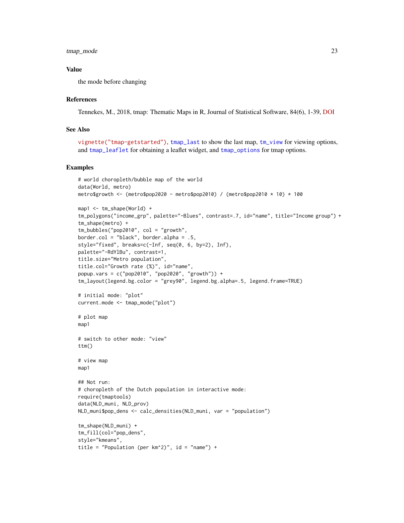tmap\_mode 23

#### Value

the mode before changing

#### References

Tennekes, M., 2018, tmap: Thematic Maps in R, Journal of Statistical Software, 84(6), 1-39, [DOI](https://doi.org/10.18637/jss.v084.i06)

# See Also

```
vignette("tmap-getstarted"), tmap_last to show the last map, tm_view for viewing options,
and tmap_leaflet for obtaining a leaflet widget, and tmap_options for tmap options.
```

```
# world choropleth/bubble map of the world
data(World, metro)
metro$growth <- (metro$pop2020 - metro$pop2010) / (metro$pop2010 * 10) * 100
map1 < - \tmtext{tm\_shape}(\text{World}) +tm_polygons("income_grp", palette="-Blues", contrast=.7, id="name", title="Income group") +
tm_shape(metro) +
tm_bubbles("pop2010", col = "growth",
border.col = "black", border.alpha = .5,
style="fixed", breaks=c(-Inf, seq(0, 6, by=2), Inf),
palette="-RdYlBu", contrast=1,
title.size="Metro population",
title.col="Growth rate (%)", id="name",
popup.vars = c("pop2010", "pop2020", "growth")) +
tm_layout(legend.bg.color = "grey90", legend.bg.alpha=.5, legend.frame=TRUE)
# initial mode: "plot"
current.mode <- tmap_mode("plot")
# plot map
map1
# switch to other mode: "view"
ttm()
# view map
map1
## Not run:
# choropleth of the Dutch population in interactive mode:
require(tmaptools)
data(NLD_muni, NLD_prov)
NLD_muni$pop_dens <- calc_densities(NLD_muni, var = "population")
tm_shape(NLD_muni) +
tm_fill(col="pop_dens",
style="kmeans",
title = "Population (per km^2)", id = "name") +
```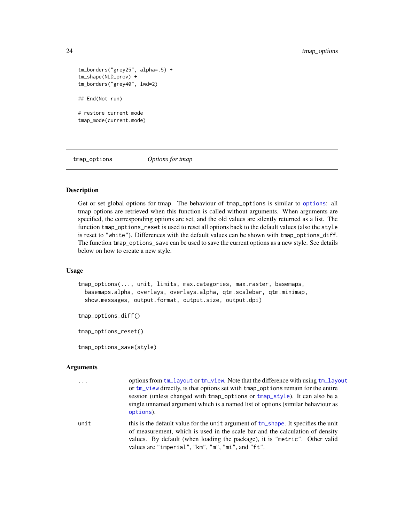```
tm_borders("grey25", alpha=.5) +
tm_shape(NLD_prov) +
tm_borders("grey40", lwd=2)
## End(Not run)
# restore current mode
tmap_mode(current.mode)
```
<span id="page-23-1"></span>tmap\_options *Options for tmap*

# <span id="page-23-2"></span>Description

Get or set global options for tmap. The behaviour of tmap\_options is similar to [options](#page-0-0): all tmap options are retrieved when this function is called without arguments. When arguments are specified, the corresponding options are set, and the old values are silently returned as a list. The function tmap\_options\_reset is used to reset all options back to the default values (also the style is reset to "white"). Differences with the default values can be shown with tmap\_options\_diff. The function tmap\_options\_save can be used to save the current options as a new style. See details below on how to create a new style.

#### Usage

```
tmap_options(..., unit, limits, max.categories, max.raster, basemaps,
 basemaps.alpha, overlays, overlays.alpha, qtm.scalebar, qtm.minimap,
 show.messages, output.format, output.size, output.dpi)
```
tmap\_options\_diff()

tmap\_options\_reset()

tmap\_options\_save(style)

#### Arguments

```
... options from tm_layout or tm_view. Note that the difference with using tm_layout
                 or tm_view directly, is that options set with tmap_options remain for the entire
                 session (unless changed with tmap_options or tmap_style). It can also be a
                 single unnamed argument which is a named list of options (similar behaviour as
                 options).
```
unit this is the default value for the unit argument of  $tm$  shape. It specifies the unit of measurement, which is used in the scale bar and the calculation of density values. By default (when loading the package), it is "metric". Other valid values are "imperial", "km", "m", "mi", and "ft".

<span id="page-23-0"></span>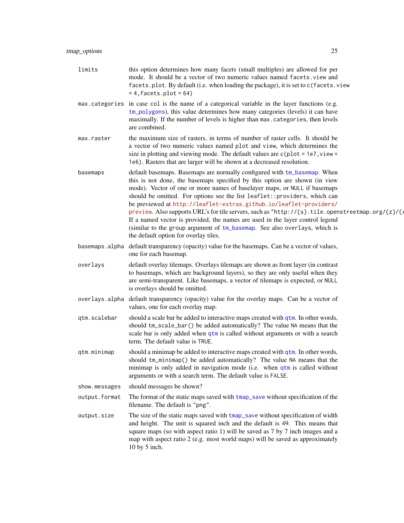limits this option determines how many facets (small multiples) are allowed for per mode. It should be a vector of two numeric values named facets.view and facets.plot. By default (i.e. when loading the package), it is set to c(facets.view  $= 4$ , facets.plot = 64) max.categories in case col is the name of a categorical variable in the layer functions (e.g. [tm\\_polygons](#page-40-1)), this value determines how many categories (levels) it can have maximally. If the number of levels is higher than max.categories, then levels are combined. max.raster the maximum size of rasters, in terms of number of raster cells. It should be a vector of two numeric values named plot and view, which determines the size in plotting and viewing mode. The default values are  $c$  (plot = 1e7, view = 1e6). Rasters that are larger will be shown at a decreased resolution. basemaps default basemaps. Basemaps are normally configured with [tm\\_basemap](#page-32-1). When this is not done, the basemaps specified by this option are shown (in view mode). Vector of one or more names of baselayer maps, or NULL if basemaps should be omitted. For options see the list leaflet::providers, which can be previewed at [http://leaflet-extras.github.io/leaflet-providers/](http://leaflet-extras.github.io/leaflet-providers/preview) [preview](http://leaflet-extras.github.io/leaflet-providers/preview). Also supports URL's for tile servers, such as "http://{s}.tile.openstreetmap.org/{z}/{; If a named vector is provided, the names are used in the layer control legend (similar to the group argument of [tm\\_basemap](#page-32-1). See also overlays, which is the default option for overlay tiles. basemaps.alpha default transparency (opacity) value for the basemaps. Can be a vector of values, one for each basemap. overlays default overlay tilemaps. Overlays tilemaps are shown as front layer (in contrast to basemaps, which are background layers), so they are only useful when they are semi-transparent. Like basemaps, a vector of tilemaps is expected, or NULL is overlays should be omitted. overlays.alpha default transparency (opacity) value for the overlay maps. Can be a vector of values, one for each overlay map. qtm.scalebar should a scale bar be added to interactive maps created with [qtm](#page-7-1). In other words, should tm\_scale\_bar() be added automatically? The value NA means that the scale bar is only added when [qtm](#page-7-1) is called without arguments or with a search term. The default value is TRUE.  $qtm.$  $qtm.$  minimap should a minimap be added to interactive maps created with  $qtm.$  In other words, should tm\_minimap() be added automatically? The value NA means that the minimap is only added in navigation mode (i.e. when [qtm](#page-7-1) is called without arguments or with a search term. The default value is FALSE. show.messages should messages be shown? output. format The format of the static maps saved with [tmap\\_save](#page-27-1) without specification of the filename. The default is "png". output.size The size of the static maps saved with [tmap\\_save](#page-27-1) without specification of width and height. The unit is squared inch and the default is 49. This means that square maps (so with aspect ratio 1) will be saved as 7 by 7 inch images and a map with aspect ratio 2 (e.g. most world maps) will be saved as approximately 10 by 5 inch.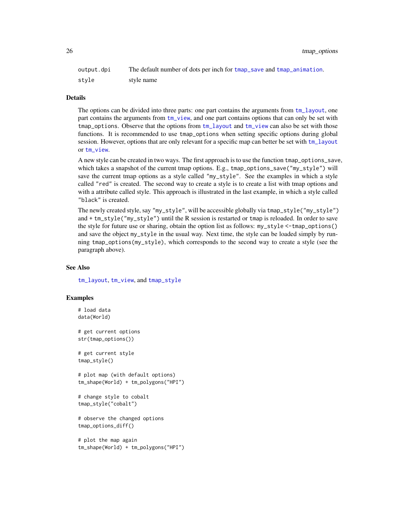26 tmap\_options tmap\_options tmap\_options tmap\_options tmap\_options tmap\_options tmap\_options tmap\_options tmap\_options tmap\_options tmap\_options tmap\_options tmap\_options tmap\_options tmap\_options tmap\_options tmap\_option

| output.dpi | The default number of dots per inch for tmap_save and tmap_animation. |
|------------|-----------------------------------------------------------------------|
| stvle      | style name                                                            |

#### Details

The options can be divided into three parts: one part contains the arguments from [tm\\_layout](#page-49-1), one part contains the arguments from [tm\\_view](#page-91-1), and one part contains options that can only be set with tmap\_options. Observe that the options from [tm\\_layout](#page-49-1) and [tm\\_view](#page-91-1) can also be set with those functions. It is recommended to use tmap\_options when setting specific options during global session. However, options that are only relevant for a specific map can better be set with [tm\\_layout](#page-49-1) or [tm\\_view](#page-91-1).

A new style can be created in two ways. The first approach is to use the function tmap\_options\_save, which takes a snapshot of the current tmap options. E.g., tmap\_options\_save("my\_style") will save the current tmap options as a style called "my\_style". See the examples in which a style called "red" is created. The second way to create a style is to create a list with tmap options and with a attribute called style. This approach is illustrated in the last example, in which a style called "black" is created.

The newly created style, say "my\_style", will be accessible globally via tmap\_style("my\_style") and + tm\_style("my\_style") until the R session is restarted or tmap is reloaded. In order to save the style for future use or sharing, obtain the option list as follows: my\_style <-tmap\_options() and save the object my\_style in the usual way. Next time, the style can be loaded simply by running tmap\_options(my\_style), which corresponds to the second way to create a style (see the paragraph above).

#### See Also

[tm\\_layout](#page-49-1), [tm\\_view](#page-91-1), and [tmap\\_style](#page-29-1)

#### Examples

# load data data(World)

# get current options str(tmap\_options())

# get current style tmap\_style()

# plot map (with default options) tm\_shape(World) + tm\_polygons("HPI")

```
# change style to cobalt
tmap_style("cobalt")
```
# observe the changed options tmap\_options\_diff()

# plot the map again tm\_shape(World) + tm\_polygons("HPI")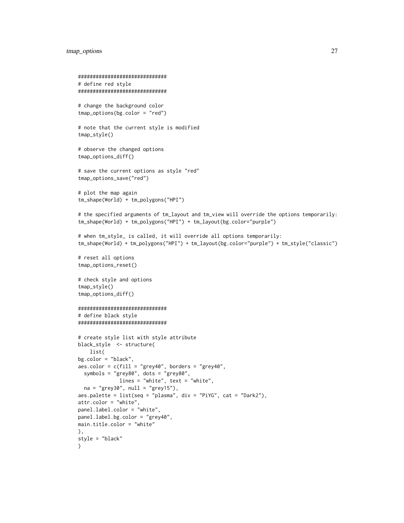# tmap\_options 27

```
##############################
# define red style
##############################
# change the background color
tmap_options(bg.color = "red")
# note that the current style is modified
tmap_style()
# observe the changed options
tmap_options_diff()
# save the current options as style "red"
tmap_options_save("red")
# plot the map again
tm_shape(World) + tm_polygons("HPI")
# the specified arguments of tm_layout and tm_view will override the options temporarily:
tm_shape(World) + tm_polygons("HPI") + tm_layout(bg.color="purple")
# when tm_style_ is called, it will override all options temporarily:
tm_shape(World) + tm_polygons("HPI") + tm_layout(bg.color="purple") + tm_style("classic")
# reset all options
tmap_options_reset()
# check style and options
tmap_style()
tmap_options_diff()
##############################
# define black style
##############################
# create style list with style attribute
black_style <- structure(
   list(
bg.color = "black",
aes.color = c(fill = "grey40", borders = "grey40",
  symbols = "grey80", dots = "grey80",
              lines = "white", text = "white",
  na = "grey30", null = "grey15"),aes.palette = list(\text{seq} = "plasma", div = "PiVG", cat = "Dark2"),attr.color = "white",
panel.label.color = "white",
panel.label.bg.color = "grey40",
main.title.color = "white"
),
style = "black"
)
```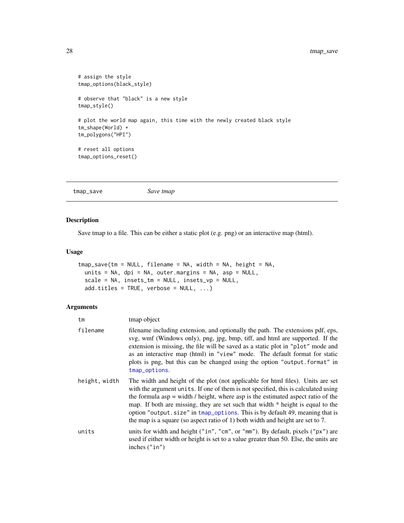```
# assign the style
tmap_options(black_style)
# observe that "black" is a new style
tmap_style()
# plot the world map again, this time with the newly created black style
tm_shape(World) +
tm_polygons("HPI")
# reset all options
tmap_options_reset()
```
<span id="page-27-1"></span>tmap\_save *Save tmap*

# Description

Save tmap to a file. This can be either a static plot (e.g. png) or an interactive map (html).

### Usage

```
tmap_save(tm = NULL, filename = NA, width = NA, height = NA,
 units = NA, dpi = NA, outer.margins = NA, asp = NULL,
 scale = NA, insets_tm = NULL, insets_vp = NULL,
 add.titles = TRUE, verbose = NULL, ...)
```

| tm            | tmap object                                                                                                                                                                                                                                                                                                                                                                                                                                                                                                      |
|---------------|------------------------------------------------------------------------------------------------------------------------------------------------------------------------------------------------------------------------------------------------------------------------------------------------------------------------------------------------------------------------------------------------------------------------------------------------------------------------------------------------------------------|
| filename      | filename including extension, and optionally the path. The extensions pdf, eps,<br>svg, wmf (Windows only), png, jpg, bmp, tiff, and html are supported. If the<br>extension is missing, the file will be saved as a static plot in "plot" mode and<br>as an interactive map (html) in "view" mode. The default format for static<br>plots is png, but this can be changed using the option "output.format" in<br>tmap_options.                                                                                  |
| height, width | The width and height of the plot (not applicable for html files). Units are set<br>with the argument units. If one of them is not specified, this is calculated using<br>the formula asp $=$ width / height, where asp is the estimated aspect ratio of the<br>map. If both are missing, they are set such that width * height is equal to the<br>option "output.size" in tmap_options. This is by default 49, meaning that is<br>the map is a square (so aspect ratio of 1) both width and height are set to 7. |
| units         | units for width and height ("in", "cm", or "mm"). By default, pixels ("px") are<br>used if either width or height is set to a value greater than 50. Else, the units are<br>inches $("in")$                                                                                                                                                                                                                                                                                                                      |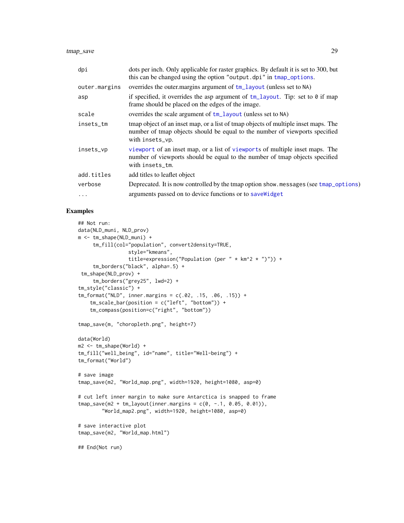tmap\_save 29

| dpi           | dots per inch. Only applicable for raster graphics. By default it is set to 300, but<br>this can be changed using the option "output.dpi" in tmap_options.                           |
|---------------|--------------------------------------------------------------------------------------------------------------------------------------------------------------------------------------|
| outer.margins | overrides the outer margins argument of tm_layout (unless set to NA)                                                                                                                 |
| asp           | if specified, it overrides the asp argument of $tm_l$ ayout. Tip: set to 0 if map<br>frame should be placed on the edges of the image.                                               |
| scale         | overrides the scale argument of tm_layout (unless set to NA)                                                                                                                         |
| insets_tm     | tmap object of an inset map, or a list of tmap objects of multiple inset maps. The<br>number of tmap objects should be equal to the number of viewports specified<br>with insets_vp. |
| insets_vp     | viewport of an inset map, or a list of viewports of multiple inset maps. The<br>number of viewports should be equal to the number of tmap objects specified<br>with insets_tm.       |
| add.titles    | add titles to leaflet object                                                                                                                                                         |
| verbose       | Deprecated. It is now controlled by the tmap option show messages (see tmap_options)                                                                                                 |
| $\ddotsc$     | arguments passed on to device functions or to save Widget                                                                                                                            |

```
## Not run:
data(NLD_muni, NLD_prov)
m <- tm_shape(NLD_muni) +
     tm_fill(col="population", convert2density=TRUE,
                 style="kmeans",
                 title=expression("Population (per " * km^2 * ")")) +
     tm_borders("black", alpha=.5) +
 tm_shape(NLD_prov) +
     tm_borders("grey25", lwd=2) +
tm_style("classic") +
tm_format("NLD", inner.margins = c(.02, .15, .06, .15)) +
    tm_scale_bar(position = c("left", "bottom")) +
    tm_compass(position=c("right", "bottom"))
tmap_save(m, "choropleth.png", height=7)
data(World)
m2 <- tm_shape(World) +
tm_fill("well_being", id="name", title="Well-being") +
tm_format("World")
# save image
tmap_save(m2, "World_map.png", width=1920, height=1080, asp=0)
# cut left inner margin to make sure Antarctica is snapped to frame
tmap_save(m2 + tm_layout(inner.margins = c(0, -1, 0.05, 0.01)),
        "World_map2.png", width=1920, height=1080, asp=0)
# save interactive plot
tmap_save(m2, "World_map.html")
## End(Not run)
```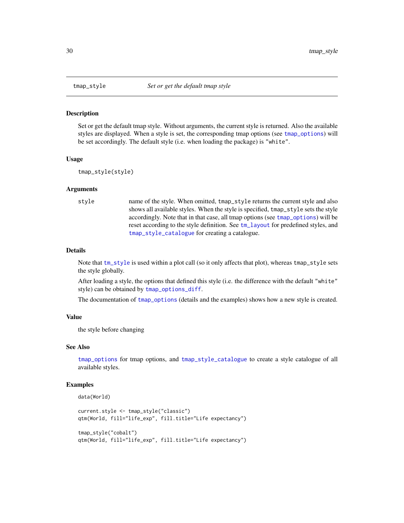#### Description

Set or get the default tmap style. Without arguments, the current style is returned. Also the available styles are displayed. When a style is set, the corresponding tmap options (see [tmap\\_options](#page-23-1)) will be set accordingly. The default style (i.e. when loading the package) is "white".

#### Usage

```
tmap_style(style)
```
#### Arguments

```
style name of the style. When omitted, tmap_style returns the current style and also
                  shows all available styles. When the style is specified, tmap_style sets the style
                  accordingly. Note that in that case, all tmap options (see tmap_options) will be
                  reset according to the style definition. See tm_layout for predefined styles, and
                  tmap_style_catalogue for creating a catalogue.
```
# Details

Note that [tm\\_style](#page-49-2) is used within a plot call (so it only affects that plot), whereas tmap\_style sets the style globally.

After loading a style, the options that defined this style (i.e. the difference with the default "white" style) can be obtained by [tmap\\_options\\_diff](#page-23-2).

The documentation of [tmap\\_options](#page-23-1) (details and the examples) shows how a new style is created.

#### Value

the style before changing

#### See Also

[tmap\\_options](#page-23-1) for tmap options, and [tmap\\_style\\_catalogue](#page-30-1) to create a style catalogue of all available styles.

```
data(World)
```

```
current.style <- tmap_style("classic")
qtm(World, fill="life_exp", fill.title="Life expectancy")
tmap_style("cobalt")
qtm(World, fill="life_exp", fill.title="Life expectancy")
```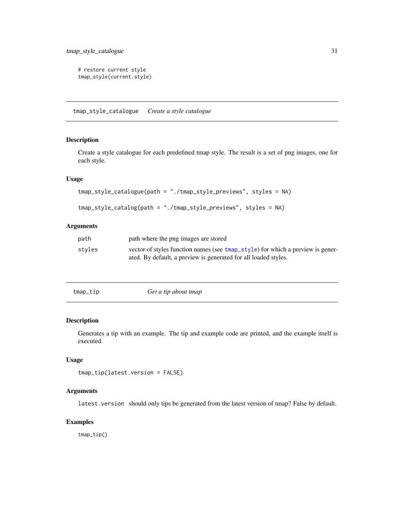<span id="page-30-0"></span>tmap\_style\_catalogue 31

```
# restore current style
tmap_style(current.style)
```
<span id="page-30-1"></span>tmap\_style\_catalogue *Create a style catalogue*

# Description

Create a style catalogue for each predefined tmap style. The result is a set of png images, one for each style.

#### Usage

```
tmap_style_catalogue(path = "./tmap_style_previews", styles = NA)
```

```
tmap_style_catalog(path = "./tmap_style_previews", styles = NA)
```
#### Arguments

| path   | path where the png images are stored                                                                                                              |
|--------|---------------------------------------------------------------------------------------------------------------------------------------------------|
| styles | vector of styles function names (see tmap_style) for which a preview is gener-<br>ated. By default, a preview is generated for all loaded styles. |

| Get a tip about tmap<br>tmap_tip |
|----------------------------------|
|----------------------------------|

#### Description

Generates a tip with an example. The tip and example code are printed, and the example itself is executed.

# Usage

```
tmap_tip(latest.version = FALSE)
```
# Arguments

latest.version should only tips be generated from the latest version of tmap? False by default.

# Examples

tmap\_tip()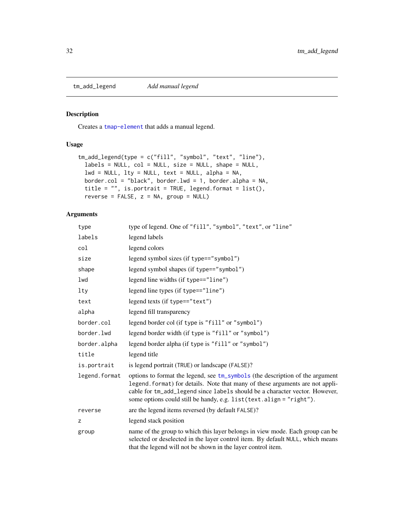<span id="page-31-0"></span>

# Description

Creates a [tmap-element](#page-13-1) that adds a manual legend.

# Usage

```
tm_add_legend(type = c("fill", "symbol", "text", "line"),
  labels = NULL, col = NULL, size = NULL, shape = NULL,
  lwd = NULL, lty = NULL, text = NULL, advt = NULL, alpha = NA,
 border.col = "black", border.lwd = 1, border.alpha = NA,
  title = "", is.portrait = TRUE, legend.format = list(),
  reverse = FALSE, z = NA, group = NULL)
```

| type          | type of legend. One of "fill", "symbol", "text", or "line"                                                                                                                                                                                                                                                           |
|---------------|----------------------------------------------------------------------------------------------------------------------------------------------------------------------------------------------------------------------------------------------------------------------------------------------------------------------|
| labels        | legend labels                                                                                                                                                                                                                                                                                                        |
| col           | legend colors                                                                                                                                                                                                                                                                                                        |
| size          | legend symbol sizes (if type=="symbol")                                                                                                                                                                                                                                                                              |
| shape         | legend symbol shapes (if type=="symbol")                                                                                                                                                                                                                                                                             |
| lwd           | legend line widths (if type=="line")                                                                                                                                                                                                                                                                                 |
| lty           | legend line types (if type=="line")                                                                                                                                                                                                                                                                                  |
| text          | legend texts (if $type=="text"$ )                                                                                                                                                                                                                                                                                    |
| alpha         | legend fill transparency                                                                                                                                                                                                                                                                                             |
| border.col    | legend border col (if type is "fill" or "symbol")                                                                                                                                                                                                                                                                    |
| border.lwd    | legend border width (if type is "fill" or "symbol")                                                                                                                                                                                                                                                                  |
| border.alpha  | legend border alpha (if type is "fill" or "symbol")                                                                                                                                                                                                                                                                  |
| title         | legend title                                                                                                                                                                                                                                                                                                         |
| is.portrait   | is legend portrait (TRUE) or landscape (FALSE)?                                                                                                                                                                                                                                                                      |
| legend.format | options to format the legend, see tm_symbols (the description of the argument<br>legend. format) for details. Note that many of these arguments are not appli-<br>cable for tm_add_legend since labels should be a character vector. However,<br>some options could still be handy, e.g. list(text.align = "right"). |
| reverse       | are the legend items reversed (by default FALSE)?                                                                                                                                                                                                                                                                    |
| z             | legend stack position                                                                                                                                                                                                                                                                                                |
| group         | name of the group to which this layer belongs in view mode. Each group can be<br>selected or deselected in the layer control item. By default NULL, which means<br>that the legend will not be shown in the layer control item.                                                                                      |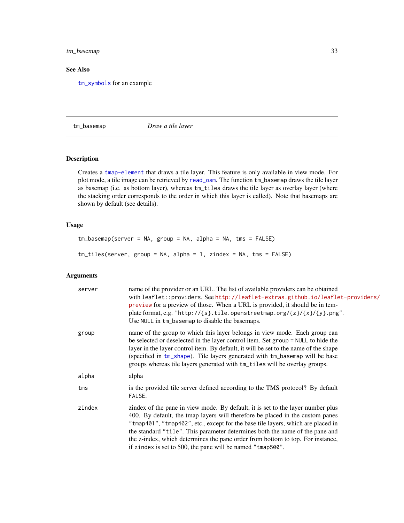<span id="page-32-0"></span>tm\_basemap 33

# See Also

[tm\\_symbols](#page-75-1) for an example

<span id="page-32-1"></span>tm\_basemap *Draw a tile layer*

# <span id="page-32-2"></span>Description

Creates a [tmap-element](#page-13-1) that draws a tile layer. This feature is only available in view mode. For plot mode, a tile image can be retrieved by [read\\_osm](#page-0-0). The function tm\_basemap draws the tile layer as basemap (i.e. as bottom layer), whereas tm\_tiles draws the tile layer as overlay layer (where the stacking order corresponds to the order in which this layer is called). Note that basemaps are shown by default (see details).

# Usage

```
tm_basemap(server = NA, group = NA, alpha = NA, tms = FALSE)
tm_tiles(server, group = NA, alpha = 1, zindex = NA, tms = FALSE)
```

| server | name of the provider or an URL. The list of available providers can be obtained<br>with leaflet::providers. See http://leaflet-extras.github.io/leaflet-providers/<br>preview for a preview of those. When a URL is provided, it should be in tem-<br>plate format, e.g. "http://{s}.tile.openstreetmap.org/{z}/{x}/{y}.png".<br>Use NULL in tm_basemap to disable the basemaps.                                                                                                     |
|--------|--------------------------------------------------------------------------------------------------------------------------------------------------------------------------------------------------------------------------------------------------------------------------------------------------------------------------------------------------------------------------------------------------------------------------------------------------------------------------------------|
| group  | name of the group to which this layer belongs in view mode. Each group can<br>be selected or deselected in the layer control item. Set group = NULL to hide the<br>layer in the layer control item. By default, it will be set to the name of the shape<br>(specified in tm_shape). Tile layers generated with tm_basemap will be base<br>groups whereas tile layers generated with tm_tiles will be overlay groups.                                                                 |
| alpha  | alpha                                                                                                                                                                                                                                                                                                                                                                                                                                                                                |
| tms    | is the provided tile server defined according to the TMS protocol? By default<br>FALSE.                                                                                                                                                                                                                                                                                                                                                                                              |
| zindex | zindex of the pane in view mode. By default, it is set to the layer number plus<br>400. By default, the tmap layers will therefore be placed in the custom panes<br>"tmap401", "tmap402", etc., except for the base tile layers, which are placed in<br>the standard "tile". This parameter determines both the name of the pane and<br>the z-index, which determines the pane order from bottom to top. For instance,<br>if zindex is set to 500, the pane will be named "tmap500". |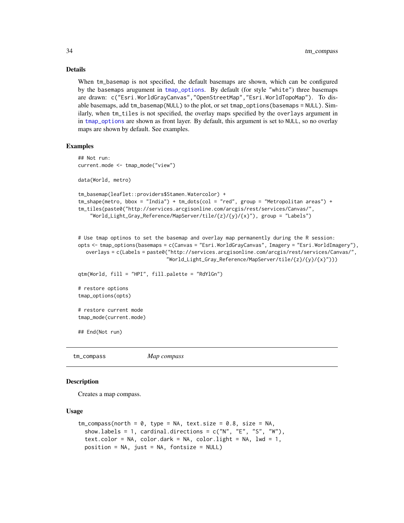# Details

When tm\_basemap is not specified, the default basemaps are shown, which can be configured by the basemaps arugument in [tmap\\_options](#page-23-1). By default (for style "white") three basemaps are drawn: c("Esri.WorldGrayCanvas","OpenStreetMap","Esri.WorldTopoMap"). To disable basemaps, add tm\_basemap(NULL) to the plot, or set tmap\_options(basemaps = NULL). Similarly, when tm\_tiles is not specified, the overlay maps specified by the overlays argument in in [tmap\\_options](#page-23-1) are shown as front layer. By default, this argument is set to NULL, so no overlay maps are shown by default. See examples.

#### Examples

```
## Not run:
current.mode <- tmap_mode("view")
data(World, metro)
tm_basemap(leaflet::providers$Stamen.Watercolor) +
tm_shape(metro, bbox = "India") + tm_dots(col = "red", group = "Metropolitan areas") +
tm_tiles(paste0("http://services.arcgisonline.com/arcgis/rest/services/Canvas/",
    "World_Light_Gray_Reference/MapServer/tile/{z}/{y}/{x}"), group = "Labels")
# Use tmap optinos to set the basemap and overlay map permanently during the R session:
opts <- tmap_options(basemaps = c(Canvas = "Esri.WorldGrayCanvas", Imagery = "Esri.WorldImagery"),
  overlays = c(Labels = paste0("http://services.arcgisonline.com/arcgis/rest/services/Canvas/",
                              "World_Light_Gray_Reference/MapServer/tile/{z}/{y}/{x}")))
qtm(World, fill = "HPI", fill.palette = "RdYlGn")
# restore options
tmap_options(opts)
```
## End(Not run)

# restore current mode tmap\_mode(current.mode)

<span id="page-33-1"></span>tm\_compass *Map compass*

#### Description

Creates a map compass.

#### Usage

```
tm_{\text{compass}}(north = 0, type = NA, text.size = 0.8, size = NA,show.labels = 1, cardinal.directions = c("N", "E", "S", "W"),text.color = NA, color.dark = NA, color.light = NA, lwd = 1,
  position = NA, just = NA, fontsize = NULL)
```
<span id="page-33-0"></span>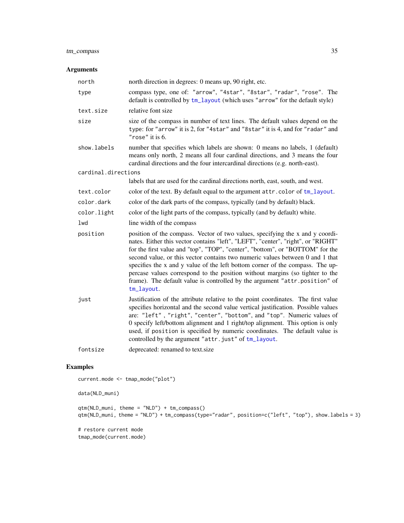# tm\_compass 35

# Arguments

| north               | north direction in degrees: 0 means up, 90 right, etc.                                                                                                                                                                                                                                                                                                                                                                                                                                                                                                                                           |
|---------------------|--------------------------------------------------------------------------------------------------------------------------------------------------------------------------------------------------------------------------------------------------------------------------------------------------------------------------------------------------------------------------------------------------------------------------------------------------------------------------------------------------------------------------------------------------------------------------------------------------|
| type                | compass type, one of: "arrow", "4star", "8star", "radar", "rose". The<br>default is controlled by tm_layout (which uses "arrow" for the default style)                                                                                                                                                                                                                                                                                                                                                                                                                                           |
| text.size           | relative font size                                                                                                                                                                                                                                                                                                                                                                                                                                                                                                                                                                               |
| size                | size of the compass in number of text lines. The default values depend on the<br>type: for "arrow" it is 2, for "4star" and "8star" it is 4, and for "radar" and<br>" $rose$ " it is 6.                                                                                                                                                                                                                                                                                                                                                                                                          |
| show.labels         | number that specifies which labels are shown: 0 means no labels, 1 (default)<br>means only north, 2 means all four cardinal directions, and 3 means the four<br>cardinal directions and the four intercardinal directions (e.g. north-east).                                                                                                                                                                                                                                                                                                                                                     |
| cardinal.directions |                                                                                                                                                                                                                                                                                                                                                                                                                                                                                                                                                                                                  |
|                     | labels that are used for the cardinal directions north, east, south, and west.                                                                                                                                                                                                                                                                                                                                                                                                                                                                                                                   |
| text.color          | color of the text. By default equal to the argument attr.color of tm_layout.                                                                                                                                                                                                                                                                                                                                                                                                                                                                                                                     |
| color.dark          | color of the dark parts of the compass, typically (and by default) black.                                                                                                                                                                                                                                                                                                                                                                                                                                                                                                                        |
| color.light         | color of the light parts of the compass, typically (and by default) white.                                                                                                                                                                                                                                                                                                                                                                                                                                                                                                                       |
| lwd                 | line width of the compass                                                                                                                                                                                                                                                                                                                                                                                                                                                                                                                                                                        |
| position            | position of the compass. Vector of two values, specifying the x and y coordi-<br>nates. Either this vector contains "left", "LEFT", "center", "right", or "RIGHT"<br>for the first value and "top", "TOP", "center", "bottom", or "BOTTOM" for the<br>second value, or this vector contains two numeric values between 0 and 1 that<br>specifies the x and y value of the left bottom corner of the compass. The up-<br>percase values correspond to the position without margins (so tighter to the<br>frame). The default value is controlled by the argument "attr.position" of<br>tm_layout. |
| just                | Justification of the attribute relative to the point coordinates. The first value<br>specifies horizontal and the second value vertical justification. Possible values<br>are: "left", "right", "center", "bottom", and "top". Numeric values of<br>0 specify left/bottom alignment and 1 right/top alignment. This option is only<br>used, if position is specified by numeric coordinates. The default value is<br>controlled by the argument "attr.just" of tm_layout.                                                                                                                        |
| fontsize            | deprecated: renamed to text.size                                                                                                                                                                                                                                                                                                                                                                                                                                                                                                                                                                 |
|                     |                                                                                                                                                                                                                                                                                                                                                                                                                                                                                                                                                                                                  |

```
current.mode <- tmap_mode("plot")
data(NLD_muni)
qtm(NLD_muni, theme = "NLD") + tm_compass()
qtm(NLD_muni, theme = "NLD") + tm_compass(type="radar", position=c("left", "top"), show.labels = 3)
# restore current mode
```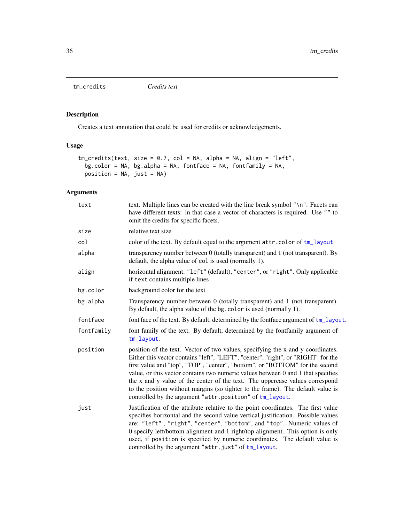<span id="page-35-1"></span><span id="page-35-0"></span>tm\_credits *Credits text*

# Description

Creates a text annotation that could be used for credits or acknowledgements.

# Usage

```
tm\_credits(text, size = 0.7, col = NA, alpha = NA, align = "left",bg.color = NA, bg.alpha = NA, fontface = NA, fontfamily = NA,
 position = NA, just = NA)
```

| text       | text. Multiple lines can be created with the line break symbol "\n". Facets can<br>have different texts: in that case a vector of characters is required. Use "" to<br>omit the credits for specific facets.                                                                                                                                                                                                                                                                                                                                                            |
|------------|-------------------------------------------------------------------------------------------------------------------------------------------------------------------------------------------------------------------------------------------------------------------------------------------------------------------------------------------------------------------------------------------------------------------------------------------------------------------------------------------------------------------------------------------------------------------------|
| size       | relative text size                                                                                                                                                                                                                                                                                                                                                                                                                                                                                                                                                      |
| col        | color of the text. By default equal to the argument attr.color of tm_layout.                                                                                                                                                                                                                                                                                                                                                                                                                                                                                            |
| alpha      | transparency number between 0 (totally transparent) and 1 (not transparent). By<br>default, the alpha value of col is used (normally 1).                                                                                                                                                                                                                                                                                                                                                                                                                                |
| align      | horizontal alignment: "left" (default), "center", or "right". Only applicable<br>if text contains multiple lines                                                                                                                                                                                                                                                                                                                                                                                                                                                        |
| bg.color   | background color for the text                                                                                                                                                                                                                                                                                                                                                                                                                                                                                                                                           |
| bg.alpha   | Transparency number between 0 (totally transparent) and 1 (not transparent).<br>By default, the alpha value of the bg. color is used (normally 1).                                                                                                                                                                                                                                                                                                                                                                                                                      |
| fontface   | font face of the text. By default, determined by the fontface argument of tm_layout.                                                                                                                                                                                                                                                                                                                                                                                                                                                                                    |
| fontfamily | font family of the text. By default, determined by the fontfamily argument of<br>tm_layout.                                                                                                                                                                                                                                                                                                                                                                                                                                                                             |
| position   | position of the text. Vector of two values, specifying the x and y coordinates.<br>Either this vector contains "left", "LEFT", "center", "right", or "RIGHT" for the<br>first value and "top", "TOP", "center", "bottom", or "BOTTOM" for the second<br>value, or this vector contains two numeric values between 0 and 1 that specifies<br>the x and y value of the center of the text. The uppercase values correspond<br>to the position without margins (so tighter to the frame). The default value is<br>controlled by the argument "attr.position" of tm_layout. |
| just       | Justification of the attribute relative to the point coordinates. The first value<br>specifies horizontal and the second value vertical justification. Possible values<br>are: "left", "right", "center", "bottom", and "top". Numeric values of<br>0 specify left/bottom alignment and 1 right/top alignment. This option is only<br>used, if position is specified by numeric coordinates. The default value is<br>controlled by the argument "attr.just" of tm_layout.                                                                                               |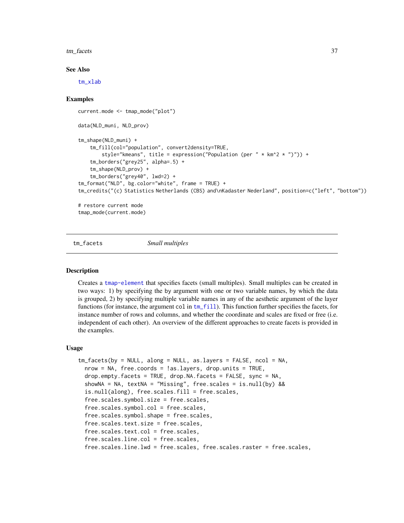#### tm\_facets 37

## See Also

[tm\\_xlab](#page-94-0)

## Examples

```
current.mode <- tmap_mode("plot")
data(NLD_muni, NLD_prov)
tm_shape(NLD_muni) +
    tm_fill(col="population", convert2density=TRUE,
        style="kmeans", title = expression("Population (per " * km^2 * ")")) +
    tm_borders("grey25", alpha=.5) +
    tm_shape(NLD_prov) +
    tm_borders("grey40", lwd=2) +
tm_format("NLD", bg.color="white", frame = TRUE) +
tm_credits("(c) Statistics Netherlands (CBS) and\nKadaster Nederland", position=c("left", "bottom"))
# restore current mode
```
tmap\_mode(current.mode)

<span id="page-36-0"></span>tm\_facets *Small multiples*

## Description

Creates a [tmap-element](#page-13-0) that specifies facets (small multiples). Small multiples can be created in two ways: 1) by specifying the by argument with one or two variable names, by which the data is grouped, 2) by specifying multiple variable names in any of the aesthetic argument of the layer functions (for instance, the argument col in  $tm_f$  fill). This function further specifies the facets, for instance number of rows and columns, and whether the coordinate and scales are fixed or free (i.e. independent of each other). An overview of the different approaches to create facets is provided in the examples.

## Usage

```
tm_facets(by = NULL, along = NULL, as.layers = FALSE, ncol = NA,nrow = NA, free.coords = !as.layers, drop.units = TRUE,
 drop.empty.facets = TRUE, drop.NA.facets = FALSE, sync = NA,
 showNA = NA, textNA = "Missing", free.scales = is.null(by) &&
 is.null(along), free.scales.fill = free.scales,
 free.scales.symbol.size = free.scales,
 free.scales.symbol.col = free.scales,
 free.scales.symbol.shape = free.scales,
 free.scales.text.size = free.scales,
 free.scales.text.col = free.scales,
 free.scales.line.col = free.scales,
 free.scales.line.lwd = free.scales, free.scales.raster = free.scales,
```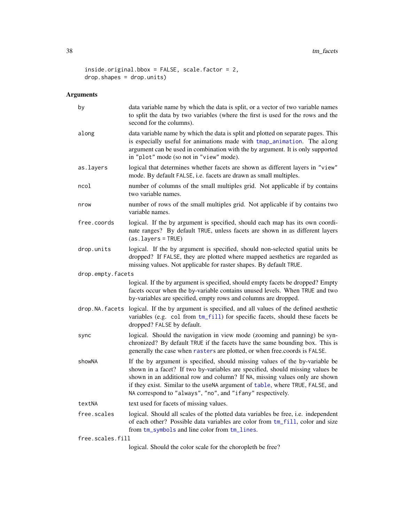```
inside.original.bbox = FALSE, scale.factor = 2,
drop.shapes = drop.units)
```

| by                | data variable name by which the data is split, or a vector of two variable names<br>to split the data by two variables (where the first is used for the rows and the<br>second for the columns).                                                                                                                                                                                            |
|-------------------|---------------------------------------------------------------------------------------------------------------------------------------------------------------------------------------------------------------------------------------------------------------------------------------------------------------------------------------------------------------------------------------------|
| along             | data variable name by which the data is split and plotted on separate pages. This<br>is especially useful for animations made with tmap_animation. The along<br>argument can be used in combination with the by argument. It is only supported<br>in "plot" mode (so not in "view" mode).                                                                                                   |
| as.layers         | logical that determines whether facets are shown as different layers in "view"<br>mode. By default FALSE, i.e. facets are drawn as small multiples.                                                                                                                                                                                                                                         |
| ncol              | number of columns of the small multiples grid. Not applicable if by contains<br>two variable names.                                                                                                                                                                                                                                                                                         |
| nrow              | number of rows of the small multiples grid. Not applicable if by contains two<br>variable names.                                                                                                                                                                                                                                                                                            |
| free.coords       | logical. If the by argument is specified, should each map has its own coordi-<br>nate ranges? By default TRUE, unless facets are shown in as different layers<br>$(as.layers = TRUE)$                                                                                                                                                                                                       |
| drop.units        | logical. If the by argument is specified, should non-selected spatial units be<br>dropped? If FALSE, they are plotted where mapped aesthetics are regarded as<br>missing values. Not applicable for raster shapes. By default TRUE.                                                                                                                                                         |
| drop.empty.facets |                                                                                                                                                                                                                                                                                                                                                                                             |
|                   | logical. If the by argument is specified, should empty facets be dropped? Empty<br>facets occur when the by-variable contains unused levels. When TRUE and two<br>by-variables are specified, empty rows and columns are dropped.                                                                                                                                                           |
|                   | drop. NA. facets logical. If the by argument is specified, and all values of the defined aesthetic<br>variables (e.g. col from tm_fill) for specific facets, should these facets be<br>dropped? FALSE by default.                                                                                                                                                                           |
| sync              | logical. Should the navigation in view mode (zooming and panning) be syn-<br>chronized? By default TRUE if the facets have the same bounding box. This is<br>generally the case when rasters are plotted, or when free.coords is FALSE.                                                                                                                                                     |
| showNA            | If the by argument is specified, should missing values of the by-variable be<br>shown in a facet? If two by-variables are specified, should missing values be<br>shown in an additional row and column? If NA, missing values only are shown<br>if they exist. Similar to the useNA argument of table, where TRUE, FALSE, and<br>NA correspond to "always", "no", and "ifany" respectively. |
| textNA            |                                                                                                                                                                                                                                                                                                                                                                                             |
|                   | text used for facets of missing values.                                                                                                                                                                                                                                                                                                                                                     |
| free.scales       | logical. Should all scales of the plotted data variables be free, i.e. independent<br>of each other? Possible data variables are color from tm_fill, color and size<br>from tm_symbols and line color from tm_lines.                                                                                                                                                                        |
| free.scales.fill  | logical. Should the color scale for the choropleth be free?                                                                                                                                                                                                                                                                                                                                 |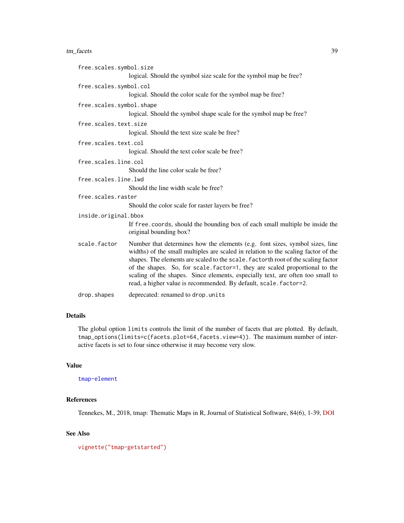#### tm\_facets 39

| free.scales.symbol.size  |                                                                                                                                                                                                                                                                                                                                                                                                                                                                                               |
|--------------------------|-----------------------------------------------------------------------------------------------------------------------------------------------------------------------------------------------------------------------------------------------------------------------------------------------------------------------------------------------------------------------------------------------------------------------------------------------------------------------------------------------|
|                          | logical. Should the symbol size scale for the symbol map be free?                                                                                                                                                                                                                                                                                                                                                                                                                             |
| free.scales.symbol.col   |                                                                                                                                                                                                                                                                                                                                                                                                                                                                                               |
|                          | logical. Should the color scale for the symbol map be free?                                                                                                                                                                                                                                                                                                                                                                                                                                   |
| free.scales.symbol.shape |                                                                                                                                                                                                                                                                                                                                                                                                                                                                                               |
|                          | logical. Should the symbol shape scale for the symbol map be free?                                                                                                                                                                                                                                                                                                                                                                                                                            |
| free.scales.text.size    |                                                                                                                                                                                                                                                                                                                                                                                                                                                                                               |
|                          | logical. Should the text size scale be free?                                                                                                                                                                                                                                                                                                                                                                                                                                                  |
| free.scales.text.col     |                                                                                                                                                                                                                                                                                                                                                                                                                                                                                               |
|                          | logical. Should the text color scale be free?                                                                                                                                                                                                                                                                                                                                                                                                                                                 |
| free.scales.line.col     |                                                                                                                                                                                                                                                                                                                                                                                                                                                                                               |
|                          | Should the line color scale be free?                                                                                                                                                                                                                                                                                                                                                                                                                                                          |
| free.scales.line.lwd     |                                                                                                                                                                                                                                                                                                                                                                                                                                                                                               |
|                          | Should the line width scale be free?                                                                                                                                                                                                                                                                                                                                                                                                                                                          |
| free.scales.raster       |                                                                                                                                                                                                                                                                                                                                                                                                                                                                                               |
|                          | Should the color scale for raster layers be free?                                                                                                                                                                                                                                                                                                                                                                                                                                             |
| inside.original.bbox     |                                                                                                                                                                                                                                                                                                                                                                                                                                                                                               |
|                          | If free coords, should the bounding box of each small multiple be inside the<br>original bounding box?                                                                                                                                                                                                                                                                                                                                                                                        |
| scale.factor             | Number that determines how the elements (e.g. font sizes, symbol sizes, line<br>widths) of the small multiples are scaled in relation to the scaling factor of the<br>shapes. The elements are scaled to the scale. factorth root of the scaling factor<br>of the shapes. So, for scale. factor=1, they are scaled proportional to the<br>scaling of the shapes. Since elements, especially text, are often too small to<br>read, a higher value is recommended. By default, scale. factor=2. |
|                          |                                                                                                                                                                                                                                                                                                                                                                                                                                                                                               |

drop.shapes deprecated: renamed to drop.units

# Details

The global option limits controls the limit of the number of facets that are plotted. By default, tmap\_options(limits=c(facets.plot=64,facets.view=4)). The maximum number of interactive facets is set to four since otherwise it may become very slow.

# Value

[tmap-element](#page-13-0)

## References

Tennekes, M., 2018, tmap: Thematic Maps in R, Journal of Statistical Software, 84(6), 1-39, [DOI](https://doi.org/10.18637/jss.v084.i06)

# See Also

```
vignette("tmap-getstarted")
```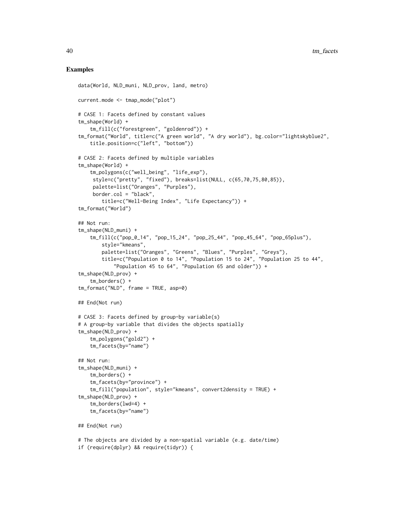## Examples

```
data(World, NLD_muni, NLD_prov, land, metro)
current.mode <- tmap_mode("plot")
# CASE 1: Facets defined by constant values
tm_shape(World) +
    tm_fill(c("forestgreen", "goldenrod")) +
tm_format("World", title=c("A green world", "A dry world"), bg.color="lightskyblue2",
    title.position=c("left", "bottom"))
# CASE 2: Facets defined by multiple variables
tm_shape(World) +
    tm_polygons(c("well_being", "life_exp"),
     style=c("pretty", "fixed"), breaks=list(NULL, c(65,70,75,80,85)),
     palette=list("Oranges", "Purples"),
     border.col = "black",
       title=c("Well-Being Index", "Life Expectancy")) +
tm_format("World")
## Not run:
tm_shape(NLD_muni) +
    tm_fill(c("pop_0_14", "pop_15_24", "pop_25_44", "pop_45_64", "pop_65plus"),
        style="kmeans",
        palette=list("Oranges", "Greens", "Blues", "Purples", "Greys"),
        title=c("Population 0 to 14", "Population 15 to 24", "Population 25 to 44",
            "Population 45 to 64", "Population 65 and older")) +
tm_shape(NLD_prov) +
    tm_borders() +
tm_format("NLD", frame = TRUE, asp=0)
## End(Not run)
# CASE 3: Facets defined by group-by variable(s)
# A group-by variable that divides the objects spatially
tm_shape(NLD_prov) +
    tm_polygons("gold2") +
    tm_facets(by="name")
## Not run:
tm_shape(NLD_muni) +
    tm_borders() +
    tm_facets(by="province") +
    tm_fill("population", style="kmeans", convert2density = TRUE) +
tm_shape(NLD_prov) +
    tm_borders(lwd=4) +
    tm_facets(by="name")
## End(Not run)
# The objects are divided by a non-spatial variable (e.g. date/time)
if (require(dplyr) && require(tidyr)) {
```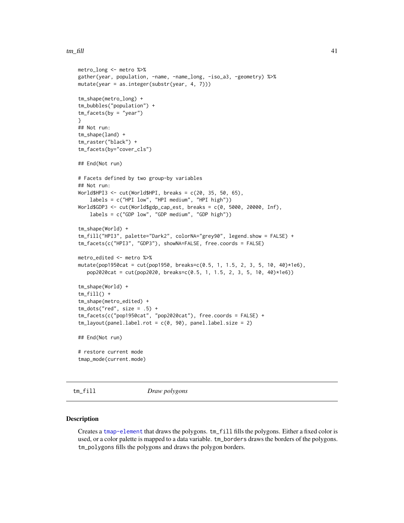### $t_m$  fill  $\frac{41}{2}$

```
metro_long <- metro %>%
gather(year, population, -name, -name_long, -iso_a3, -geometry) %>%
mutate(year = as.integer(substr(year, 4, 7)))
tm_shape(metro_long) +
tm_bubbles("population") +
tm_facets(by = "year")
}
## Not run:
tm_shape(land) +
tm_raster("black") +
tm_facets(by="cover_cls")
## End(Not run)
# Facets defined by two group-by variables
## Not run:
World$HPI3 <- cut(World$HPI, breaks = c(20, 35, 50, 65),
    labels = c("HPI low", "HPI medium", "HPI high"))
World$GDP3 <- cut(World$gdp_cap_est, breaks = c(0, 5000, 20000, Inf),
    labels = c("GDP low", "GDP medium", "GDP high"))
tm_shape(World) +
tm_fill("HPI3", palette="Dark2", colorNA="grey90", legend.show = FALSE) +
tm_facets(c("HPI3", "GDP3"), showNA=FALSE, free.coords = FALSE)
metro_edited <- metro %>%
mutate(pop1950cat = cut(pop1950, breaks=c(0.5, 1, 1.5, 2, 3, 5, 10, 40)*1e6),
   pop2020cat = cut(pop2020, breaks=c(0.5, 1, 1.5, 2, 3, 5, 10, 40)*1e6))
tm_shape(World) +
tm_fill() +tm_shape(metro_edited) +
tm\_dots("red", size = .5) +
tm_facets(c("pop1950cat", "pop2020cat"), free.coords = FALSE) +
tm_layout(panel.label.rot = c(0, 90), panel.label.size = 2)
## End(Not run)
# restore current mode
tmap_mode(current.mode)
```
<span id="page-40-0"></span>tm\_fill *Draw polygons*

#### <span id="page-40-1"></span>Description

Creates a [tmap-element](#page-13-0) that draws the polygons. tm\_fill fills the polygons. Either a fixed color is used, or a color palette is mapped to a data variable. tm\_borders draws the borders of the polygons. tm\_polygons fills the polygons and draws the polygon borders.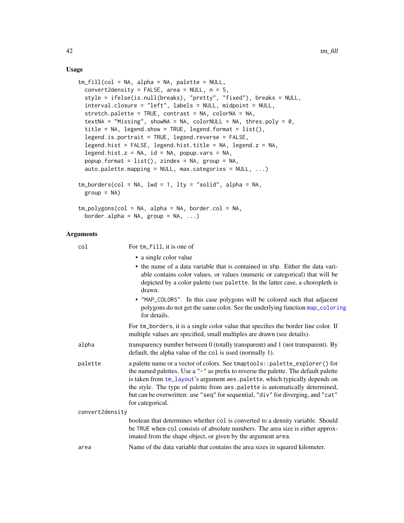## Usage

```
tm_fill(col = NA, alpha = NA, palette = NULL,
 convert2density = FALSE, area = NULL, n = 5,
  style = ifelse(is.null(breaks), "pretty", "fixed"), breaks = NULL,
  interval.closure = "left", labels = NULL, midpoint = NULL,
  stretch.palette = TRUE, contrast = NA, colorNA = NA,
  textNA = "Missing", showNA = NA, colorNULL = NA, thres.poly = \theta,
  title = NA, legend.show = TRUE, legend.format = list(),
  legend.is.portrait = TRUE, legend.reverse = FALSE,
  legend.hist = FALSE, legend.hist.title = NA, legend.z = NA,
  legend.hist.z = NA, id = NA, popup.vars = NA,
 popup.format = list(), zindex = NA, group = NA,
  auto.palette.mapping = NULL, max.categories = NULL, ...)
tm\_borders(col = NA, lwd = 1, lty = "solid", alpha = NA,group = NA)tm_polygons(col = NA, alpha = NA, border.col = NA,
 border.alpha = NA, group = NA, ...)
```

| col             | For tm_fill, it is one of                                                                                                                                                                                                                                                                                                                                                                                                                |
|-----------------|------------------------------------------------------------------------------------------------------------------------------------------------------------------------------------------------------------------------------------------------------------------------------------------------------------------------------------------------------------------------------------------------------------------------------------------|
|                 | • a single color value                                                                                                                                                                                                                                                                                                                                                                                                                   |
|                 | • the name of a data variable that is contained in shp. Either the data vari-<br>able contains color values, or values (numeric or categorical) that will be<br>depicted by a color palette (see palette. In the latter case, a choropleth is<br>drawn.                                                                                                                                                                                  |
|                 | • "MAP_COLORS". In this case polygons will be colored such that adjacent<br>polygons do not get the same color. See the underlying function map_coloring<br>for details.                                                                                                                                                                                                                                                                 |
|                 | For tm_borders, it is a single color value that specifies the border line color. If<br>multiple values are specified, small multiples are drawn (see details).                                                                                                                                                                                                                                                                           |
| alpha           | transparency number between $0$ (totally transparent) and $1$ (not transparent). By<br>default, the alpha value of the col is used (normally 1).                                                                                                                                                                                                                                                                                         |
| palette         | a palette name or a vector of colors. See tmaptools::palette_explorer() for<br>the named palettes. Use a "-" as prefix to reverse the palette. The default palette<br>is taken from tm_layout's argument aes.palette, which typically depends on<br>the style. The type of palette from aes.palette is automatically determined,<br>but can be overwritten: use "seq" for sequential, "div" for diverging, and "cat"<br>for categorical. |
| convert2density |                                                                                                                                                                                                                                                                                                                                                                                                                                          |
|                 | boolean that determines whether col is converted to a density variable. Should<br>be TRUE when col consists of absolute numbers. The area size is either approx-<br>imated from the shape object, or given by the argument area.                                                                                                                                                                                                         |
| area            | Name of the data variable that contains the area sizes in squared kilometer.                                                                                                                                                                                                                                                                                                                                                             |
|                 |                                                                                                                                                                                                                                                                                                                                                                                                                                          |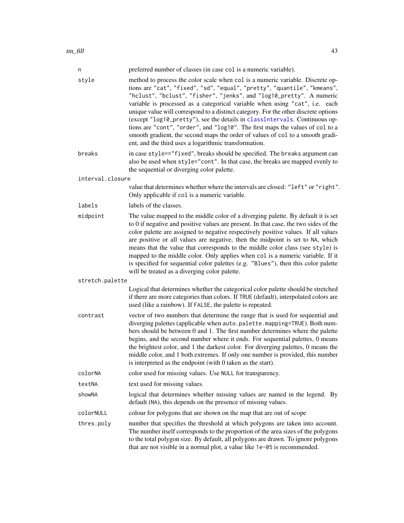| n                | preferred number of classes (in case col is a numeric variable).                                                                                                                                                                                                                                                                                                                                                                                                                                                                                                                                                                                                                                                   |
|------------------|--------------------------------------------------------------------------------------------------------------------------------------------------------------------------------------------------------------------------------------------------------------------------------------------------------------------------------------------------------------------------------------------------------------------------------------------------------------------------------------------------------------------------------------------------------------------------------------------------------------------------------------------------------------------------------------------------------------------|
| style            | method to process the color scale when col is a numeric variable. Discrete op-<br>tions are "cat", "fixed", "sd", "equal", "pretty", "quantile", "kmeans",<br>"hclust", "bclust", "fisher", "jenks", and "log10_pretty". A numeric<br>variable is processed as a categorical variable when using "cat", i.e. each<br>unique value will correspond to a distinct category. For the other discrete options<br>(except "log10_pretty"), see the details in classIntervals. Continuous op-<br>tions are "cont", "order", and "log10". The first maps the values of col to a<br>smooth gradient, the second maps the order of values of col to a smooth gradi-<br>ent, and the third uses a logarithmic transformation. |
| breaks           | in case style=="fixed", breaks should be specified. The breaks argument can<br>also be used when style="cont". In that case, the breaks are mapped evenly to<br>the sequential or diverging color palette.                                                                                                                                                                                                                                                                                                                                                                                                                                                                                                         |
| interval.closure |                                                                                                                                                                                                                                                                                                                                                                                                                                                                                                                                                                                                                                                                                                                    |
|                  | value that determines whether where the intervals are closed: "left" or "right".<br>Only applicable if col is a numeric variable.                                                                                                                                                                                                                                                                                                                                                                                                                                                                                                                                                                                  |
| labels           | labels of the classes.                                                                                                                                                                                                                                                                                                                                                                                                                                                                                                                                                                                                                                                                                             |
| midpoint         | The value mapped to the middle color of a diverging palette. By default it is set<br>to 0 if negative and positive values are present. In that case, the two sides of the<br>color palette are assigned to negative respectively positive values. If all values<br>are positive or all values are negative, then the midpoint is set to NA, which<br>means that the value that corresponds to the middle color class (see style) is<br>mapped to the middle color. Only applies when col is a numeric variable. If it<br>is specified for sequential color palettes (e.g. "Blues"), then this color palette<br>will be treated as a diverging color palette.                                                       |
| stretch.palette  |                                                                                                                                                                                                                                                                                                                                                                                                                                                                                                                                                                                                                                                                                                                    |
|                  | Logical that determines whether the categorical color palette should be stretched<br>if there are more categories than colors. If TRUE (default), interpolated colors are<br>used (like a rainbow). If FALSE, the palette is repeated.                                                                                                                                                                                                                                                                                                                                                                                                                                                                             |
| contrast         | vector of two numbers that determine the range that is used for sequential and<br>diverging palettes (applicable when auto.palette.mapping=TRUE). Both num-<br>bers should be between 0 and 1. The first number determines where the palette<br>begins, and the second number where it ends. For sequential palettes, 0 means<br>the brightest color, and 1 the darkest color. For diverging palettes, 0 means the<br>middle color, and 1 both extremes. If only one number is provided, this number<br>is interpreted as the endpoint (with 0 taken as the start).                                                                                                                                                |
| colorNA          | color used for missing values. Use NULL for transparency.                                                                                                                                                                                                                                                                                                                                                                                                                                                                                                                                                                                                                                                          |
| textNA           | text used for missing values.                                                                                                                                                                                                                                                                                                                                                                                                                                                                                                                                                                                                                                                                                      |
| showNA           | logical that determines whether missing values are named in the legend. By<br>default (NA), this depends on the presence of missing values.                                                                                                                                                                                                                                                                                                                                                                                                                                                                                                                                                                        |
| colorNULL        | colour for polygons that are shown on the map that are out of scope                                                                                                                                                                                                                                                                                                                                                                                                                                                                                                                                                                                                                                                |
| thres.poly       | number that specifies the threshold at which polygons are taken into account.<br>The number itself corresponds to the proportion of the area sizes of the polygons<br>to the total polygon size. By default, all polygons are drawn. To ignore polygons<br>that are not visible in a normal plot, a value like 1e-05 is recommended.                                                                                                                                                                                                                                                                                                                                                                               |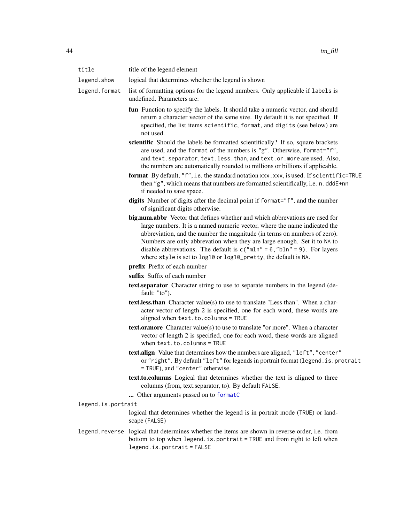| title              | title of the legend element                                                                                                                                                                                                                                                                                                                                                                                                                                          |
|--------------------|----------------------------------------------------------------------------------------------------------------------------------------------------------------------------------------------------------------------------------------------------------------------------------------------------------------------------------------------------------------------------------------------------------------------------------------------------------------------|
| legend.show        | logical that determines whether the legend is shown                                                                                                                                                                                                                                                                                                                                                                                                                  |
| legend.format      | list of formatting options for the legend numbers. Only applicable if labels is<br>undefined. Parameters are:                                                                                                                                                                                                                                                                                                                                                        |
|                    | fun Function to specify the labels. It should take a numeric vector, and should<br>return a character vector of the same size. By default it is not specified. If<br>specified, the list items scientific, format, and digits (see below) are<br>not used.                                                                                                                                                                                                           |
|                    | scientific Should the labels be formatted scientifically? If so, square brackets<br>are used, and the format of the numbers is "g". Otherwise, format="f",<br>and text. separator, text. less. than, and text. or. more are used. Also,<br>the numbers are automatically rounded to millions or billions if applicable.                                                                                                                                              |
|                    | format By default, "f", i.e. the standard notation xxx.xxx, is used. If scientific=TRUE<br>then "g", which means that numbers are formatted scientifically, i.e. n.dddE+nn<br>if needed to save space.                                                                                                                                                                                                                                                               |
|                    | digits Number of digits after the decimal point if format="f", and the number<br>of significant digits otherwise.                                                                                                                                                                                                                                                                                                                                                    |
|                    | big.num.abbr Vector that defines whether and which abbrevations are used for<br>large numbers. It is a named numeric vector, where the name indicated the<br>abbreviation, and the number the magnitude (in terms on numbers of zero).<br>Numbers are only abbrevation when they are large enough. Set it to NA to<br>disable abbrevations. The default is $c("mln" = 6, "bln" = 9)$ . For layers<br>where style is set to log10 or log10_pretty, the default is NA. |
|                    | prefix Prefix of each number                                                                                                                                                                                                                                                                                                                                                                                                                                         |
|                    | suffix Suffix of each number                                                                                                                                                                                                                                                                                                                                                                                                                                         |
|                    | text separator Character string to use to separate numbers in the legend (de-<br>fault: "to").                                                                                                                                                                                                                                                                                                                                                                       |
|                    | text.less.than Character value(s) to use to translate "Less than". When a char-<br>acter vector of length 2 is specified, one for each word, these words are<br>aligned when text.to.columns = TRUE                                                                                                                                                                                                                                                                  |
|                    | <b>text.or.more</b> Character value(s) to use to translate "or more". When a character<br>vector of length 2 is specified, one for each word, these words are aligned<br>when $text.to.columns = TRUE$                                                                                                                                                                                                                                                               |
|                    | text.align Value that determines how the numbers are aligned, "left", "center"<br>or "right". By default "left" for legends in portrait format (legend. is. protrait<br>= TRUE), and "center" otherwise.                                                                                                                                                                                                                                                             |
|                    | text.to.columns Logical that determines whether the text is aligned to three<br>columns (from, text.separator, to). By default FALSE.                                                                                                                                                                                                                                                                                                                                |
| legend.is.portrait | Other arguments passed on to formatC                                                                                                                                                                                                                                                                                                                                                                                                                                 |
|                    | logical that determines whether the legend is in portrait mode (TRUE) or land-                                                                                                                                                                                                                                                                                                                                                                                       |
|                    | scape (FALSE)                                                                                                                                                                                                                                                                                                                                                                                                                                                        |
|                    | legend, reverse logical that determines whether the items are shown in reverse order, i.e. from<br>bottom to top when legend. is. portrait = TRUE and from right to left when<br>$legend.is.portrait = FALSE$                                                                                                                                                                                                                                                        |
|                    |                                                                                                                                                                                                                                                                                                                                                                                                                                                                      |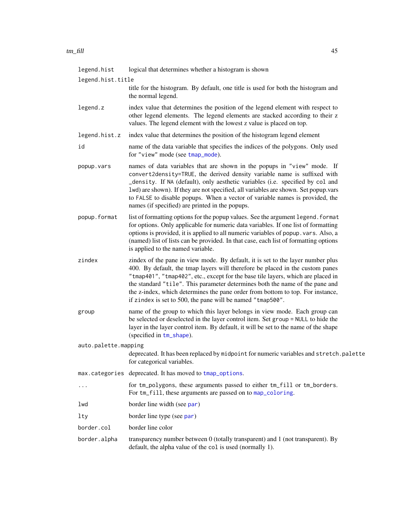| legend.hist          | logical that determines whether a histogram is shown                                                                                                                                                                                                                                                                                                                                                                                                                                 |
|----------------------|--------------------------------------------------------------------------------------------------------------------------------------------------------------------------------------------------------------------------------------------------------------------------------------------------------------------------------------------------------------------------------------------------------------------------------------------------------------------------------------|
| legend.hist.title    |                                                                                                                                                                                                                                                                                                                                                                                                                                                                                      |
|                      | title for the histogram. By default, one title is used for both the histogram and<br>the normal legend.                                                                                                                                                                                                                                                                                                                                                                              |
| legend.z             | index value that determines the position of the legend element with respect to<br>other legend elements. The legend elements are stacked according to their z<br>values. The legend element with the lowest z value is placed on top.                                                                                                                                                                                                                                                |
| legend.hist.z        | index value that determines the position of the histogram legend element                                                                                                                                                                                                                                                                                                                                                                                                             |
| id                   | name of the data variable that specifies the indices of the polygons. Only used<br>for "view" mode (see tmap_mode).                                                                                                                                                                                                                                                                                                                                                                  |
| popup.vars           | names of data variables that are shown in the popups in "view" mode. If<br>convert2density=TRUE, the derived density variable name is suffixed with<br>_density. If NA (default), only aesthetic variables (i.e. specified by col and<br>lwd) are shown). If they are not specified, all variables are shown. Set popup.vars<br>to FALSE to disable popups. When a vector of variable names is provided, the<br>names (if specified) are printed in the popups.                      |
| popup.format         | list of formatting options for the popup values. See the argument legend. format<br>for options. Only applicable for numeric data variables. If one list of formatting<br>options is provided, it is applied to all numeric variables of popup. vars. Also, a<br>(named) list of lists can be provided. In that case, each list of formatting options<br>is applied to the named variable.                                                                                           |
| zindex               | zindex of the pane in view mode. By default, it is set to the layer number plus<br>400. By default, the tmap layers will therefore be placed in the custom panes<br>"tmap401", "tmap402", etc., except for the base tile layers, which are placed in<br>the standard "tile". This parameter determines both the name of the pane and<br>the z-index, which determines the pane order from bottom to top. For instance,<br>if zindex is set to 500, the pane will be named "tmap500". |
| group                | name of the group to which this layer belongs in view mode. Each group can<br>be selected or deselected in the layer control item. Set group = NULL to hide the<br>layer in the layer control item. By default, it will be set to the name of the shape<br>(specified in tm_shape).                                                                                                                                                                                                  |
| auto.palette.mapping |                                                                                                                                                                                                                                                                                                                                                                                                                                                                                      |
|                      | deprecated. It has been replaced by midpoint for numeric variables and stretch.palette<br>for categorical variables.                                                                                                                                                                                                                                                                                                                                                                 |
|                      | max.categories deprecated. It has moved to tmap_options.                                                                                                                                                                                                                                                                                                                                                                                                                             |
| .                    | for tm_polygons, these arguments passed to either tm_fill or tm_borders.<br>For tm_fill, these arguments are passed on to map_coloring.                                                                                                                                                                                                                                                                                                                                              |
| lwd                  | border line width (see par)                                                                                                                                                                                                                                                                                                                                                                                                                                                          |
| lty                  | border line type (see par)                                                                                                                                                                                                                                                                                                                                                                                                                                                           |
| border.col           | border line color                                                                                                                                                                                                                                                                                                                                                                                                                                                                    |
| border.alpha         | transparency number between $0$ (totally transparent) and $1$ (not transparent). By<br>default, the alpha value of the col is used (normally 1).                                                                                                                                                                                                                                                                                                                                     |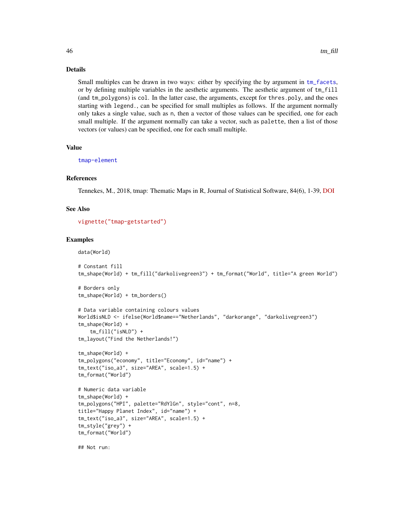## Details

Small multiples can be drawn in two ways: either by specifying the by argument in [tm\\_facets](#page-36-0), or by defining multiple variables in the aesthetic arguments. The aesthetic argument of tm\_fill (and tm\_polygons) is col. In the latter case, the arguments, except for thres.poly, and the ones starting with legend., can be specified for small multiples as follows. If the argument normally only takes a single value, such as n, then a vector of those values can be specified, one for each small multiple. If the argument normally can take a vector, such as palette, then a list of those vectors (or values) can be specified, one for each small multiple.

## Value

[tmap-element](#page-13-0)

## References

Tennekes, M., 2018, tmap: Thematic Maps in R, Journal of Statistical Software, 84(6), 1-39, [DOI](https://doi.org/10.18637/jss.v084.i06)

### See Also

[vignette\("tmap-getstarted"\)](../doc/tmap-getstarted.html)

## Examples

data(World)

```
# Constant fill
tm_shape(World) + tm_fill("darkolivegreen3") + tm_format("World", title="A green World")
# Borders only
tm_shape(World) + tm_borders()
# Data variable containing colours values
World$isNLD <- ifelse(World$name=="Netherlands", "darkorange", "darkolivegreen3")
tm_shape(World) +
    tm_fill("isNLD") +
tm_layout("Find the Netherlands!")
tm_shape(World) +
tm_polygons("economy", title="Economy", id="name") +
tm_text("iso_a3", size="AREA", scale=1.5) +
tm_format("World")
# Numeric data variable
tm_shape(World) +
tm_polygons("HPI", palette="RdYlGn", style="cont", n=8,
title="Happy Planet Index", id="name") +
tm_text("iso_a3", size="AREA", scale=1.5) +
tm_style("grey") +
tm_format("World")
```
## Not run: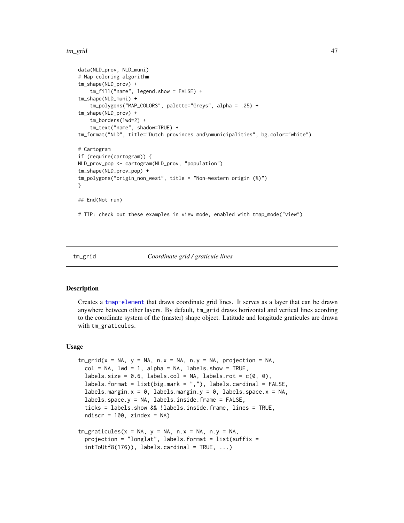#### tm\_grid 47

```
data(NLD_prov, NLD_muni)
# Map coloring algorithm
tm_shape(NLD_prov) +
    tm_fill("name", legend.show = FALSE) +
tm_shape(NLD_muni) +
    tm_polygons("MAP_COLORS", palette="Greys", alpha = .25) +
tm_shape(NLD_prov) +
    tm_borders(lwd=2) +
    tm_text("name", shadow=TRUE) +
tm_format("NLD", title="Dutch provinces and\nmunicipalities", bg.color="white")
# Cartogram
if (require(cartogram)) {
NLD_prov_pop <- cartogram(NLD_prov, "population")
tm_shape(NLD_prov_pop) +
tm_polygons("origin_non_west", title = "Non-western origin (%)")
}
## End(Not run)
# TIP: check out these examples in view mode, enabled with tmap_mode("view")
```
#### tm\_grid *Coordinate grid / graticule lines*

### Description

Creates a [tmap-element](#page-13-0) that draws coordinate grid lines. It serves as a layer that can be drawn anywhere between other layers. By default, tm\_grid draws horizontal and vertical lines acording to the coordinate system of the (master) shape object. Latitude and longitude graticules are drawn with tm\_graticules.

#### Usage

```
tm\_grid(x = NA, y = NA, n.x = NA, n.y = NA, projection = NA,col = NA, 1wd = 1, alpha = NA, 1abels.show = TRUE,
  labels.size = 0.6, labels.col = NA, labels.rot = c(0, 0),
  labels.format = list(big.mark = ","), labels.cardinal = FALSE,
  labels.margin.x = 0, labels.margin.y = 0, labels.space.x = NA,
  labels.space.y = NA, labels.inside.frame = FALSE,
  ticks = labels.show && !labels.inside.frame, lines = TRUE,
  ndiscr = 100, zindex = NA)
tm\_graticules(x = NA, y = NA, n.x = NA, n.y = NA,projection = "longlat", labels.format = list(suffix =
  intToUtf8(176), labels.cardinal = TRUE, ...)
```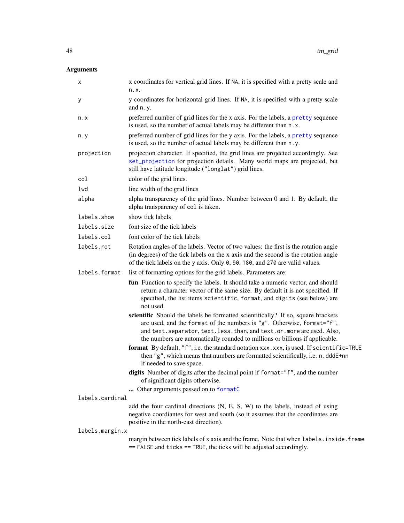| х               | x coordinates for vertical grid lines. If NA, it is specified with a pretty scale and<br>n.x.                                                                                                                                                                                                                           |
|-----------------|-------------------------------------------------------------------------------------------------------------------------------------------------------------------------------------------------------------------------------------------------------------------------------------------------------------------------|
| у               | y coordinates for horizontal grid lines. If NA, it is specified with a pretty scale<br>and $n.y$ .                                                                                                                                                                                                                      |
| n.x             | preferred number of grid lines for the x axis. For the labels, a pretty sequence<br>is used, so the number of actual labels may be different than n.x.                                                                                                                                                                  |
| n.y             | preferred number of grid lines for the y axis. For the labels, a pretty sequence<br>is used, so the number of actual labels may be different than n.y.                                                                                                                                                                  |
| projection      | projection character. If specified, the grid lines are projected accordingly. See<br>set_projection for projection details. Many world maps are projected, but<br>still have latitude longitude ("longlat") grid lines.                                                                                                 |
| col             | color of the grid lines.                                                                                                                                                                                                                                                                                                |
| lwd             | line width of the grid lines                                                                                                                                                                                                                                                                                            |
| alpha           | alpha transparency of the grid lines. Number between 0 and 1. By default, the<br>alpha transparency of col is taken.                                                                                                                                                                                                    |
| labels.show     | show tick labels                                                                                                                                                                                                                                                                                                        |
| labels.size     | font size of the tick labels                                                                                                                                                                                                                                                                                            |
| labels.col      | font color of the tick labels                                                                                                                                                                                                                                                                                           |
| labels.rot      | Rotation angles of the labels. Vector of two values: the first is the rotation angle<br>(in degrees) of the tick labels on the x axis and the second is the rotation angle<br>of the tick labels on the y axis. Only 0, 90, 180, and 270 are valid values.                                                              |
| labels.format   | list of formatting options for the grid labels. Parameters are:                                                                                                                                                                                                                                                         |
|                 | fun Function to specify the labels. It should take a numeric vector, and should<br>return a character vector of the same size. By default it is not specified. If<br>specified, the list items scientific, format, and digits (see below) are<br>not used.                                                              |
|                 | scientific Should the labels be formatted scientifically? If so, square brackets<br>are used, and the format of the numbers is "g". Otherwise, format="f",<br>and text. separator, text. less. than, and text. or. more are used. Also,<br>the numbers are automatically rounded to millions or billions if applicable. |
|                 | format By default, "f", i.e. the standard notation xxx.xxx, is used. If scientific=TRUE<br>then "g", which means that numbers are formatted scientifically, i.e. n.dddE+nn<br>if needed to save space.                                                                                                                  |
|                 | digits Number of digits after the decimal point if format="f", and the number<br>of significant digits otherwise.                                                                                                                                                                                                       |
|                 | Other arguments passed on to formatC                                                                                                                                                                                                                                                                                    |
| labels.cardinal |                                                                                                                                                                                                                                                                                                                         |
|                 | add the four cardinal directions (N, E, S, W) to the labels, instead of using<br>negative coordiantes for west and south (so it assumes that the coordinates are<br>positive in the north-east direction).                                                                                                              |
| labels.margin.x |                                                                                                                                                                                                                                                                                                                         |
|                 | margin between tick labels of x axis and the frame. Note that when labels. inside. frame<br>== FALSE and ticks == TRUE, the ticks will be adjusted accordingly.                                                                                                                                                         |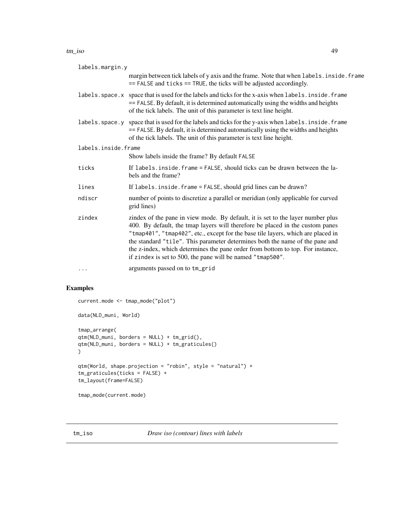#### tm\_iso 49

| labels.margin.y     |                                                                                                                                                                                                                                                                                                                                                                                                                                                                                      |
|---------------------|--------------------------------------------------------------------------------------------------------------------------------------------------------------------------------------------------------------------------------------------------------------------------------------------------------------------------------------------------------------------------------------------------------------------------------------------------------------------------------------|
|                     | margin between tick labels of y axis and the frame. Note that when labels. inside. frame<br>$==$ FALSE and ticks $==$ TRUE, the ticks will be adjusted accordingly.                                                                                                                                                                                                                                                                                                                  |
|                     | labels. space. x space that is used for the labels and ticks for the x-axis when labels. inside. frame<br>== FALSE. By default, it is determined automatically using the widths and heights<br>of the tick labels. The unit of this parameter is text line height.                                                                                                                                                                                                                   |
|                     | labels. space. y space that is used for the labels and ticks for the y-axis when labels. inside. frame<br>== FALSE. By default, it is determined automatically using the widths and heights<br>of the tick labels. The unit of this parameter is text line height.                                                                                                                                                                                                                   |
| labels.inside.frame |                                                                                                                                                                                                                                                                                                                                                                                                                                                                                      |
|                     | Show labels inside the frame? By default FALSE                                                                                                                                                                                                                                                                                                                                                                                                                                       |
| ticks               | If labels. inside. frame = FALSE, should ticks can be drawn between the la-<br>bels and the frame?                                                                                                                                                                                                                                                                                                                                                                                   |
| lines               | If labels. inside. frame = FALSE, should grid lines can be drawn?                                                                                                                                                                                                                                                                                                                                                                                                                    |
| ndiscr              | number of points to discretize a parallel or meridian (only applicable for curved<br>grid lines)                                                                                                                                                                                                                                                                                                                                                                                     |
| zindex              | zindex of the pane in view mode. By default, it is set to the layer number plus<br>400. By default, the tmap layers will therefore be placed in the custom panes<br>"tmap401", "tmap402", etc., except for the base tile layers, which are placed in<br>the standard "tile". This parameter determines both the name of the pane and<br>the z-index, which determines the pane order from bottom to top. For instance,<br>if zindex is set to 500, the pane will be named "tmap500". |
| $\cdot$             | arguments passed on to tm_grid                                                                                                                                                                                                                                                                                                                                                                                                                                                       |

# Examples

```
current.mode <- tmap_mode("plot")
data(NLD_muni, World)
tmap_arrange(
qtm(NLD_muni, borders = NULL) + tm_grid(),
qtm(NLD_muni, borders = NULL) + tm_graticules()
)
qtm(World, shape.projection = "robin", style = "natural") +
tm_graticules(ticks = FALSE) +
tm_layout(frame=FALSE)
tmap_mode(current.mode)
```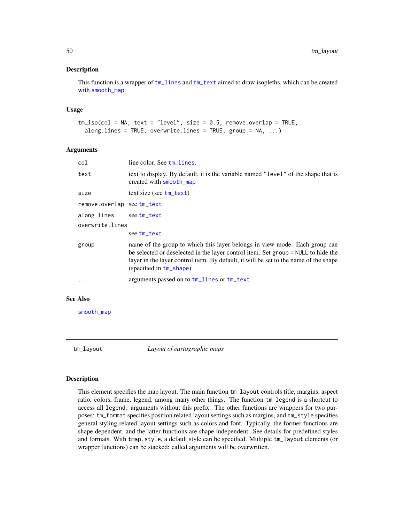## Description

This function is a wrapper of [tm\\_lines](#page-58-0) and [tm\\_text](#page-85-0) aimed to draw isopleths, which can be created with [smooth\\_map](#page-0-0).

## Usage

```
tm\_iso(col = NA, text = "level", size = 0.5, remove.cverlap = TRUE,along.lines = TRUE, overwrite.lines = TRUE, group = NA, ...)
```
### Arguments

| col                       | line color. See tm_lines.                                                                                                                                                                                                                                                               |
|---------------------------|-----------------------------------------------------------------------------------------------------------------------------------------------------------------------------------------------------------------------------------------------------------------------------------------|
| text                      | text to display. By default, it is the variable named "level" of the shape that is<br>created with smooth_map                                                                                                                                                                           |
| size                      | $text size (see tm_test)$                                                                                                                                                                                                                                                               |
| remove.overlap seetm_text |                                                                                                                                                                                                                                                                                         |
| along.lines               | see tm_text                                                                                                                                                                                                                                                                             |
| overwrite.lines           |                                                                                                                                                                                                                                                                                         |
|                           | see tm_text                                                                                                                                                                                                                                                                             |
| group                     | name of the group to which this layer belongs in view mode. Each group can<br>be selected or deselected in the layer control item. Set group = NULL to hide the<br>layer in the layer control item. By default, it will be set to the name of the shape<br>(specified in $tm\_shape$ ). |
| .                         | arguments passed on to tm_lines or tm_text                                                                                                                                                                                                                                              |
|                           |                                                                                                                                                                                                                                                                                         |

# See Also

[smooth\\_map](#page-0-0)

<span id="page-49-0"></span>tm\_layout *Layout of cartographic maps*

## Description

This element specifies the map layout. The main function tm\_layout controls title, margins, aspect ratio, colors, frame, legend, among many other things. The function tm\_legend is a shortcut to access all legend. arguments without this prefix. The other functions are wrappers for two purposes: tm\_format specifies position related layout settings such as margins, and tm\_style specifies general styling related layout settings such as colors and font. Typically, the former functions are shape dependent, and the latter functions are shape independent. See details for predefined styles and formats. With tmap.style, a default style can be specified. Multiple tm\_layout elements (or wrapper functions) can be stacked: called arguments will be overwritten.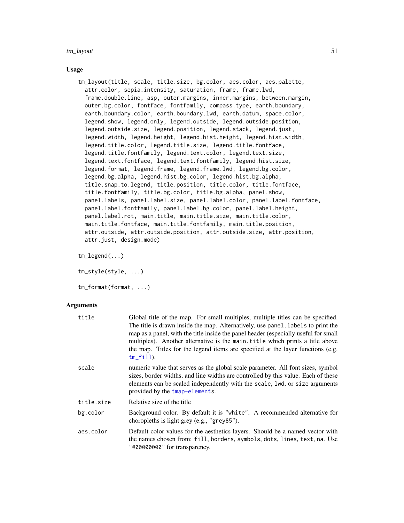#### tm\_layout 51

### Usage

tm\_layout(title, scale, title.size, bg.color, aes.color, aes.palette, attr.color, sepia.intensity, saturation, frame, frame.lwd, frame.double.line, asp, outer.margins, inner.margins, between.margin, outer.bg.color, fontface, fontfamily, compass.type, earth.boundary, earth.boundary.color, earth.boundary.lwd, earth.datum, space.color, legend.show, legend.only, legend.outside, legend.outside.position, legend.outside.size, legend.position, legend.stack, legend.just, legend.width, legend.height, legend.hist.height, legend.hist.width, legend.title.color, legend.title.size, legend.title.fontface, legend.title.fontfamily, legend.text.color, legend.text.size, legend.text.fontface, legend.text.fontfamily, legend.hist.size, legend.format, legend.frame, legend.frame.lwd, legend.bg.color, legend.bg.alpha, legend.hist.bg.color, legend.hist.bg.alpha, title.snap.to.legend, title.position, title.color, title.fontface, title.fontfamily, title.bg.color, title.bg.alpha, panel.show, panel.labels, panel.label.size, panel.label.color, panel.label.fontface, panel.label.fontfamily, panel.label.bg.color, panel.label.height, panel.label.rot, main.title, main.title.size, main.title.color, main.title.fontface, main.title.fontfamily, main.title.position, attr.outside, attr.outside.position, attr.outside.size, attr.position, attr.just, design.mode)

tm\_legend(...)

tm\_style(style, ...)

tm\_format(format, ...)

| title      | Global title of the map. For small multiples, multiple titles can be specified.<br>The title is drawn inside the map. Alternatively, use panel. labels to print the<br>map as a panel, with the title inside the panel header (especially useful for small<br>multiples). Another alternative is the main title which prints a title above<br>the map. Titles for the legend items are specified at the layer functions (e.g.<br>$tm_fill$ . |
|------------|----------------------------------------------------------------------------------------------------------------------------------------------------------------------------------------------------------------------------------------------------------------------------------------------------------------------------------------------------------------------------------------------------------------------------------------------|
| scale      | numeric value that serves as the global scale parameter. All font sizes, symbol<br>sizes, border widths, and line widths are controlled by this value. Each of these<br>elements can be scaled independently with the scale, lwd, or size arguments<br>provided by the tmap-elements.                                                                                                                                                        |
| title.size | Relative size of the title                                                                                                                                                                                                                                                                                                                                                                                                                   |
| bg.color   | Background color. By default it is "white". A recommended alternative for<br>choropleths is light grey (e.g., "grey85").                                                                                                                                                                                                                                                                                                                     |
| aes.color  | Default color values for the aesthetics layers. Should be a named vector with<br>the names chosen from: fill, borders, symbols, dots, lines, text, na. Use<br>"#00000000" for transparency.                                                                                                                                                                                                                                                  |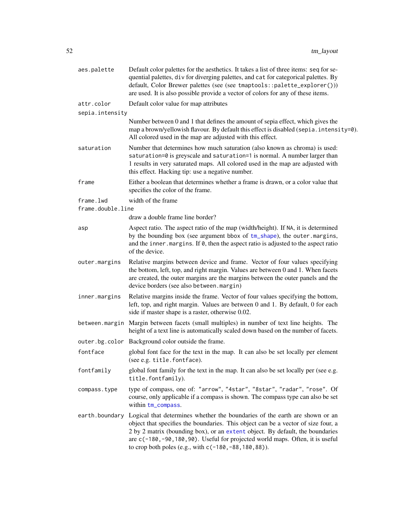| aes.palette                    | Default color palettes for the aesthetics. It takes a list of three items: seq for se-<br>quential palettes, div for diverging palettes, and cat for categorical palettes. By<br>default, Color Brewer palettes (see (see tmaptools::palette_explorer()))<br>are used. It is also possible provide a vector of colors for any of these items.                                               |
|--------------------------------|---------------------------------------------------------------------------------------------------------------------------------------------------------------------------------------------------------------------------------------------------------------------------------------------------------------------------------------------------------------------------------------------|
| attr.color                     | Default color value for map attributes                                                                                                                                                                                                                                                                                                                                                      |
| sepia.intensity                |                                                                                                                                                                                                                                                                                                                                                                                             |
|                                | Number between 0 and 1 that defines the amount of sepia effect, which gives the<br>map a brown/yellowish flavour. By default this effect is disabled (sepia.intensity=0).<br>All colored used in the map are adjusted with this effect.                                                                                                                                                     |
| saturation                     | Number that determines how much saturation (also known as chroma) is used:<br>saturation=0 is greyscale and saturation=1 is normal. A number larger than<br>1 results in very saturated maps. All colored used in the map are adjusted with<br>this effect. Hacking tip: use a negative number.                                                                                             |
| frame                          | Either a boolean that determines whether a frame is drawn, or a color value that<br>specifies the color of the frame.                                                                                                                                                                                                                                                                       |
| frame.lwd<br>frame.double.line | width of the frame                                                                                                                                                                                                                                                                                                                                                                          |
|                                | draw a double frame line border?                                                                                                                                                                                                                                                                                                                                                            |
| asp                            | Aspect ratio. The aspect ratio of the map (width/height). If NA, it is determined<br>by the bounding box (see argument bbox of tm_shape), the outer margins,<br>and the inner margins. If $\theta$ , then the aspect ratio is adjusted to the aspect ratio<br>of the device.                                                                                                                |
| outer.margins                  | Relative margins between device and frame. Vector of four values specifying<br>the bottom, left, top, and right margin. Values are between 0 and 1. When facets<br>are created, the outer margins are the margins between the outer panels and the<br>device borders (see also between.margin)                                                                                              |
| inner.margins                  | Relative margins inside the frame. Vector of four values specifying the bottom,<br>left, top, and right margin. Values are between 0 and 1. By default, 0 for each<br>side if master shape is a raster, otherwise 0.02.                                                                                                                                                                     |
|                                | between margin Margin between facets (small multiples) in number of text line heights. The<br>height of a text line is automatically scaled down based on the number of facets.                                                                                                                                                                                                             |
| outer.bg.color                 | Background color outside the frame.                                                                                                                                                                                                                                                                                                                                                         |
| fontface                       | global font face for the text in the map. It can also be set locally per element<br>(see e.g. title. fontface).                                                                                                                                                                                                                                                                             |
| fontfamily                     | global font family for the text in the map. It can also be set locally per (see e.g.<br>title.fontfamily).                                                                                                                                                                                                                                                                                  |
| compass.type                   | type of compass, one of: "arrow", "4star", "8star", "radar", "rose". Of<br>course, only applicable if a compass is shown. The compass type can also be set<br>within tm_compass.                                                                                                                                                                                                            |
| earth.boundary                 | Logical that determines whether the boundaries of the earth are shown or an<br>object that specifies the boundaries. This object can be a vector of size four, a<br>2 by 2 matrix (bounding box), or an extent object. By default, the boundaries<br>are c(-180,-90,180,90). Useful for projected world maps. Often, it is useful<br>to crop both poles (e.g., with c(-180, -88, 180, 88)). |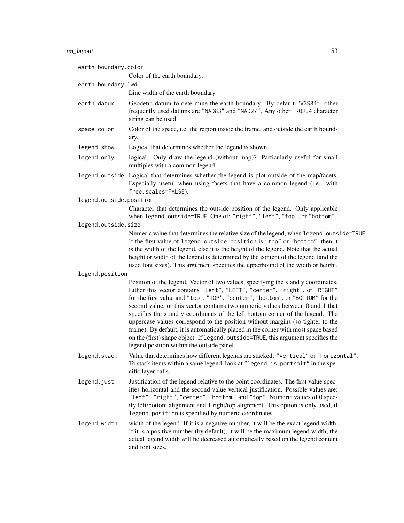# tm\_layout 53

| earth.boundary.color    |                                                                                                                                                                                                                                                                                                                                                                                                                                                                                                                                                                                                                                                                                                                              |
|-------------------------|------------------------------------------------------------------------------------------------------------------------------------------------------------------------------------------------------------------------------------------------------------------------------------------------------------------------------------------------------------------------------------------------------------------------------------------------------------------------------------------------------------------------------------------------------------------------------------------------------------------------------------------------------------------------------------------------------------------------------|
|                         | Color of the earth boundary.                                                                                                                                                                                                                                                                                                                                                                                                                                                                                                                                                                                                                                                                                                 |
| earth.boundary.lwd      |                                                                                                                                                                                                                                                                                                                                                                                                                                                                                                                                                                                                                                                                                                                              |
|                         | Line width of the earth boundary.                                                                                                                                                                                                                                                                                                                                                                                                                                                                                                                                                                                                                                                                                            |
| earth.datum             | Geodetic datum to determine the earth boundary. By default "WGS84", other<br>frequently used datums are "NAD83" and "NAD27". Any other PROJ. 4 character<br>string can be used.                                                                                                                                                                                                                                                                                                                                                                                                                                                                                                                                              |
| space.color             | Color of the space, i.e. the region inside the frame, and outside the earth bound-<br>ary.                                                                                                                                                                                                                                                                                                                                                                                                                                                                                                                                                                                                                                   |
| legend.show             | Logical that determines whether the legend is shown.                                                                                                                                                                                                                                                                                                                                                                                                                                                                                                                                                                                                                                                                         |
| legend.only             | logical. Only draw the legend (without map)? Particularly useful for small<br>multiples with a common legend.                                                                                                                                                                                                                                                                                                                                                                                                                                                                                                                                                                                                                |
|                         | legend.outside Logical that determines whether the legend is plot outside of the map/facets.<br>Especially useful when using facets that have a common legend (i.e. with<br>free.scales=FALSE).                                                                                                                                                                                                                                                                                                                                                                                                                                                                                                                              |
| legend.outside.position |                                                                                                                                                                                                                                                                                                                                                                                                                                                                                                                                                                                                                                                                                                                              |
|                         | Character that determines the outside position of the legend. Only applicable<br>when legend.outside=TRUE. One of: "right", "left", "top", or "bottom".                                                                                                                                                                                                                                                                                                                                                                                                                                                                                                                                                                      |
| legend.outside.size     |                                                                                                                                                                                                                                                                                                                                                                                                                                                                                                                                                                                                                                                                                                                              |
|                         | Numeric value that determines the relative size of the legend, when legend.outside=TRUE.<br>If the first value of legend.outside.position is "top" or "bottom", then it<br>is the width of the legend, else it is the height of the legend. Note that the actual<br>height or width of the legend is determined by the content of the legend (and the<br>used font sizes). This argument specifies the upperbound of the width or height.                                                                                                                                                                                                                                                                                    |
| legend.position         |                                                                                                                                                                                                                                                                                                                                                                                                                                                                                                                                                                                                                                                                                                                              |
|                         | Position of the legend. Vector of two values, specifying the x and y coordinates.<br>Either this vector contains "left", "LEFT", "center", "right", or "RIGHT"<br>for the first value and "top", "TOP", "center", "bottom", or "BOTTOM" for the<br>second value, or this vector contains two numeric values between 0 and 1 that<br>specifies the x and y coordinates of the left bottom corner of the legend. The<br>uppercase values correspond to the position without margins (so tighter to the<br>frame). By default, it is automatically placed in the corner with most space based<br>on the (first) shape object. If legend. outside=TRUE, this argument specifies the<br>legend position within the outside panel. |
| legend.stack            | Value that determines how different legends are stacked: "vertical" or "horizontal".<br>To stack items within a same legend, look at "legend. is. portrait" in the spe-<br>cific layer calls.                                                                                                                                                                                                                                                                                                                                                                                                                                                                                                                                |
| legend.just             | Justification of the legend relative to the point coordinates. The first value spec-<br>ifies horizontal and the second value vertical justification. Possible values are:<br>"left", "right", "center", "bottom", and "top". Numeric values of 0 spec-<br>ify left/bottom alignment and 1 right/top alignment. This option is only used, if<br>legend. position is specified by numeric coordinates.                                                                                                                                                                                                                                                                                                                        |
| legend.width            | width of the legend. If it is a negative number, it will be the exact legend width.<br>If it is a positive number (by default), it will be the maximum legend width; the<br>actual legend width will be decreased automatically based on the legend content<br>and font sizes.                                                                                                                                                                                                                                                                                                                                                                                                                                               |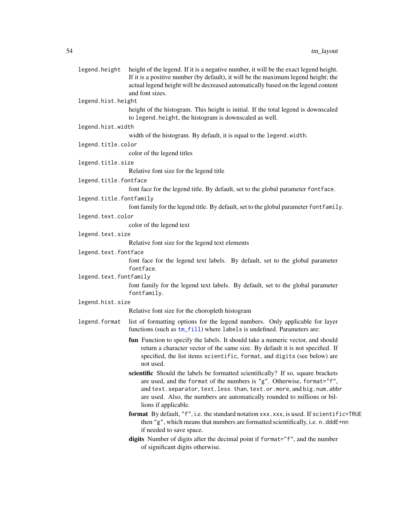| legend.height           | height of the legend. If it is a negative number, it will be the exact legend height.<br>If it is a positive number (by default), it will be the maximum legend height; the<br>actual legend height will be decreased automatically based on the legend content<br>and font sizes.                                                           |
|-------------------------|----------------------------------------------------------------------------------------------------------------------------------------------------------------------------------------------------------------------------------------------------------------------------------------------------------------------------------------------|
| legend.hist.height      |                                                                                                                                                                                                                                                                                                                                              |
|                         | height of the histogram. This height is initial. If the total legend is downscaled<br>to legend. height, the histogram is downscaled as well.                                                                                                                                                                                                |
| legend.hist.width       |                                                                                                                                                                                                                                                                                                                                              |
|                         | width of the histogram. By default, it is equal to the legend.width.                                                                                                                                                                                                                                                                         |
| legend.title.color      |                                                                                                                                                                                                                                                                                                                                              |
|                         | color of the legend titles                                                                                                                                                                                                                                                                                                                   |
| legend.title.size       |                                                                                                                                                                                                                                                                                                                                              |
|                         | Relative font size for the legend title                                                                                                                                                                                                                                                                                                      |
| legend.title.fontface   |                                                                                                                                                                                                                                                                                                                                              |
|                         | font face for the legend title. By default, set to the global parameter fontface.                                                                                                                                                                                                                                                            |
| legend.title.fontfamily |                                                                                                                                                                                                                                                                                                                                              |
|                         | font family for the legend title. By default, set to the global parameter font family.                                                                                                                                                                                                                                                       |
| legend.text.color       |                                                                                                                                                                                                                                                                                                                                              |
|                         | color of the legend text                                                                                                                                                                                                                                                                                                                     |
| legend.text.size        |                                                                                                                                                                                                                                                                                                                                              |
|                         | Relative font size for the legend text elements                                                                                                                                                                                                                                                                                              |
| legend.text.fontface    |                                                                                                                                                                                                                                                                                                                                              |
|                         | font face for the legend text labels. By default, set to the global parameter<br>fontface.                                                                                                                                                                                                                                                   |
| legend.text.fontfamily  |                                                                                                                                                                                                                                                                                                                                              |
|                         | font family for the legend text labels. By default, set to the global parameter<br>fontfamily.                                                                                                                                                                                                                                               |
| legend.hist.size        |                                                                                                                                                                                                                                                                                                                                              |
|                         | Relative font size for the choropleth histogram                                                                                                                                                                                                                                                                                              |
| legend.format           | list of formatting options for the legend numbers. Only applicable for layer<br>functions (such as tm_fill) where labels is undefined. Parameters are:                                                                                                                                                                                       |
|                         | fun Function to specify the labels. It should take a numeric vector, and should<br>return a character vector of the same size. By default it is not specified. If<br>specified, the list items scientific, format, and digits (see below) are<br>not used.                                                                                   |
|                         | scientific Should the labels be formatted scientifically? If so, square brackets<br>are used, and the format of the numbers is "g". Otherwise, format="f",<br>and text. separator, text. less. than, text. or. more, and big. num. abbr<br>are used. Also, the numbers are automatically rounded to millions or bil-<br>lions if applicable. |
|                         | format By default, "f", i.e. the standard notation xxx.xxx, is used. If scientific=TRUE<br>then "g", which means that numbers are formatted scientifically, i.e. n.dddE+nn<br>if needed to save space.                                                                                                                                       |
|                         | digits Number of digits after the decimal point if format="f", and the number<br>of significant digits otherwise.                                                                                                                                                                                                                            |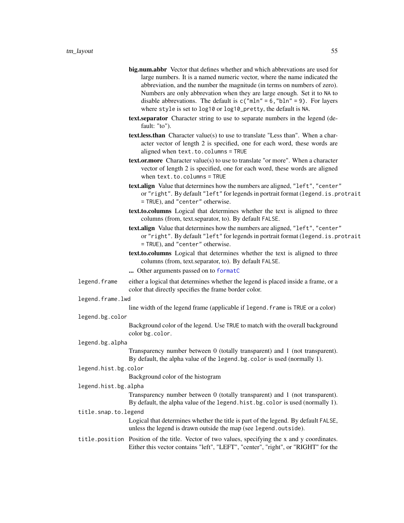- big.num.abbr Vector that defines whether and which abbrevations are used for large numbers. It is a named numeric vector, where the name indicated the abbreviation, and the number the magnitude (in terms on numbers of zero). Numbers are only abbrevation when they are large enough. Set it to NA to disable abbrevations. The default is  $c("mln" = 6, "bln" = 9)$ . For layers where style is set to log10 or log10\_pretty, the default is NA.
- text.separator Character string to use to separate numbers in the legend (default: "to").
- text.less.than Character value(s) to use to translate "Less than". When a character vector of length 2 is specified, one for each word, these words are aligned when text.to.columns = TRUE
- text.or.more Character value(s) to use to translate "or more". When a character vector of length 2 is specified, one for each word, these words are aligned when text.to.columns = TRUE
- text.align Value that determines how the numbers are aligned, "left", "center" or "right". By default "left" for legends in portrait format (legend.is.protrait = TRUE), and "center" otherwise.
- text.to.columns Logical that determines whether the text is aligned to three columns (from, text.separator, to). By default FALSE.
- text.align Value that determines how the numbers are aligned, "left", "center" or "right". By default "left" for legends in portrait format (legend.is.protrait = TRUE), and "center" otherwise.
- text.to.columns Logical that determines whether the text is aligned to three columns (from, text.separator, to). By default FALSE.
- ... Other arguments passed on to [formatC](#page-0-0)
- legend. frame either a logical that determines whether the legend is placed inside a frame, or a color that directly specifies the frame border color.
- legend.frame.lwd

```
line width of the legend frame (applicable if legend. frame is TRUE or a color)
```
legend.bg.color

Background color of the legend. Use TRUE to match with the overall background color bg.color.

legend.bg.alpha

Transparency number between 0 (totally transparent) and 1 (not transparent). By default, the alpha value of the legend.bg.color is used (normally 1).

legend.hist.bg.color

Background color of the histogram

legend.hist.bg.alpha

Transparency number between 0 (totally transparent) and 1 (not transparent). By default, the alpha value of the legend.hist.bg.color is used (normally 1).

## title.snap.to.legend

Logical that determines whether the title is part of the legend. By default FALSE, unless the legend is drawn outside the map (see legend.outside).

title.position Position of the title. Vector of two values, specifying the x and y coordinates. Either this vector contains "left", "LEFT", "center", "right", or "RIGHT" for the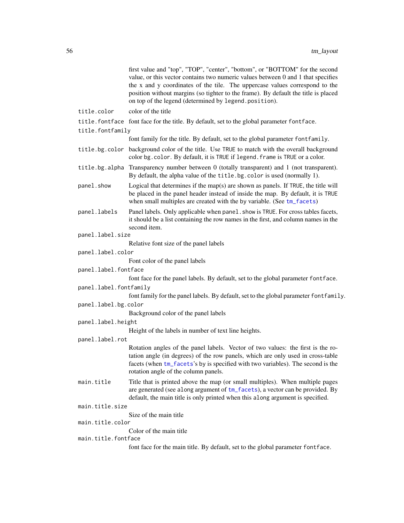|                        | first value and "top", "TOP", "center", "bottom", or "BOTTOM" for the second<br>value, or this vector contains two numeric values between 0 and 1 that specifies<br>the x and y coordinates of the tile. The uppercase values correspond to the<br>position without margins (so tighter to the frame). By default the title is placed<br>on top of the legend (determined by legend.position). |
|------------------------|------------------------------------------------------------------------------------------------------------------------------------------------------------------------------------------------------------------------------------------------------------------------------------------------------------------------------------------------------------------------------------------------|
| title.color            | color of the title                                                                                                                                                                                                                                                                                                                                                                             |
|                        | title. fontface font face for the title. By default, set to the global parameter fontface.                                                                                                                                                                                                                                                                                                     |
| title.fontfamily       |                                                                                                                                                                                                                                                                                                                                                                                                |
|                        | font family for the title. By default, set to the global parameter font family.                                                                                                                                                                                                                                                                                                                |
| title.bg.color         | background color of the title. Use TRUE to match with the overall background<br>color bg. color. By default, it is TRUE if legend. frame is TRUE or a color.                                                                                                                                                                                                                                   |
|                        | title.bg.alpha Transparency number between 0 (totally transparent) and 1 (not transparent).<br>By default, the alpha value of the title.bg.color is used (normally 1).                                                                                                                                                                                                                         |
| panel.show             | Logical that determines if the map(s) are shown as panels. If $TRUE$ , the title will<br>be placed in the panel header instead of inside the map. By default, it is TRUE<br>when small multiples are created with the by variable. (See tm_facets)                                                                                                                                             |
| panel.labels           | Panel labels. Only applicable when panel . show is TRUE. For cross tables facets,<br>it should be a list containing the row names in the first, and column names in the<br>second item.                                                                                                                                                                                                        |
| panel.label.size       |                                                                                                                                                                                                                                                                                                                                                                                                |
|                        | Relative font size of the panel labels                                                                                                                                                                                                                                                                                                                                                         |
| panel.label.color      |                                                                                                                                                                                                                                                                                                                                                                                                |
|                        | Font color of the panel labels                                                                                                                                                                                                                                                                                                                                                                 |
| panel.label.fontface   |                                                                                                                                                                                                                                                                                                                                                                                                |
|                        | font face for the panel labels. By default, set to the global parameter fontface.                                                                                                                                                                                                                                                                                                              |
| panel.label.fontfamily | font family for the panel labels. By default, set to the global parameter font family.                                                                                                                                                                                                                                                                                                         |
| panel.label.bg.color   |                                                                                                                                                                                                                                                                                                                                                                                                |
|                        | Background color of the panel labels                                                                                                                                                                                                                                                                                                                                                           |
| panel.label.height     |                                                                                                                                                                                                                                                                                                                                                                                                |
|                        | Height of the labels in number of text line heights.                                                                                                                                                                                                                                                                                                                                           |
| panel.label.rot        |                                                                                                                                                                                                                                                                                                                                                                                                |
|                        | Rotation angles of the panel labels. Vector of two values: the first is the ro-<br>tation angle (in degrees) of the row panels, which are only used in cross-table<br>facets (when tm_facets's by is specified with two variables). The second is the<br>rotation angle of the column panels.                                                                                                  |
| main.title             | Title that is printed above the map (or small multiples). When multiple pages<br>are generated (see along argument of tm_facets), a vector can be provided. By<br>default, the main title is only printed when this along argument is specified.                                                                                                                                               |
| main.title.size        |                                                                                                                                                                                                                                                                                                                                                                                                |
| main.title.color       | Size of the main title                                                                                                                                                                                                                                                                                                                                                                         |
|                        | Color of the main title                                                                                                                                                                                                                                                                                                                                                                        |
| main.title.fontface    |                                                                                                                                                                                                                                                                                                                                                                                                |
|                        | font face for the main title. By default, set to the global parameter fontface.                                                                                                                                                                                                                                                                                                                |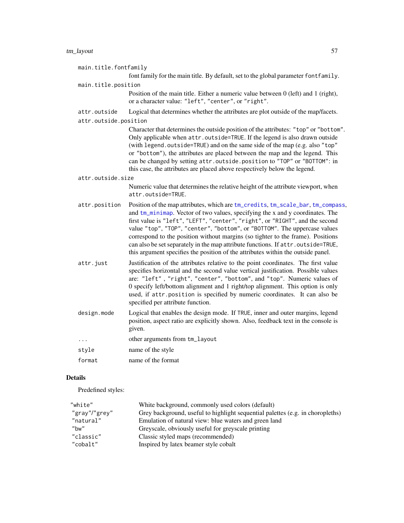# tm\_layout 57

| main.title.fontfamily |                                                                                                                                                                                                                                                                                                                                                                                                                                                                                                                                                                                          |
|-----------------------|------------------------------------------------------------------------------------------------------------------------------------------------------------------------------------------------------------------------------------------------------------------------------------------------------------------------------------------------------------------------------------------------------------------------------------------------------------------------------------------------------------------------------------------------------------------------------------------|
|                       | font family for the main title. By default, set to the global parameter fontfamily.                                                                                                                                                                                                                                                                                                                                                                                                                                                                                                      |
| main.title.position   |                                                                                                                                                                                                                                                                                                                                                                                                                                                                                                                                                                                          |
|                       | Position of the main title. Either a numeric value between $0$ (left) and $1$ (right),<br>or a character value: "left", "center", or "right".                                                                                                                                                                                                                                                                                                                                                                                                                                            |
| attr.outside          | Logical that determines whether the attributes are plot outside of the map/facets.                                                                                                                                                                                                                                                                                                                                                                                                                                                                                                       |
| attr.outside.position |                                                                                                                                                                                                                                                                                                                                                                                                                                                                                                                                                                                          |
|                       | Character that determines the outside position of the attributes: "top" or "bottom".<br>Only applicable when attr.outside=TRUE. If the legend is also drawn outside<br>(with legend.outside=TRUE) and on the same side of the map (e.g. also "top"<br>or "bottom"), the attributes are placed between the map and the legend. This<br>can be changed by setting attr.outside.position to "TOP" or "BOTTOM": in<br>this case, the attributes are placed above respectively below the legend.                                                                                              |
| attr.outside.size     |                                                                                                                                                                                                                                                                                                                                                                                                                                                                                                                                                                                          |
|                       | Numeric value that determines the relative height of the attribute viewport, when<br>attr.outside=TRUE.                                                                                                                                                                                                                                                                                                                                                                                                                                                                                  |
| attr.position         | Position of the map attributes, which are tm_credits, tm_scale_bar, tm_compass,<br>and tm_minimap. Vector of two values, specifying the x and y coordinates. The<br>first value is "left", "LEFT", "center", "right", or "RIGHT", and the second<br>value "top", "TOP", "center", "bottom", or "BOTTOM". The uppercase values<br>correspond to the position without margins (so tighter to the frame). Positions<br>can also be set separately in the map attribute functions. If attr.outside=TRUE,<br>this argument specifies the position of the attributes within the outside panel. |
| attr.just             | Justification of the attributes relative to the point coordinates. The first value<br>specifies horizontal and the second value vertical justification. Possible values<br>are: "left", "right", "center", "bottom", and "top". Numeric values of<br>0 specify left/bottom alignment and 1 right/top alignment. This option is only<br>used, if attr.position is specified by numeric coordinates. It can also be<br>specified per attribute function.                                                                                                                                   |
| design.mode           | Logical that enables the design mode. If TRUE, inner and outer margins, legend<br>position, aspect ratio are explicitly shown. Also, feedback text in the console is<br>given.                                                                                                                                                                                                                                                                                                                                                                                                           |
| $\ldots$              | other arguments from tm_layout                                                                                                                                                                                                                                                                                                                                                                                                                                                                                                                                                           |
| style                 | name of the style                                                                                                                                                                                                                                                                                                                                                                                                                                                                                                                                                                        |
| format                | name of the format                                                                                                                                                                                                                                                                                                                                                                                                                                                                                                                                                                       |

# Details

Predefined styles:

| "white"       | White background, commonly used colors (default)                               |
|---------------|--------------------------------------------------------------------------------|
| "gray"/"grey" | Grey background, useful to highlight sequential palettes (e.g. in choropleths) |
| "natural"     | Emulation of natural view: blue waters and green land                          |
| "bw"          | Greyscale, obviously useful for greyscale printing                             |
| "classic"     | Classic styled maps (recommended)                                              |
| "cobalt"      | Inspired by latex beamer style cobalt                                          |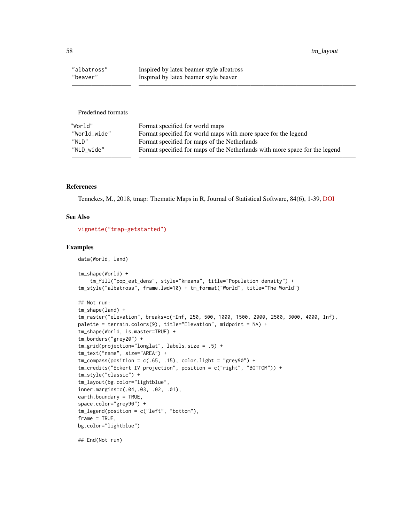58 tm\_layout tm\_layout tm\_layout tm\_layout tm\_layout tm\_layout tm\_layout tm\_layout tm\_layout tm\_layout tm\_

| "albatross" | Inspired by latex beamer style albatross |
|-------------|------------------------------------------|
| "beaver"    | Inspired by latex beamer style beaver    |

Predefined formats

| "World"      | Format specified for world maps                                             |
|--------------|-----------------------------------------------------------------------------|
| "World wide" | Format specified for world maps with more space for the legend              |
| מ ומ"        | Format specified for maps of the Netherlands                                |
| "NLD wide"   | Format specified for maps of the Netherlands with more space for the legend |
|              |                                                                             |

————————— —————————————————————————————————

## References

Tennekes, M., 2018, tmap: Thematic Maps in R, Journal of Statistical Software, 84(6), 1-39, [DOI](https://doi.org/10.18637/jss.v084.i06)

## See Also

[vignette\("tmap-getstarted"\)](../doc/tmap-getstarted.html)

## Examples

```
data(World, land)
tm_shape(World) +
    tm_fill("pop_est_dens", style="kmeans", title="Population density") +
tm_style("albatross", frame.lwd=10) + tm_format("World", title="The World")
## Not run:
tm_shape(land) +
tm_raster("elevation", breaks=c(-Inf, 250, 500, 1000, 1500, 2000, 2500, 3000, 4000, Inf),
palette = terrain.colors(9), title="Elevation", midpoint = NA) +
tm_shape(World, is.master=TRUE) +
tm_borders("grey20") +
tm_grid(projection="longlat", labels.size = .5) +
tm_text("name", size="AREA") +
tm\_compass(position = c(.65, .15), color.light = "grey90") +tm_credits("Eckert IV projection", position = c("right", "BOTTOM")) +
tm_style("classic") +
tm_layout(bg.color="lightblue",
inner.margins=c(.04,.03, .02, .01),
earth.boundary = TRUE,
space.color="grey90") +
tm_legend(position = c("left", "bottom"),
frame = TRUE,
bg.color="lightblue")
```
## End(Not run)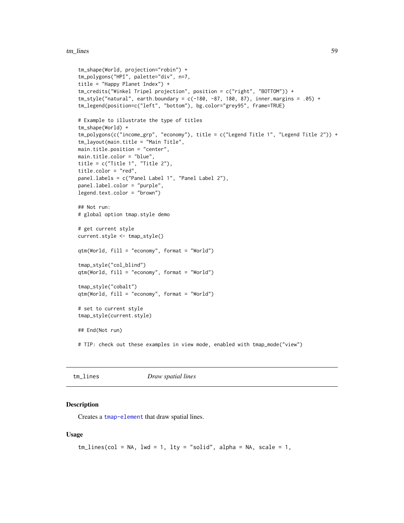#### tm\_lines 59

```
tm_shape(World, projection="robin") +
tm_polygons("HPI", palette="div", n=7,
title = "Happy Planet Index") +
tm_credits("Winkel Tripel projection", position = c("right", "BOTTOM")) +
tm_style("natural", earth.boundary = c(-180, -87, 180, 87), inner.margins = .05) +
tm_legend(position=c("left", "bottom"), bg.color="grey95", frame=TRUE)
# Example to illustrate the type of titles
tm_shape(World) +
tm_polygons(c("income_grp", "economy"), title = c("Legend Title 1", "Legend Title 2")) +
tm_layout(main.title = "Main Title",
main.title.position = "center",
main.title.color = "blue",
title = c("Title 1", "Title 2"),
title.color = "red",
panel.labels = c("Panel Label 1", "Panel Label 2"),
panel.label.color = "purple",
legend.text.color = "brown")
## Not run:
# global option tmap.style demo
# get current style
current.style <- tmap_style()
qtm(World, fill = "economy", format = "World")
tmap_style("col_blind")
qtm(World, fill = "economy", format = "World")
tmap_style("cobalt")
qtm(World, fill = "economy", format = "World")
# set to current style
tmap_style(current.style)
## End(Not run)
# TIP: check out these examples in view mode, enabled with tmap_mode("view")
```
<span id="page-58-0"></span>

| $tm\_lines$<br>Draw spatial lines |
|-----------------------------------|
|-----------------------------------|

## Description

Creates a [tmap-element](#page-13-0) that draw spatial lines.

#### Usage

```
tm\_lines(col = NA, lwd = 1, lty = "solid", alpha = NA, scale = 1,
```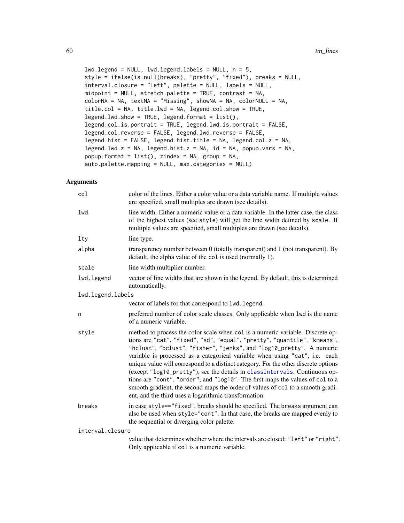```
lwd.legend = NULL, lwd.legend.labels = NULL, n = 5,
style = ifelse(is.null(breaks), "pretty", "fixed"), breaks = NULL,
interval.closure = "left", palette = NULL, labels = NULL,
midpoint = NULL, stretch.palette = TRUE, contrast = NA,
colorNA = NA, textNA = "Missing", showNA = NA, colorNULL = NA,
title.col = NA, title.lwd = NA, legend.col.show = TRUE,
legend.lwd.show = TRUE, legend.format = list(),legend.col.is.portrait = TRUE, legend.lwd.is.portrait = FALSE,
legend.col.reverse = FALSE, legend.lwd.reverse = FALSE,
legend.hist = FALSE, legend.hist.title = NA, legend.col.z = NA,
legend.lwd.z = NA, legend.hist.z = NA, id = NA, popup.vars = NA,
popup.format = list(), zindex = NA, group = NA,
auto.palette.mapping = NULL, max.categories = NULL)
```

| col               | color of the lines. Either a color value or a data variable name. If multiple values<br>are specified, small multiples are drawn (see details).                                                                                                                                                                                                                                                                                                                                                                                                                                                                                                                                                                    |
|-------------------|--------------------------------------------------------------------------------------------------------------------------------------------------------------------------------------------------------------------------------------------------------------------------------------------------------------------------------------------------------------------------------------------------------------------------------------------------------------------------------------------------------------------------------------------------------------------------------------------------------------------------------------------------------------------------------------------------------------------|
| lwd               | line width. Either a numeric value or a data variable. In the latter case, the class<br>of the highest values (see style) will get the line width defined by scale. If<br>multiple values are specified, small multiples are drawn (see details).                                                                                                                                                                                                                                                                                                                                                                                                                                                                  |
| $1$ ty            | line type.                                                                                                                                                                                                                                                                                                                                                                                                                                                                                                                                                                                                                                                                                                         |
| alpha             | transparency number between 0 (totally transparent) and 1 (not transparent). By<br>default, the alpha value of the col is used (normally 1).                                                                                                                                                                                                                                                                                                                                                                                                                                                                                                                                                                       |
| scale             | line width multiplier number.                                                                                                                                                                                                                                                                                                                                                                                                                                                                                                                                                                                                                                                                                      |
| lwd.legend        | vector of line widths that are shown in the legend. By default, this is determined<br>automatically.                                                                                                                                                                                                                                                                                                                                                                                                                                                                                                                                                                                                               |
| lwd.legend.labels |                                                                                                                                                                                                                                                                                                                                                                                                                                                                                                                                                                                                                                                                                                                    |
|                   | vector of labels for that correspond to lwd. legend.                                                                                                                                                                                                                                                                                                                                                                                                                                                                                                                                                                                                                                                               |
| n                 | preferred number of color scale classes. Only applicable when 1wd is the name<br>of a numeric variable.                                                                                                                                                                                                                                                                                                                                                                                                                                                                                                                                                                                                            |
| style             | method to process the color scale when col is a numeric variable. Discrete op-<br>tions are "cat", "fixed", "sd", "equal", "pretty", "quantile", "kmeans",<br>"hclust", "bclust", "fisher", "jenks", and "log10_pretty". A numeric<br>variable is processed as a categorical variable when using "cat", i.e. each<br>unique value will correspond to a distinct category. For the other discrete options<br>(except "log10_pretty"), see the details in classIntervals. Continuous op-<br>tions are "cont", "order", and "log10". The first maps the values of col to a<br>smooth gradient, the second maps the order of values of col to a smooth gradi-<br>ent, and the third uses a logarithmic transformation. |
| breaks            | in case style=="fixed", breaks should be specified. The breaks argument can<br>also be used when style="cont". In that case, the breaks are mapped evenly to<br>the sequential or diverging color palette.                                                                                                                                                                                                                                                                                                                                                                                                                                                                                                         |
| interval.closure  |                                                                                                                                                                                                                                                                                                                                                                                                                                                                                                                                                                                                                                                                                                                    |
|                   | value that determines whether where the intervals are closed: "left" or "right".<br>Only applicable if col is a numeric variable.                                                                                                                                                                                                                                                                                                                                                                                                                                                                                                                                                                                  |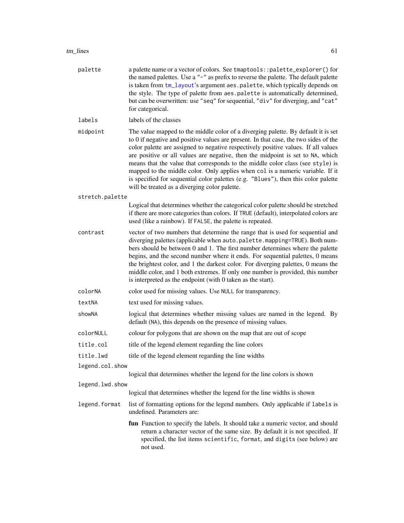| palette         | a palette name or a vector of colors. See tmaptools::palette_explorer() for<br>the named palettes. Use a "-" as prefix to reverse the palette. The default palette<br>is taken from tm_layout's argument aes.palette, which typically depends on<br>the style. The type of palette from aes.palette is automatically determined,<br>but can be overwritten: use "seq" for sequential, "div" for diverging, and "cat"<br>for categorical.                                                                                                                                                                                                                     |
|-----------------|--------------------------------------------------------------------------------------------------------------------------------------------------------------------------------------------------------------------------------------------------------------------------------------------------------------------------------------------------------------------------------------------------------------------------------------------------------------------------------------------------------------------------------------------------------------------------------------------------------------------------------------------------------------|
| labels          | labels of the classes                                                                                                                                                                                                                                                                                                                                                                                                                                                                                                                                                                                                                                        |
| midpoint        | The value mapped to the middle color of a diverging palette. By default it is set<br>to 0 if negative and positive values are present. In that case, the two sides of the<br>color palette are assigned to negative respectively positive values. If all values<br>are positive or all values are negative, then the midpoint is set to NA, which<br>means that the value that corresponds to the middle color class (see style) is<br>mapped to the middle color. Only applies when col is a numeric variable. If it<br>is specified for sequential color palettes (e.g. "Blues"), then this color palette<br>will be treated as a diverging color palette. |
| stretch.palette |                                                                                                                                                                                                                                                                                                                                                                                                                                                                                                                                                                                                                                                              |
|                 | Logical that determines whether the categorical color palette should be stretched<br>if there are more categories than colors. If TRUE (default), interpolated colors are<br>used (like a rainbow). If FALSE, the palette is repeated.                                                                                                                                                                                                                                                                                                                                                                                                                       |
| contrast        | vector of two numbers that determine the range that is used for sequential and<br>diverging palettes (applicable when auto.palette.mapping=TRUE). Both num-<br>bers should be between 0 and 1. The first number determines where the palette<br>begins, and the second number where it ends. For sequential palettes, 0 means<br>the brightest color, and 1 the darkest color. For diverging palettes, 0 means the<br>middle color, and 1 both extremes. If only one number is provided, this number<br>is interpreted as the endpoint (with 0 taken as the start).                                                                                          |
| colorNA         | color used for missing values. Use NULL for transparency.                                                                                                                                                                                                                                                                                                                                                                                                                                                                                                                                                                                                    |
| textNA          | text used for missing values.                                                                                                                                                                                                                                                                                                                                                                                                                                                                                                                                                                                                                                |
| showNA          | logical that determines whether missing values are named in the legend. By<br>default (NA), this depends on the presence of missing values.                                                                                                                                                                                                                                                                                                                                                                                                                                                                                                                  |
| colorNULL       | colour for polygons that are shown on the map that are out of scope                                                                                                                                                                                                                                                                                                                                                                                                                                                                                                                                                                                          |
| title.col       | title of the legend element regarding the line colors                                                                                                                                                                                                                                                                                                                                                                                                                                                                                                                                                                                                        |
| title.lwd       | title of the legend element regarding the line widths                                                                                                                                                                                                                                                                                                                                                                                                                                                                                                                                                                                                        |
| legend.col.show |                                                                                                                                                                                                                                                                                                                                                                                                                                                                                                                                                                                                                                                              |
|                 | logical that determines whether the legend for the line colors is shown                                                                                                                                                                                                                                                                                                                                                                                                                                                                                                                                                                                      |
| legend.lwd.show | logical that determines whether the legend for the line widths is shown                                                                                                                                                                                                                                                                                                                                                                                                                                                                                                                                                                                      |
|                 | list of formatting options for the legend numbers. Only applicable if labels is                                                                                                                                                                                                                                                                                                                                                                                                                                                                                                                                                                              |
| legend.format   | undefined. Parameters are:                                                                                                                                                                                                                                                                                                                                                                                                                                                                                                                                                                                                                                   |
|                 | fun Function to specify the labels. It should take a numeric vector, and should<br>return a character vector of the same size. By default it is not specified. If<br>specified, the list items scientific, format, and digits (see below) are<br>not used.                                                                                                                                                                                                                                                                                                                                                                                                   |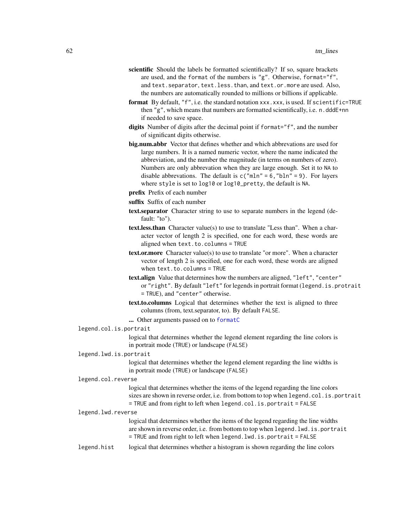- scientific Should the labels be formatted scientifically? If so, square brackets are used, and the format of the numbers is "g". Otherwise, format="f", and text. separator, text. less. than, and text. or. more are used. Also, the numbers are automatically rounded to millions or billions if applicable.
- format By default, "f", i.e. the standard notation xxx.xxx, is used. If scientific=TRUE then "g", which means that numbers are formatted scientifically, i.e. n.dddE+nn if needed to save space.
- digits Number of digits after the decimal point if format="f", and the number of significant digits otherwise.
- big.num.abbr Vector that defines whether and which abbrevations are used for large numbers. It is a named numeric vector, where the name indicated the abbreviation, and the number the magnitude (in terms on numbers of zero). Numbers are only abbrevation when they are large enough. Set it to NA to disable abbrevations. The default is  $c("mln" = 6, "bln" = 9)$ . For layers where style is set to log10 or log10\_pretty, the default is NA.
- prefix Prefix of each number
- suffix Suffix of each number
- text.separator Character string to use to separate numbers in the legend (default: "to").
- text.less.than Character value(s) to use to translate "Less than". When a character vector of length 2 is specified, one for each word, these words are aligned when text.to.columns = TRUE
- text.or.more Character value(s) to use to translate "or more". When a character vector of length 2 is specified, one for each word, these words are aligned when text.to.columns = TRUE
- text.align Value that determines how the numbers are aligned, "left", "center" or "right". By default "left" for legends in portrait format (legend.is.protrait = TRUE), and "center" otherwise.
- text.to.columns Logical that determines whether the text is aligned to three columns (from, text.separator, to). By default FALSE.
- ... Other arguments passed on to [formatC](#page-0-0)

## legend.col.is.portrait

logical that determines whether the legend element regarding the line colors is in portrait mode (TRUE) or landscape (FALSE)

### legend.lwd.is.portrait

logical that determines whether the legend element regarding the line widths is in portrait mode (TRUE) or landscape (FALSE)

#### legend.col.reverse

logical that determines whether the items of the legend regarding the line colors sizes are shown in reverse order, i.e. from bottom to top when legend.col.is.portrait = TRUE and from right to left when legend.col.is.portrait = FALSE

#### legend.lwd.reverse

logical that determines whether the items of the legend regarding the line widths are shown in reverse order, i.e. from bottom to top when legend.lwd.is.portrait = TRUE and from right to left when legend.lwd.is.portrait = FALSE

legend.hist logical that determines whether a histogram is shown regarding the line colors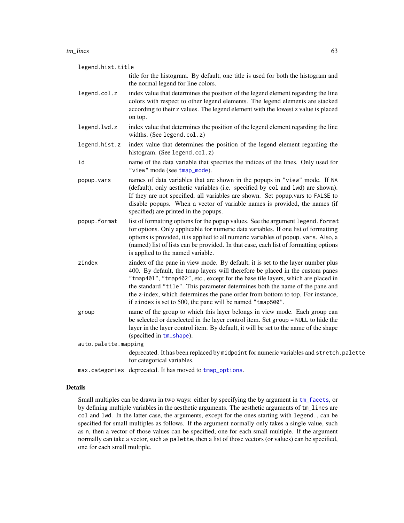#### tm\_lines 63

legend.hist.title

title for the histogram. By default, one title is used for both the histogram and the normal legend for line colors.

- legend.col.z index value that determines the position of the legend element regarding the line colors with respect to other legend elements. The legend elements are stacked according to their z values. The legend element with the lowest z value is placed on top.
- legend.lwd.z index value that determines the position of the legend element regarding the line widths. (See legend.col.z)
- legend.hist.z index value that determines the position of the legend element regarding the histogram. (See legend.col.z)
- id name of the data variable that specifies the indices of the lines. Only used for "view" mode (see [tmap\\_mode](#page-21-0)).
- popup.vars names of data variables that are shown in the popups in "view" mode. If NA (default), only aesthetic variables (i.e. specified by col and lwd) are shown). If they are not specified, all variables are shown. Set popup.vars to FALSE to disable popups. When a vector of variable names is provided, the names (if specified) are printed in the popups.
- popup.format list of formatting options for the popup values. See the argument legend.format for options. Only applicable for numeric data variables. If one list of formatting options is provided, it is applied to all numeric variables of popup.vars. Also, a (named) list of lists can be provided. In that case, each list of formatting options is applied to the named variable.
- zindex zindex of the pane in view mode. By default, it is set to the layer number plus 400. By default, the tmap layers will therefore be placed in the custom panes "tmap401", "tmap402", etc., except for the base tile layers, which are placed in the standard "tile". This parameter determines both the name of the pane and the z-index, which determines the pane order from bottom to top. For instance, if zindex is set to 500, the pane will be named "tmap500".
- group name of the group to which this layer belongs in view mode. Each group can be selected or deselected in the layer control item. Set group = NULL to hide the layer in the layer control item. By default, it will be set to the name of the shape (specified in [tm\\_shape](#page-73-0)).

auto.palette.mapping

deprecated. It has been replaced by midpoint for numeric variables and stretch.palette for categorical variables.

max.categories deprecated. It has moved to [tmap\\_options](#page-23-0).

### Details

Small multiples can be drawn in two ways: either by specifying the by argument in [tm\\_facets](#page-36-0), or by defining multiple variables in the aesthetic arguments. The aesthetic arguments of tm\_lines are col and lwd. In the latter case, the arguments, except for the ones starting with legend., can be specified for small multiples as follows. If the argument normally only takes a single value, such as n, then a vector of those values can be specified, one for each small multiple. If the argument normally can take a vector, such as palette, then a list of those vectors (or values) can be specified, one for each small multiple.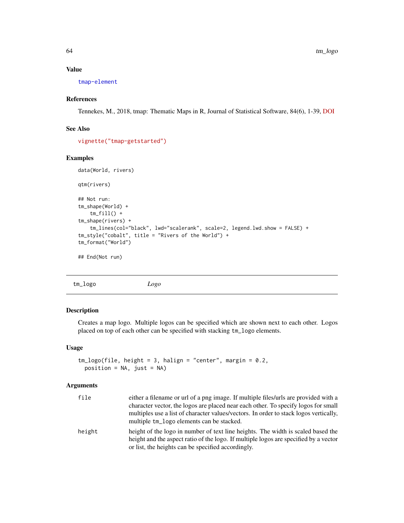## Value

[tmap-element](#page-13-0)

## References

Tennekes, M., 2018, tmap: Thematic Maps in R, Journal of Statistical Software, 84(6), 1-39, [DOI](https://doi.org/10.18637/jss.v084.i06)

## See Also

[vignette\("tmap-getstarted"\)](../doc/tmap-getstarted.html)

### Examples

data(World, rivers)

qtm(rivers)

```
## Not run:
tm_shape(World) +
   tm_fill() +tm_shape(rivers) +
    tm_lines(col="black", lwd="scalerank", scale=2, legend.lwd.show = FALSE) +
tm_style("cobalt", title = "Rivers of the World") +
tm_format("World")
## End(Not run)
```
tm\_logo *Logo*

# Description

Creates a map logo. Multiple logos can be specified which are shown next to each other. Logos placed on top of each other can be specified with stacking tm\_logo elements.

# Usage

```
tm\_logo(file, height = 3, halign = "center", margin = 0.2,position = NA, just = NA)
```

| file   | either a filename or url of a png image. If multiple files/urls are provided with a                                                                                                                                            |
|--------|--------------------------------------------------------------------------------------------------------------------------------------------------------------------------------------------------------------------------------|
|        | character vector, the logos are placed near each other. To specify logos for small                                                                                                                                             |
|        | multiples use a list of character values/vectors. In order to stack logos vertically,<br>multiple tm_logo elements can be stacked.                                                                                             |
| height | height of the logo in number of text line heights. The width is scaled based the<br>height and the aspect ratio of the logo. If multiple logos are specified by a vector<br>or list, the heights can be specified accordingly. |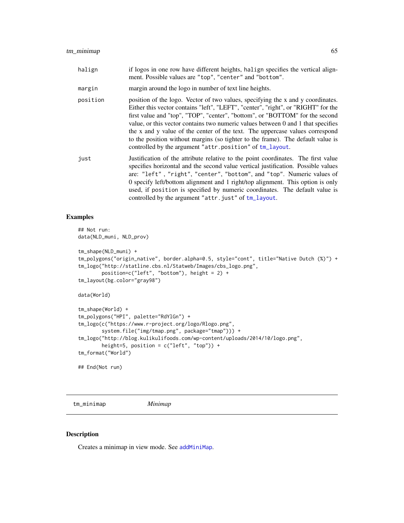| halign | if logos in one row have different heights, halign specifies the vertical align-<br>ment. Possible values are "top", "center" and "bottom". |
|--------|---------------------------------------------------------------------------------------------------------------------------------------------|

margin margin around the logo in number of text line heights.

- position position of the logo. Vector of two values, specifying the x and y coordinates. Either this vector contains "left", "LEFT", "center", "right", or "RIGHT" for the first value and "top", "TOP", "center", "bottom", or "BOTTOM" for the second value, or this vector contains two numeric values between 0 and 1 that specifies the x and y value of the center of the text. The uppercase values correspond to the position without margins (so tighter to the frame). The default value is controlled by the argument "attr.position" of [tm\\_layout](#page-49-0).
- just Justification of the attribute relative to the point coordinates. The first value specifies horizontal and the second value vertical justification. Possible values are: "left" , "right", "center", "bottom", and "top". Numeric values of 0 specify left/bottom alignment and 1 right/top alignment. This option is only used, if position is specified by numeric coordinates. The default value is controlled by the argument "attr.just" of [tm\\_layout](#page-49-0).

## Examples

```
## Not run:
data(NLD_muni, NLD_prov)
tm_shape(NLD_muni) +
tm_polygons("origin_native", border.alpha=0.5, style="cont", title="Native Dutch (%)") +
tm_logo("http://statline.cbs.nl/Statweb/Images/cbs_logo.png",
       position=c("left", "bottom"), height = 2) +
tm_layout(bg.color="gray98")
data(World)
tm_shape(World) +
tm_polygons("HPI", palette="RdYlGn") +
tm_logo(c("https://www.r-project.org/logo/Rlogo.png",
        system.file("img/tmap.png", package="tmap"))) +
tm_logo("http://blog.kulikulifoods.com/wp-content/uploads/2014/10/logo.png",
       height=5, position = c("left", "top")) +
tm_format("World")
```
## End(Not run)

<span id="page-64-0"></span>tm\_minimap *Minimap*

#### **Description**

Creates a minimap in view mode. See [addMiniMap](#page-0-0).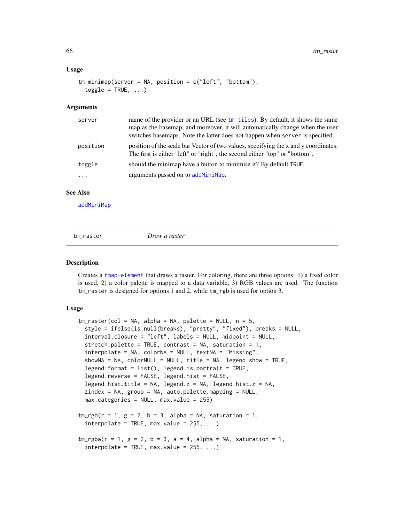## Usage

```
tm\_minimum (server = NA, position = c("left", "bottom"),
  toggle = TRUE, ...
```
#### Arguments

| name of the provider or an URL (see tm_tiles). By default, it shows the same<br>server<br>map as the basemap, and moreover, it will automatically change when the user<br>switches basemaps. Note the latter does not happen when server is specified. |  |
|--------------------------------------------------------------------------------------------------------------------------------------------------------------------------------------------------------------------------------------------------------|--|
| position of the scale bar Vector of two values, specifying the x and y coordinates.<br>position<br>The first is either "left" or "right", the second either "top" or "bottom".                                                                         |  |
| should the minimap have a button to minimise it? By default TRUE.<br>toggle                                                                                                                                                                            |  |
| arguments passed on to add MiniMap.                                                                                                                                                                                                                    |  |

# See Also

[addMiniMap](#page-0-0)

| $tm\_raster$ | Draw a raster |  |
|--------------|---------------|--|
|              |               |  |

#### Description

Creates a [tmap-element](#page-13-0) that draws a raster. For coloring, there are three options: 1) a fixed color is used, 2) a color palette is mapped to a data variable, 3) RGB values are used. The function tm\_raster is designed for options 1 and 2, while tm\_rgb is used for option 3.

## Usage

```
tm\_raster(col = NA, alpha = NA, palette = NULL, n = 5,style = ifelse(is.null(breaks), "pretty", "fixed"), breaks = NULL,
  interval.closure = "left", labels = NULL, midpoint = NULL,
  stretch.palette = TRUE, contrast = NA, saturation = 1,
  interpolate = NA, colorNA = NULL, textNA = "Missing",
  showNA = NA, colorNULL = NULL, title = NA, legend.show = TRUE,
  legend.format = list(), legend.is.portrait = TRUE,legend.reverse = FALSE, legend.hist = FALSE,
  legend.hist.title = NA, legend.z = NA, legend.hist.z = NA,
  zindex = NA, group = NA, auto.palette.mapping = NULL,
 max.categories = NULL, max.value = 255)
tm_rgb(r = 1, g = 2, b = 3, alpha = NA, saturation = 1,interpolate = TRUE, max.value = 255, ...tm_rgba(r = 1, g = 2, b = 3, a = 4, alpha = NA, saturation = 1,interpolate = TRUE, max.value = 255, ...
```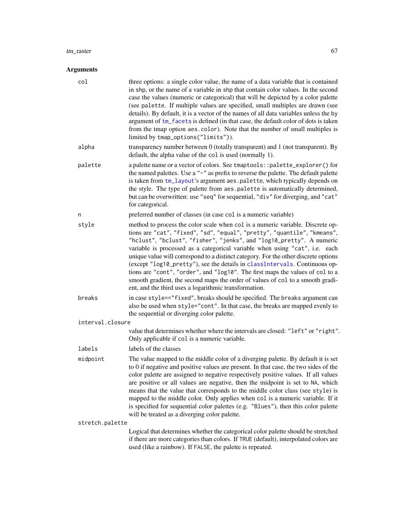#### tm\_raster 67

| col              | three options: a single color value, the name of a data variable that is contained<br>in shp, or the name of a variable in shp that contain color values. In the second<br>case the values (numeric or categorical) that will be depicted by a color palette<br>(see palette. If multiple values are specified, small multiples are drawn (see<br>details). By default, it is a vector of the names of all data variables unless the by<br>argument of tm_facets is defined (in that case, the default color of dots is taken<br>from the tmap option aes.color). Note that the number of small multiples is<br>limited by tmap_options("limits")).                                                                |
|------------------|--------------------------------------------------------------------------------------------------------------------------------------------------------------------------------------------------------------------------------------------------------------------------------------------------------------------------------------------------------------------------------------------------------------------------------------------------------------------------------------------------------------------------------------------------------------------------------------------------------------------------------------------------------------------------------------------------------------------|
| alpha            | transparency number between 0 (totally transparent) and 1 (not transparent). By<br>default, the alpha value of the col is used (normally 1).                                                                                                                                                                                                                                                                                                                                                                                                                                                                                                                                                                       |
| palette          | a palette name or a vector of colors. See tmaptools:: palette_explorer() for<br>the named palettes. Use a "-" as prefix to reverse the palette. The default palette<br>is taken from tm_layout's argument aes.palette, which typically depends on<br>the style. The type of palette from aes.palette is automatically determined,<br>but can be overwritten: use "seq" for sequential, "div" for diverging, and "cat"<br>for categorical.                                                                                                                                                                                                                                                                          |
| n                | preferred number of classes (in case col is a numeric variable)                                                                                                                                                                                                                                                                                                                                                                                                                                                                                                                                                                                                                                                    |
| style            | method to process the color scale when col is a numeric variable. Discrete op-<br>tions are "cat", "fixed", "sd", "equal", "pretty", "quantile", "kmeans",<br>"hclust", "bclust", "fisher", "jenks", and "log10_pretty". A numeric<br>variable is processed as a categorical variable when using "cat", i.e. each<br>unique value will correspond to a distinct category. For the other discrete options<br>(except "log10_pretty"), see the details in classIntervals. Continuous op-<br>tions are "cont", "order", and "log10". The first maps the values of col to a<br>smooth gradient, the second maps the order of values of col to a smooth gradi-<br>ent, and the third uses a logarithmic transformation. |
| breaks           | in case style=="fixed", breaks should be specified. The breaks argument can<br>also be used when style="cont". In that case, the breaks are mapped evenly to<br>the sequential or diverging color palette.                                                                                                                                                                                                                                                                                                                                                                                                                                                                                                         |
| interval.closure |                                                                                                                                                                                                                                                                                                                                                                                                                                                                                                                                                                                                                                                                                                                    |
|                  | value that determines whether where the intervals are closed: "left" or "right".<br>Only applicable if col is a numeric variable.                                                                                                                                                                                                                                                                                                                                                                                                                                                                                                                                                                                  |
| labels           | labels of the classes                                                                                                                                                                                                                                                                                                                                                                                                                                                                                                                                                                                                                                                                                              |
| midpoint         | The value mapped to the middle color of a diverging palette. By default it is set<br>to 0 if negative and positive values are present. In that case, the two sides of the<br>color palette are assigned to negative respectively positive values. If all values<br>are positive or all values are negative, then the midpoint is set to NA, which<br>means that the value that corresponds to the middle color class (see style) is<br>mapped to the middle color. Only applies when col is a numeric variable. If it<br>is specified for sequential color palettes (e.g. "Blues"), then this color palette<br>will be treated as a diverging color palette.                                                       |
| stretch.palette  |                                                                                                                                                                                                                                                                                                                                                                                                                                                                                                                                                                                                                                                                                                                    |
|                  | Logical that determines whether the categorical color palette should be stretched<br>if there are more categories than colors. If TRUE (default), interpolated colors are<br>used (like a rainbow). If FALSE, the palette is repeated.                                                                                                                                                                                                                                                                                                                                                                                                                                                                             |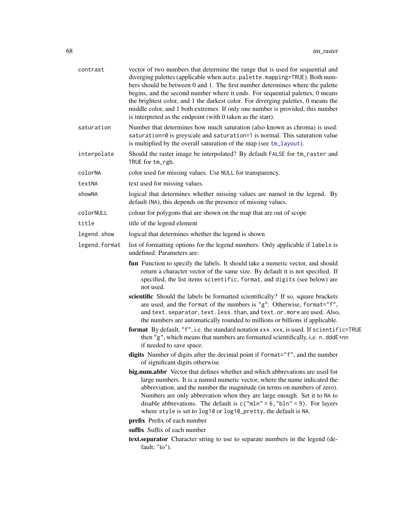| contrast      | vector of two numbers that determine the range that is used for sequential and<br>diverging palettes (applicable when auto.palette.mapping=TRUE). Both num-<br>bers should be between 0 and 1. The first number determines where the palette<br>begins, and the second number where it ends. For sequential palettes, 0 means<br>the brightest color, and 1 the darkest color. For diverging palettes, 0 means the<br>middle color, and 1 both extremes. If only one number is provided, this number<br>is interpreted as the endpoint (with 0 taken as the start). |
|---------------|---------------------------------------------------------------------------------------------------------------------------------------------------------------------------------------------------------------------------------------------------------------------------------------------------------------------------------------------------------------------------------------------------------------------------------------------------------------------------------------------------------------------------------------------------------------------|
| saturation    | Number that determines how much saturation (also known as chroma) is used:<br>saturation=0 is greyscale and saturation=1 is normal. This saturation value<br>is multiplied by the overall saturation of the map (see $tm_l$ layout).                                                                                                                                                                                                                                                                                                                                |
| interpolate   | Should the raster image be interpolated? By default FALSE for tm_raster and<br>TRUE for tm_rgb.                                                                                                                                                                                                                                                                                                                                                                                                                                                                     |
| colorNA       | color used for missing values. Use NULL for transparency.                                                                                                                                                                                                                                                                                                                                                                                                                                                                                                           |
| textNA        | text used for missing values.                                                                                                                                                                                                                                                                                                                                                                                                                                                                                                                                       |
| showNA        | logical that determines whether missing values are named in the legend. By<br>default (NA), this depends on the presence of missing values.                                                                                                                                                                                                                                                                                                                                                                                                                         |
| colorNULL     | colour for polygons that are shown on the map that are out of scope                                                                                                                                                                                                                                                                                                                                                                                                                                                                                                 |
| title         | title of the legend element                                                                                                                                                                                                                                                                                                                                                                                                                                                                                                                                         |
| legend.show   | logical that determines whether the legend is shown                                                                                                                                                                                                                                                                                                                                                                                                                                                                                                                 |
| legend.format | list of formatting options for the legend numbers. Only applicable if labels is<br>undefined. Parameters are:                                                                                                                                                                                                                                                                                                                                                                                                                                                       |
|               | fun Function to specify the labels. It should take a numeric vector, and should<br>return a character vector of the same size. By default it is not specified. If<br>specified, the list items scientific, format, and digits (see below) are<br>not used.                                                                                                                                                                                                                                                                                                          |
|               | scientific Should the labels be formatted scientifically? If so, square brackets<br>are used, and the format of the numbers is "g". Otherwise, format="f",<br>and text. separator, text. less. than, and text. or. more are used. Also,<br>the numbers are automatically rounded to millions or billions if applicable.                                                                                                                                                                                                                                             |
|               | format By default, "f", i.e. the standard notation xxx. xxx, is used. If scientific=TRUE<br>then "g", which means that numbers are formatted scientifically, i.e. n. dddE+nn<br>if needed to save space.                                                                                                                                                                                                                                                                                                                                                            |
|               | digits Number of digits after the decimal point if format="f", and the number<br>of significant digits otherwise.                                                                                                                                                                                                                                                                                                                                                                                                                                                   |
|               | big.num.abbr Vector that defines whether and which abbrevations are used for<br>large numbers. It is a named numeric vector, where the name indicated the<br>abbreviation, and the number the magnitude (in terms on numbers of zero).<br>Numbers are only abbrevation when they are large enough. Set it to NA to<br>disable abbrevations. The default is $c("mln" = 6, "bln" = 9)$ . For layers<br>where style is set to log10 or log10_pretty, the default is NA.<br>prefix Prefix of each number                                                                |
|               | suffix Suffix of each number                                                                                                                                                                                                                                                                                                                                                                                                                                                                                                                                        |
|               | text separator Character string to use to separate numbers in the legend (de-<br>fault: "to").                                                                                                                                                                                                                                                                                                                                                                                                                                                                      |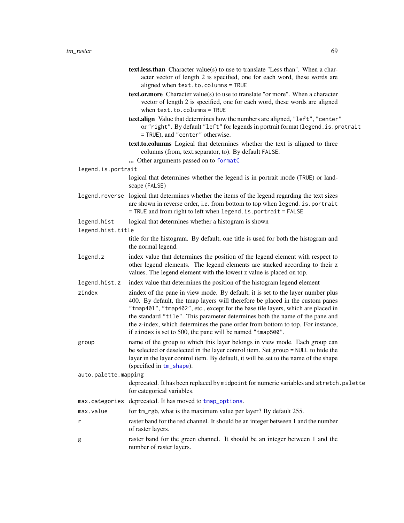- text.less.than Character value(s) to use to translate "Less than". When a character vector of length 2 is specified, one for each word, these words are aligned when text.to.columns = TRUE
- text.or.more Character value(s) to use to translate "or more". When a character vector of length 2 is specified, one for each word, these words are aligned when text.to.columns = TRUE
- text.align Value that determines how the numbers are aligned, "left", "center" or "right". By default "left" for legends in portrait format (legend.is.protrait = TRUE), and "center" otherwise.
- text.to.columns Logical that determines whether the text is aligned to three columns (from, text.separator, to). By default FALSE.
- ... Other arguments passed on to [formatC](#page-0-0)
- legend.is.portrait
	- logical that determines whether the legend is in portrait mode (TRUE) or landscape (FALSE)
- legend.reverse logical that determines whether the items of the legend regarding the text sizes are shown in reverse order, i.e. from bottom to top when legend.is.portrait = TRUE and from right to left when legend.is.portrait = FALSE

legend.hist logical that determines whether a histogram is shown

legend.hist.title

title for the histogram. By default, one title is used for both the histogram and the normal legend.

- legend.z index value that determines the position of the legend element with respect to other legend elements. The legend elements are stacked according to their z values. The legend element with the lowest z value is placed on top.
- legend.hist.z index value that determines the position of the histogram legend element
- zindex zindex of the pane in view mode. By default, it is set to the layer number plus 400. By default, the tmap layers will therefore be placed in the custom panes "tmap401", "tmap402", etc., except for the base tile layers, which are placed in the standard "tile". This parameter determines both the name of the pane and the z-index, which determines the pane order from bottom to top. For instance, if zindex is set to 500, the pane will be named "tmap500".
- group name of the group to which this layer belongs in view mode. Each group can be selected or deselected in the layer control item. Set group = NULL to hide the layer in the layer control item. By default, it will be set to the name of the shape (specified in [tm\\_shape](#page-73-0)).

auto.palette.mapping

- max.categories deprecated. It has moved to [tmap\\_options](#page-23-0).
- max.value for tm\_rgb, what is the maximum value per layer? By default 255.
- r raster band for the red channel. It should be an integer between 1 and the number of raster layers.
- g raster band for the green channel. It should be an integer between 1 and the number of raster layers.

deprecated. It has been replaced by midpoint for numeric variables and stretch.palette for categorical variables.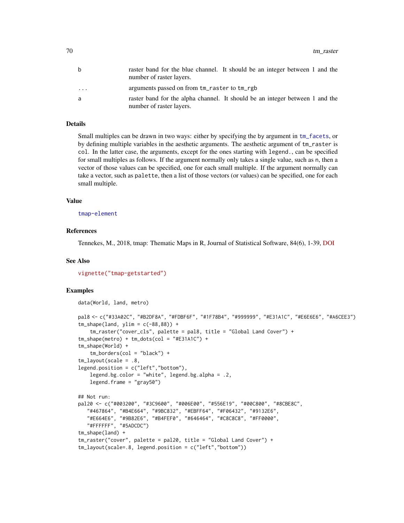| b        | raster band for the blue channel. It should be an integer between 1 and the<br>number of raster layers.  |
|----------|----------------------------------------------------------------------------------------------------------|
| $\cdots$ | arguments passed on from tm_raster to tm_rgb                                                             |
| a        | raster band for the alpha channel. It should be an integer between 1 and the<br>number of raster layers. |

## Details

Small multiples can be drawn in two ways: either by specifying the by argument in [tm\\_facets](#page-36-0), or by defining multiple variables in the aesthetic arguments. The aesthetic argument of tm\_raster is col. In the latter case, the arguments, except for the ones starting with legend., can be specified for small multiples as follows. If the argument normally only takes a single value, such as n, then a vector of those values can be specified, one for each small multiple. If the argument normally can take a vector, such as palette, then a list of those vectors (or values) can be specified, one for each small multiple.

## Value

[tmap-element](#page-13-0)

## References

Tennekes, M., 2018, tmap: Thematic Maps in R, Journal of Statistical Software, 84(6), 1-39, [DOI](https://doi.org/10.18637/jss.v084.i06)

#### See Also

[vignette\("tmap-getstarted"\)](../doc/tmap-getstarted.html)

```
Examples
    data(World, land, metro)
    pal8 <- c("#33A02C", "#B2DF8A", "#FDBF6F", "#1F78B4", "#999999", "#E31A1C", "#E6E6E6", "#A6CEE3")
    tm\_shape(land, ylim = c(-88, 88)) +tm_raster("cover_cls", palette = pal8, title = "Global Land Cover") +
    tm_shape(metro) + tm_dots(col = "#E31A1C") +
    tm_shape(World) +
        tm\_borders(col = "black") +tm_layout(scale = .8,
    legend.position = c("left","bottom"),
        legend.bg.color = "white", legend.bg.alpha = .2,
        legend.frame = "gray50")
    ## Not run:
    pal20 <- c("#003200", "#3C9600", "#006E00", "#556E19", "#00C800", "#8CBE8C",
       "#467864", "#B4E664", "#9BC832", "#EBFF64", "#F06432", "#9132E6",
       "#E664E6", "#9B82E6", "#B4FEF0", "#646464", "#C8C8C8", "#FF0000",
       "#FFFFFF", "#5ADCDC")
    tm_shape(land) +
    tm_raster("cover", palette = pal20, title = "Global Land Cover") +
    tm_layout(scale=.8, legend.position = c("left","bottom"))
```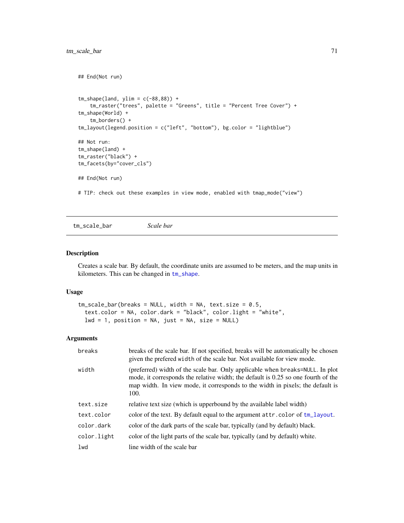```
## End(Not run)
tm\_shape(land, ylim = c(-88, 88)) +
    tm_raster("trees", palette = "Greens", title = "Percent Tree Cover") +
tm_shape(World) +
    tm_borders() +
tm_layout(legend.position = c("left", "bottom"), bg.color = "lightblue")
## Not run:
tm_shape(land) +
tm_raster("black") +
tm_facets(by="cover_cls")
## End(Not run)
# TIP: check out these examples in view mode, enabled with tmap_mode("view")
```
<span id="page-70-0"></span>tm\_scale\_bar *Scale bar*

## Description

Creates a scale bar. By default, the coordinate units are assumed to be meters, and the map units in kilometers. This can be changed in [tm\\_shape](#page-73-0).

## Usage

```
tm\_scale\_bar(breaks = NULL, width = NA, text.size = 0.5,text.color = NA, color.dark = "black", color.light = "white",
 lwd = 1, position = NA, just = NA, size = NULL)
```

| breaks      | breaks of the scale bar. If not specified, breaks will be automatically be chosen<br>given the prefered width of the scale bar. Not available for view mode.                                                                                                 |
|-------------|--------------------------------------------------------------------------------------------------------------------------------------------------------------------------------------------------------------------------------------------------------------|
| width       | (preferred) width of the scale bar. Only applicable when breaks=NULL. In plot<br>mode, it corresponds the relative width; the default is 0.25 so one fourth of the<br>map width. In view mode, it corresponds to the width in pixels; the default is<br>100. |
| text.size   | relative text size (which is upperbound by the available label width)                                                                                                                                                                                        |
| text.color  | color of the text. By default equal to the argument attr.color of tm_layout.                                                                                                                                                                                 |
| color.dark  | color of the dark parts of the scale bar, typically (and by default) black.                                                                                                                                                                                  |
| color.light | color of the light parts of the scale bar, typically (and by default) white.                                                                                                                                                                                 |
| 1wd         | line width of the scale bar                                                                                                                                                                                                                                  |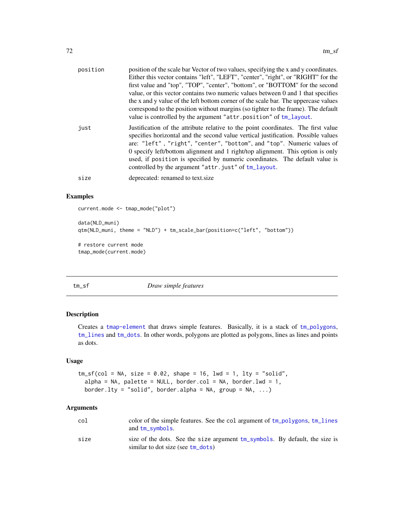| position | position of the scale bar Vector of two values, specifying the x and y coordinates.<br>Either this vector contains "left", "LEFT", "center", "right", or "RIGHT" for the<br>first value and "top", "TOP", "center", "bottom", or "BOTTOM" for the second<br>value, or this vector contains two numeric values between 0 and 1 that specifies<br>the x and y value of the left bottom corner of the scale bar. The uppercase values<br>correspond to the position without margins (so tighter to the frame). The default<br>value is controlled by the argument "attr.position" of tm_layout. |
|----------|----------------------------------------------------------------------------------------------------------------------------------------------------------------------------------------------------------------------------------------------------------------------------------------------------------------------------------------------------------------------------------------------------------------------------------------------------------------------------------------------------------------------------------------------------------------------------------------------|
| just     | Justification of the attribute relative to the point coordinates. The first value<br>specifies horizontal and the second value vertical justification. Possible values<br>are: "left", "right", "center", "bottom", and "top". Numeric values of<br>0 specify left/bottom alignment and 1 right/top alignment. This option is only<br>used, if position is specified by numeric coordinates. The default value is<br>controlled by the argument "attr.just" of tm_layout.                                                                                                                    |
| size     | deprecated: renamed to text.size                                                                                                                                                                                                                                                                                                                                                                                                                                                                                                                                                             |

## Examples

```
current.mode <- tmap_mode("plot")
data(NLD_muni)
qtm(NLD_muni, theme = "NLD") + tm_scale_bar(position=c("left", "bottom"))
# restore current mode
tmap_mode(current.mode)
```
## tm\_sf *Draw simple features*

# Description

Creates a [tmap-element](#page-13-0) that draws simple features. Basically, it is a stack of [tm\\_polygons](#page-40-1), [tm\\_lines](#page-58-0) and [tm\\_dots](#page-75-1). In other words, polygons are plotted as polygons, lines as lines and points as dots.

#### Usage

```
tm_s f(col = NA, size = 0.02, shape = 16, lwd = 1, lty = "solid",alpha = NA, palette = NULL, border.col = NA, border.lwd = 1,
 border.lty = "solid", border.alpha = NA, group = NA, ...)
```

| col  | color of the simple features. See the col argument of tm_polygons, tm_lines<br>and tm_symbols.                   |
|------|------------------------------------------------------------------------------------------------------------------|
| size | size of the dots. See the size argument tm_symbols. By default, the size is<br>similar to dot size (see tm dots) |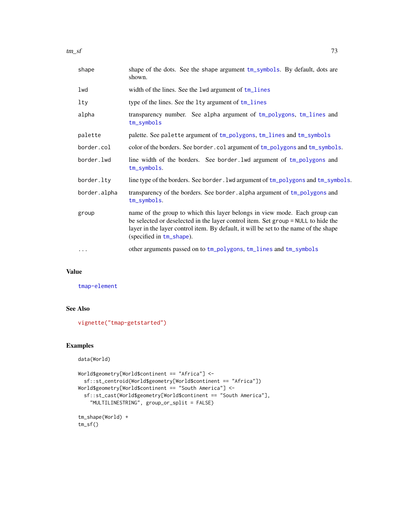<span id="page-72-0"></span>

| shape        | shape of the dots. See the shape argument tm_symbols. By default, dots are<br>shown.                                                                                                                                                                                                |
|--------------|-------------------------------------------------------------------------------------------------------------------------------------------------------------------------------------------------------------------------------------------------------------------------------------|
| lwd          | width of the lines. See the 1wd argument of tm_lines                                                                                                                                                                                                                                |
| lty          | type of the lines. See the 1ty argument of tm_lines                                                                                                                                                                                                                                 |
| alpha        | transparency number. See alpha argument of tm_polygons, tm_lines and<br>$tm$ _symbols                                                                                                                                                                                               |
| palette      | palette. See palette argument of tm_polygons, tm_lines and tm_symbols                                                                                                                                                                                                               |
| border.col   | color of the borders. See border.col argument of tm_polygons and tm_symbols.                                                                                                                                                                                                        |
| border.lwd   | line width of the borders. See border. 1wd argument of tm_polygons and<br>tm_symbols.                                                                                                                                                                                               |
| border.lty   | line type of the borders. See border. 1wd argument of tm_polygons and tm_symbols.                                                                                                                                                                                                   |
| border.alpha | transparency of the borders. See border. alpha argument of tm_polygons and<br>tm_symbols.                                                                                                                                                                                           |
| group        | name of the group to which this layer belongs in view mode. Each group can<br>be selected or deselected in the layer control item. Set group = NULL to hide the<br>layer in the layer control item. By default, it will be set to the name of the shape<br>(specified in tm_shape). |
| $\cdots$     | other arguments passed on to tm_polygons, tm_lines and tm_symbols                                                                                                                                                                                                                   |

# Value

[tmap-element](#page-13-0)

# See Also

[vignette\("tmap-getstarted"\)](../doc/tmap-getstarted.html)

# Examples

```
data(World)
```

```
World$geometry[World$continent == "Africa"] <-
  sf::st_centroid(World$geometry[World$continent == "Africa"])
World$geometry[World$continent == "South America"] <-
  sf::st_cast(World$geometry[World$continent == "South America"],
    "MULTILINESTRING", group_or_split = FALSE)
tm_shape(World) +
```
tm\_sf()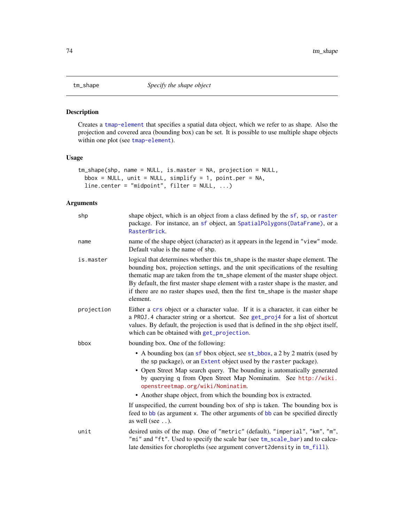<span id="page-73-1"></span><span id="page-73-0"></span>

# Description

Creates a [tmap-element](#page-13-0) that specifies a spatial data object, which we refer to as shape. Also the projection and covered area (bounding box) can be set. It is possible to use multiple shape objects within one plot (see [tmap-element](#page-13-0)).

# Usage

```
tm_shape(shp, name = NULL, is.master = NA, projection = NULL,
 bbox = NULL, unit = NULL, simplify = 1, point.per = NA,
 line.center = "midpoint", filter = NULL, ...)
```

| shp        | shape object, which is an object from a class defined by the sf, sp, or raster<br>package. For instance, an sf object, an SpatialPolygons (DataFrame), or a<br>RasterBrick.                                                                                                                                                                                                                                                           |
|------------|---------------------------------------------------------------------------------------------------------------------------------------------------------------------------------------------------------------------------------------------------------------------------------------------------------------------------------------------------------------------------------------------------------------------------------------|
| name       | name of the shape object (character) as it appears in the legend in "view" mode.<br>Default value is the name of shp.                                                                                                                                                                                                                                                                                                                 |
| is.master  | logical that determines whether this tm_shape is the master shape element. The<br>bounding box, projection settings, and the unit specifications of the resulting<br>thematic map are taken from the tm_shape element of the master shape object.<br>By default, the first master shape element with a raster shape is the master, and<br>if there are no raster shapes used, then the first tm_shape is the master shape<br>element. |
| projection | Either a crs object or a character value. If it is a character, it can either be<br>a PROJ. 4 character string or a shortcut. See get_proj4 for a list of shortcut<br>values. By default, the projection is used that is defined in the shp object itself,<br>which can be obtained with get_projection.                                                                                                                              |
| bbox       | bounding box. One of the following:                                                                                                                                                                                                                                                                                                                                                                                                   |
|            | • A bounding box (an sf bbox object, see st_bbox, a 2 by 2 matrix (used by<br>the sp package), or an Extent object used by the raster package).<br>• Open Street Map search query. The bounding is automatically generated<br>by querying q from Open Street Map Nominatim. See http://wiki.<br>openstreetmap.org/wiki/Nominatim.<br>• Another shape object, from which the bounding box is extracted.                                |
|            | If unspecified, the current bounding box of shp is taken. The bounding box is<br>feed to bb (as argument x. The other arguments of bb can be specified directly<br>as well (see $\ldots$ ).                                                                                                                                                                                                                                           |
| unit       | desired units of the map. One of "metric" (default), "imperial", "km", "m",<br>"mi" and "ft". Used to specify the scale bar (see tm_scale_bar) and to calcu-<br>late densities for choropleths (see argument convert2density in tm_fill).                                                                                                                                                                                             |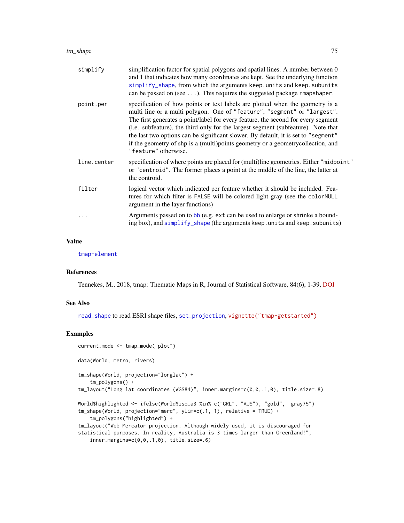<span id="page-74-0"></span>

| simplify    | simplification factor for spatial polygons and spatial lines. A number between 0<br>and 1 that indicates how many coordinates are kept. See the underlying function<br>simplify_shape, from which the arguments keep. units and keep. subunits<br>can be passed on (see $\dots$ ). This requires the suggested package rmapshaper.                                                                                                                                                                                                    |
|-------------|---------------------------------------------------------------------------------------------------------------------------------------------------------------------------------------------------------------------------------------------------------------------------------------------------------------------------------------------------------------------------------------------------------------------------------------------------------------------------------------------------------------------------------------|
| point.per   | specification of how points or text labels are plotted when the geometry is a<br>multi line or a multi polygon. One of "feature", "segment" or "largest".<br>The first generates a point/label for every feature, the second for every segment<br>(i.e. subfeature), the third only for the largest segment (subfeature). Note that<br>the last two options can be significant slower. By default, it is set to "segment"<br>if the geometry of shp is a (multi)points geometry or a geometry collection, and<br>"feature" otherwise. |
| line.center | specification of where points are placed for (multi)line geometries. Either "midpoint"<br>or "centroid". The former places a point at the middle of the line, the latter at<br>the controid.                                                                                                                                                                                                                                                                                                                                          |
| filter      | logical vector which indicated per feature whether it should be included. Fea-<br>tures for which filter is FALSE will be colored light gray (see the colorNULL<br>argument in the layer functions)                                                                                                                                                                                                                                                                                                                                   |
|             | Arguments passed on to bb (e.g. ext can be used to enlarge or shrinke a bound-<br>ing box), and simplify_shape (the arguments keep. units and keep. subunits)                                                                                                                                                                                                                                                                                                                                                                         |

# Value

[tmap-element](#page-13-0)

# References

Tennekes, M., 2018, tmap: Thematic Maps in R, Journal of Statistical Software, 84(6), 1-39, [DOI](https://doi.org/10.18637/jss.v084.i06)

# See Also

[read\\_shape](#page-0-0) to read ESRI shape files, [set\\_projection](#page-0-0), [vignette\("tmap-getstarted"\)](../doc/tmap-getstarted.html)

# Examples

```
current.mode <- tmap_mode("plot")
data(World, metro, rivers)
tm_shape(World, projection="longlat") +
    tm_polygons() +
tm_layout("Long lat coordinates (WGS84)", inner.margins=c(0,0,.1,0), title.size=.8)
World$highlighted <- ifelse(World$iso_a3 %in% c("GRL", "AUS"), "gold", "gray75")
tm_shape(World, projection="merc", ylim=c(.1, 1), relative = TRUE) +
    tm_polygons("highlighted") +
tm_layout("Web Mercator projection. Although widely used, it is discouraged for
statistical purposes. In reality, Australia is 3 times larger than Greenland!",
    inner.margins=c(0,0,.1,0), title.size=.6)
```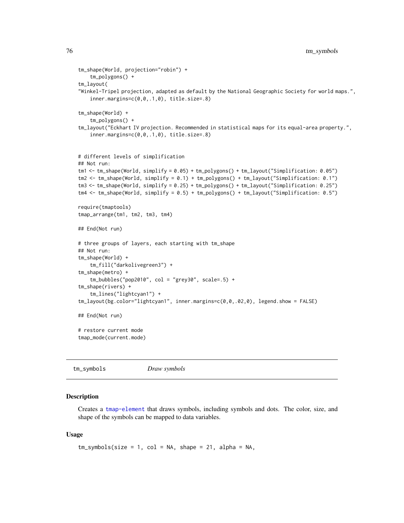```
tm_shape(World, projection="robin") +
    tm_polygons() +
tm_layout(
"Winkel-Tripel projection, adapted as default by the National Geographic Society for world maps.",
    inner.margins=c(0,0,.1,0), title.size=.8)
tm_shape(World) +
    tm_polygons() +
tm_layout("Eckhart IV projection. Recommended in statistical maps for its equal-area property.",
    inner.margins=c(0,0,.1,0), title.size=.8)
# different levels of simplification
## Not run:
tm1 <- tm_shape(World, simplify = 0.05) + tm_polygons() + tm_layout("Simplification: 0.05")
tm2 <- tm_shape(World, simplify = 0.1) + tm_polygons() + tm_layout("Simplification: 0.1")
tm3 <- tm_shape(World, simplify = 0.25) + tm_polygons() + tm_layout("Simplification: 0.25")
tm4 <- tm_shape(World, simplify = 0.5) + tm_polygons() + tm_layout("Simplification: 0.5")
require(tmaptools)
tmap_arrange(tm1, tm2, tm3, tm4)
## End(Not run)
# three groups of layers, each starting with tm_shape
## Not run:
tm_shape(World) +
    tm_fill("darkolivegreen3") +
tm_shape(metro) +
    tm_bubbles("pop2010", col = "grey30", scale=.5) +
tm_shape(rivers) +
    tm_lines("lightcyan1") +
tm_layout(bg.color="lightcyan1", inner.margins=c(0,0,.02,0), legend.show = FALSE)
## End(Not run)
# restore current mode
tmap_mode(current.mode)
```
<span id="page-75-0"></span>tm\_symbols *Draw symbols*

#### Description

Creates a [tmap-element](#page-13-0) that draws symbols, including symbols and dots. The color, size, and shape of the symbols can be mapped to data variables.

```
tm_symbols(size = 1, col = NA, shape = 21, alpha = NA,
```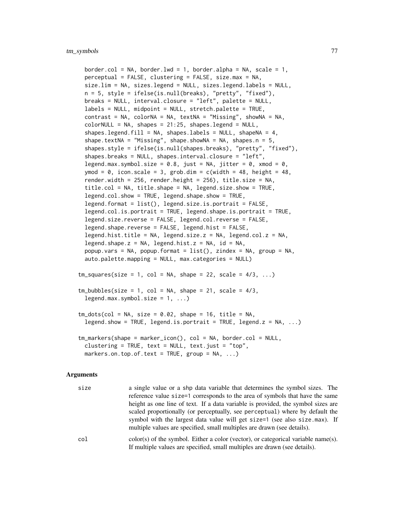```
border.col = NA, border.lwd = 1, border.alpha = NA, scale = 1,
 perceptual = FALSE, clustering = FALSE, size.max = NA,
 size.lim = NA, sizes.legend = NULL, sizes.legend.labels = NULL,
 n = 5, style = ifelse(is.null(breaks), "pretty", "fixed"),
 breaks = NULL, interval.closure = "left", palette = NULL,
 labels = NULL, midpoint = NULL, stretch.palette = TRUE,
 contrast = NA, colorNA = NA, textNA = WA, textNA = WA, textNA = MA,
 colorNULL = NA, shapes = 21:25, shapes.legend = NULL,
 shapes.legend.fill = NA, shapes.labels = NULL, shapeNA = 4,
 shape.textNA = "Missing", shape.showNA = NA, shapes.n = 5,
 shapes.style = ifelse(is.null(shapes.breaks), "pretty", "fixed"),
 shapes.breaks = NULL, shapes.interval.closure = "left",
 legend.max.symbol.size = 0.8, just = NA, jitter = 0, xmod = 0,
 ymod = 0, icon.scale = 3, grob.dim = c(width = 48, height = 48,render.width = 256, render.height = 256), title.size = NA,
 title.col = NA, title.shape = NA, legend.size.show = TRUE,
 legend.col.show = TRUE, legend.shape.show = TRUE,
 legend.format = list(), legend.size.is.portrait = FALSE,
 legend.col.is.portrait = TRUE, legend.shape.is.portrait = TRUE,
 legend.size.reverse = FALSE, legend.col.reverse = FALSE,
 legend.shape.reverse = FALSE, legend.hist = FALSE,
 legend.hist.title = NA, legend.size.z = NA, legend.col.z = NA,
 legend.shape.z = NA, legend.hist.z = NA, id = NA,
 popup.vars = NA, popup.format = list(), zindex = NA, group = NA,
 auto.palette.mapping = NULL, max.categories = NULL)
tm_squares(size = 1, col = NA, shape = 22, scale = 4/3, ...)tm_bubbles(size = 1, col = NA, shape = 21, scale = 4/3,legend.max.symbol.size = 1, ...tm\_dots(col = NA, size = 0.02, shape = 16, title = NA,legend.show = TRUE, legend.is.portrait = TRUE, legend.z = NA, ...)
tm_markers(shape = marker_icon(), col = NA, border.col = NULL,
 clustering = TRUE, text = NULL, text.just = "top",
 markers.on.top.of.text = TRUE, group = NA, ...)
```

| size | a single value or a shp data variable that determines the symbol sizes. The       |
|------|-----------------------------------------------------------------------------------|
|      | reference value size=1 corresponds to the area of symbols that have the same      |
|      | height as one line of text. If a data variable is provided, the symbol sizes are  |
|      | scaled proportionally (or perceptually, see perceptual) where by default the      |
|      | symbol with the largest data value will get size=1 (see also size.max). If        |
|      | multiple values are specified, small multiples are drawn (see details).           |
| col  | color(s) of the symbol. Either a color (vector), or categorical variable name(s). |
|      | If multiple values are specified, small multiples are drawn (see details).        |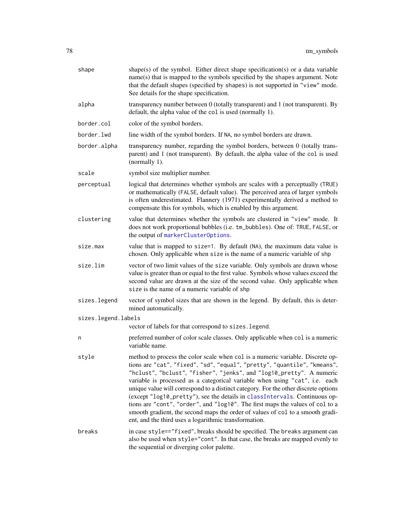<span id="page-77-0"></span>

| shape               | shape(s) of the symbol. Either direct shape specification(s) or a data variable<br>name(s) that is mapped to the symbols specified by the shapes argument. Note<br>that the default shapes (specified by shapes) is not supported in "view" mode.<br>See details for the shape specification.                                                                                                                                                                                                                                                                                                                                                                                                                      |
|---------------------|--------------------------------------------------------------------------------------------------------------------------------------------------------------------------------------------------------------------------------------------------------------------------------------------------------------------------------------------------------------------------------------------------------------------------------------------------------------------------------------------------------------------------------------------------------------------------------------------------------------------------------------------------------------------------------------------------------------------|
| alpha               | transparency number between 0 (totally transparent) and 1 (not transparent). By<br>default, the alpha value of the col is used (normally 1).                                                                                                                                                                                                                                                                                                                                                                                                                                                                                                                                                                       |
| border.col          | color of the symbol borders.                                                                                                                                                                                                                                                                                                                                                                                                                                                                                                                                                                                                                                                                                       |
| border.lwd          | line width of the symbol borders. If NA, no symbol borders are drawn.                                                                                                                                                                                                                                                                                                                                                                                                                                                                                                                                                                                                                                              |
| border.alpha        | transparency number, regarding the symbol borders, between 0 (totally trans-<br>parent) and 1 (not transparent). By default, the alpha value of the col is used<br>(normally 1).                                                                                                                                                                                                                                                                                                                                                                                                                                                                                                                                   |
| scale               | symbol size multiplier number.                                                                                                                                                                                                                                                                                                                                                                                                                                                                                                                                                                                                                                                                                     |
| perceptual          | logical that determines whether symbols are scales with a perceptually (TRUE)<br>or mathematically (FALSE, default value). The perceived area of larger symbols<br>is often underestimated. Flannery (1971) experimentally derived a method to<br>compensate this for symbols, which is enabled by this argument.                                                                                                                                                                                                                                                                                                                                                                                                  |
| clustering          | value that determines whether the symbols are clustered in "view" mode. It<br>does not work proportional bubbles (i.e. tm_bubbles). One of: TRUE, FALSE, or<br>the output of markerClusterOptions.                                                                                                                                                                                                                                                                                                                                                                                                                                                                                                                 |
| size.max            | value that is mapped to size=1. By default (NA), the maximum data value is<br>chosen. Only applicable when size is the name of a numeric variable of shp                                                                                                                                                                                                                                                                                                                                                                                                                                                                                                                                                           |
| size.lim            | vector of two limit values of the size variable. Only symbols are drawn whose<br>value is greater than or equal to the first value. Symbols whose values exceed the<br>second value are drawn at the size of the second value. Only applicable when<br>size is the name of a numeric variable of shp                                                                                                                                                                                                                                                                                                                                                                                                               |
| sizes.legend        | vector of symbol sizes that are shown in the legend. By default, this is deter-<br>mined automatically.                                                                                                                                                                                                                                                                                                                                                                                                                                                                                                                                                                                                            |
| sizes.legend.labels |                                                                                                                                                                                                                                                                                                                                                                                                                                                                                                                                                                                                                                                                                                                    |
|                     | vector of labels for that correspond to sizes. legend.                                                                                                                                                                                                                                                                                                                                                                                                                                                                                                                                                                                                                                                             |
| n                   | preferred number of color scale classes. Only applicable when col is a numeric<br>variable name.                                                                                                                                                                                                                                                                                                                                                                                                                                                                                                                                                                                                                   |
| style               | method to process the color scale when col is a numeric variable. Discrete op-<br>tions are "cat", "fixed", "sd", "equal", "pretty", "quantile", "kmeans",<br>"hclust", "bclust", "fisher", "jenks", and "log10_pretty". A numeric<br>variable is processed as a categorical variable when using "cat", i.e. each<br>unique value will correspond to a distinct category. For the other discrete options<br>(except "log10_pretty"), see the details in classIntervals. Continuous op-<br>tions are "cont", "order", and "log10". The first maps the values of col to a<br>smooth gradient, the second maps the order of values of col to a smooth gradi-<br>ent, and the third uses a logarithmic transformation. |
| breaks              | in case style=="fixed", breaks should be specified. The breaks argument can<br>also be used when style="cont". In that case, the breaks are mapped evenly to<br>the sequential or diverging color palette.                                                                                                                                                                                                                                                                                                                                                                                                                                                                                                         |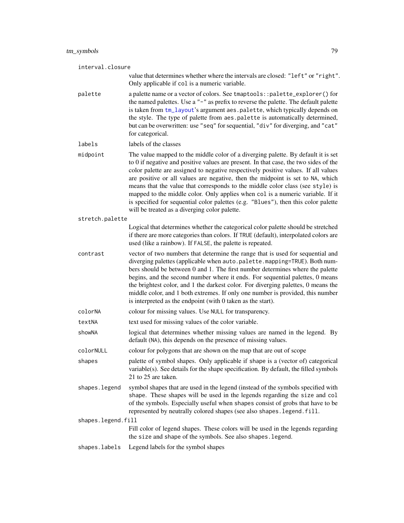<span id="page-78-0"></span>

| interval.closure   |                                                                                                                                                                                                                                                                                                                                                                                                                                                                                                                                                                                                                                                              |  |
|--------------------|--------------------------------------------------------------------------------------------------------------------------------------------------------------------------------------------------------------------------------------------------------------------------------------------------------------------------------------------------------------------------------------------------------------------------------------------------------------------------------------------------------------------------------------------------------------------------------------------------------------------------------------------------------------|--|
|                    | value that determines whether where the intervals are closed: "left" or "right".<br>Only applicable if col is a numeric variable.                                                                                                                                                                                                                                                                                                                                                                                                                                                                                                                            |  |
| palette            | a palette name or a vector of colors. See tmaptools::palette_explorer() for<br>the named palettes. Use a "-" as prefix to reverse the palette. The default palette<br>is taken from tm_layout's argument aes.palette, which typically depends on<br>the style. The type of palette from aes.palette is automatically determined,<br>but can be overwritten: use "seq" for sequential, "div" for diverging, and "cat"<br>for categorical.                                                                                                                                                                                                                     |  |
| labels             | labels of the classes                                                                                                                                                                                                                                                                                                                                                                                                                                                                                                                                                                                                                                        |  |
| midpoint           | The value mapped to the middle color of a diverging palette. By default it is set<br>to 0 if negative and positive values are present. In that case, the two sides of the<br>color palette are assigned to negative respectively positive values. If all values<br>are positive or all values are negative, then the midpoint is set to NA, which<br>means that the value that corresponds to the middle color class (see style) is<br>mapped to the middle color. Only applies when col is a numeric variable. If it<br>is specified for sequential color palettes (e.g. "Blues"), then this color palette<br>will be treated as a diverging color palette. |  |
| stretch.palette    |                                                                                                                                                                                                                                                                                                                                                                                                                                                                                                                                                                                                                                                              |  |
|                    | Logical that determines whether the categorical color palette should be stretched<br>if there are more categories than colors. If TRUE (default), interpolated colors are<br>used (like a rainbow). If FALSE, the palette is repeated.                                                                                                                                                                                                                                                                                                                                                                                                                       |  |
| contrast           | vector of two numbers that determine the range that is used for sequential and<br>diverging palettes (applicable when auto.palette.mapping=TRUE). Both num-<br>bers should be between 0 and 1. The first number determines where the palette<br>begins, and the second number where it ends. For sequential palettes, 0 means<br>the brightest color, and 1 the darkest color. For diverging palettes, 0 means the<br>middle color, and 1 both extremes. If only one number is provided, this number<br>is interpreted as the endpoint (with 0 taken as the start).                                                                                          |  |
| colorNA            | colour for missing values. Use NULL for transparency.                                                                                                                                                                                                                                                                                                                                                                                                                                                                                                                                                                                                        |  |
| textNA             | text used for missing values of the color variable.                                                                                                                                                                                                                                                                                                                                                                                                                                                                                                                                                                                                          |  |
| showNA             | logical that determines whether missing values are named in the legend. By<br>default (NA), this depends on the presence of missing values.                                                                                                                                                                                                                                                                                                                                                                                                                                                                                                                  |  |
| colorNULL          | colour for polygons that are shown on the map that are out of scope                                                                                                                                                                                                                                                                                                                                                                                                                                                                                                                                                                                          |  |
| shapes             | palette of symbol shapes. Only applicable if shape is a (vector of) categorical<br>variable(s). See details for the shape specification. By default, the filled symbols<br>21 to 25 are taken.                                                                                                                                                                                                                                                                                                                                                                                                                                                               |  |
| shapes.legend      | symbol shapes that are used in the legend (instead of the symbols specified with<br>shape. These shapes will be used in the legends regarding the size and col<br>of the symbols. Especially useful when shapes consist of grobs that have to be<br>represented by neutrally colored shapes (see also shapes. legend. fill.                                                                                                                                                                                                                                                                                                                                  |  |
| shapes.legend.fill |                                                                                                                                                                                                                                                                                                                                                                                                                                                                                                                                                                                                                                                              |  |
|                    | Fill color of legend shapes. These colors will be used in the legends regarding<br>the size and shape of the symbols. See also shapes. legend.                                                                                                                                                                                                                                                                                                                                                                                                                                                                                                               |  |
| shapes.labels      | Legend labels for the symbol shapes                                                                                                                                                                                                                                                                                                                                                                                                                                                                                                                                                                                                                          |  |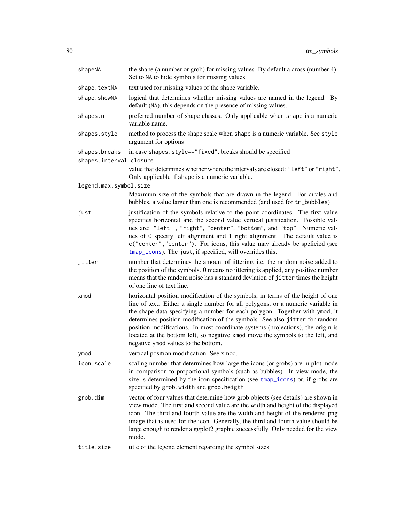<span id="page-79-0"></span>

| shapeNA                                  | the shape (a number or grob) for missing values. By default a cross (number 4).<br>Set to NA to hide symbols for missing values.                                                                                                                                                                                                                                                                                                                                                                                                            |
|------------------------------------------|---------------------------------------------------------------------------------------------------------------------------------------------------------------------------------------------------------------------------------------------------------------------------------------------------------------------------------------------------------------------------------------------------------------------------------------------------------------------------------------------------------------------------------------------|
| shape.textNA                             | text used for missing values of the shape variable.                                                                                                                                                                                                                                                                                                                                                                                                                                                                                         |
| shape.showNA                             | logical that determines whether missing values are named in the legend. By<br>default (NA), this depends on the presence of missing values.                                                                                                                                                                                                                                                                                                                                                                                                 |
| shapes.n                                 | preferred number of shape classes. Only applicable when shape is a numeric<br>variable name.                                                                                                                                                                                                                                                                                                                                                                                                                                                |
| shapes.style                             | method to process the shape scale when shape is a numeric variable. See style<br>argument for options                                                                                                                                                                                                                                                                                                                                                                                                                                       |
| shapes.breaks<br>shapes.interval.closure | in case shapes.style=="fixed", breaks should be specified                                                                                                                                                                                                                                                                                                                                                                                                                                                                                   |
|                                          | value that determines whether where the intervals are closed: "left" or "right".<br>Only applicable if shape is a numeric variable.                                                                                                                                                                                                                                                                                                                                                                                                         |
| legend.max.symbol.size                   |                                                                                                                                                                                                                                                                                                                                                                                                                                                                                                                                             |
|                                          | Maximum size of the symbols that are drawn in the legend. For circles and<br>bubbles, a value larger than one is recommended (and used for tm_bubbles)                                                                                                                                                                                                                                                                                                                                                                                      |
| just                                     | justification of the symbols relative to the point coordinates. The first value<br>specifies horizontal and the second value vertical justification. Possible val-<br>ues are: "left", "right", "center", "bottom", and "top". Numeric val-<br>ues of 0 specify left alignment and 1 right alignment. The default value is<br>c("center", "center"). For icons, this value may already be speficied (see<br>tmap_icons). The just, if specified, will overrides this.                                                                       |
| jitter                                   | number that determines the amount of jittering, i.e. the random noise added to<br>the position of the symbols. 0 means no jittering is applied, any positive number<br>means that the random noise has a standard deviation of jitter times the height<br>of one line of text line.                                                                                                                                                                                                                                                         |
| xmod                                     | horizontal position modification of the symbols, in terms of the height of one<br>line of text. Either a single number for all polygons, or a numeric variable in<br>the shape data specifying a number for each polygon. Together with ymod, it<br>determines position modification of the symbols. See also jitter for random<br>position modifications. In most coordinate systems (projections), the origin is<br>located at the bottom left, so negative xmod move the symbols to the left, and<br>negative ymod values to the bottom. |
| ymod                                     | vertical position modification. See xmod.                                                                                                                                                                                                                                                                                                                                                                                                                                                                                                   |
| icon.scale                               | scaling number that determines how large the icons (or grobs) are in plot mode<br>in comparison to proportional symbols (such as bubbles). In view mode, the<br>size is determined by the icon specification (see tmap_icons) or, if grobs are<br>specified by grob. width and grob. heigth                                                                                                                                                                                                                                                 |
| grob.dim                                 | vector of four values that determine how grob objects (see details) are shown in<br>view mode. The first and second value are the width and height of the displayed<br>icon. The third and fourth value are the width and height of the rendered png<br>image that is used for the icon. Generally, the third and fourth value should be<br>large enough to render a ggplot2 graphic successfully. Only needed for the view<br>mode.                                                                                                        |
| title.size                               | title of the legend element regarding the symbol sizes                                                                                                                                                                                                                                                                                                                                                                                                                                                                                      |
|                                          |                                                                                                                                                                                                                                                                                                                                                                                                                                                                                                                                             |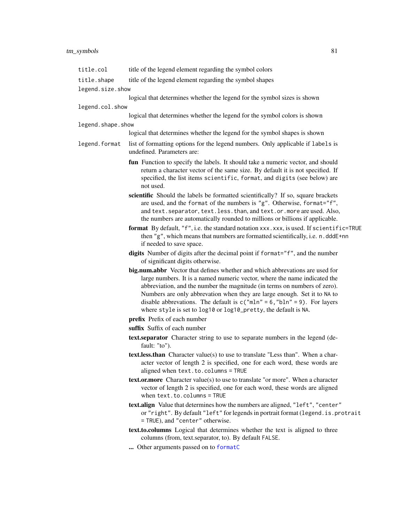# <span id="page-80-0"></span>tm\_symbols 81

| title.col                       | title of the legend element regarding the symbol colors                                                                                                                                                                                                                                                                                                                                                                                                              |
|---------------------------------|----------------------------------------------------------------------------------------------------------------------------------------------------------------------------------------------------------------------------------------------------------------------------------------------------------------------------------------------------------------------------------------------------------------------------------------------------------------------|
| title.shape<br>legend.size.show | title of the legend element regarding the symbol shapes                                                                                                                                                                                                                                                                                                                                                                                                              |
|                                 | logical that determines whether the legend for the symbol sizes is shown                                                                                                                                                                                                                                                                                                                                                                                             |
| legend.col.show                 |                                                                                                                                                                                                                                                                                                                                                                                                                                                                      |
|                                 | logical that determines whether the legend for the symbol colors is shown                                                                                                                                                                                                                                                                                                                                                                                            |
| legend.shape.show               |                                                                                                                                                                                                                                                                                                                                                                                                                                                                      |
|                                 | logical that determines whether the legend for the symbol shapes is shown                                                                                                                                                                                                                                                                                                                                                                                            |
| legend.format                   | list of formatting options for the legend numbers. Only applicable if labels is<br>undefined. Parameters are:                                                                                                                                                                                                                                                                                                                                                        |
|                                 | fun Function to specify the labels. It should take a numeric vector, and should<br>return a character vector of the same size. By default it is not specified. If<br>specified, the list items scientific, format, and digits (see below) are<br>not used.                                                                                                                                                                                                           |
|                                 | scientific Should the labels be formatted scientifically? If so, square brackets<br>are used, and the format of the numbers is "g". Otherwise, format="f",<br>and text. separator, text. less. than, and text. or. more are used. Also,                                                                                                                                                                                                                              |
|                                 | the numbers are automatically rounded to millions or billions if applicable.<br>format By default, "f", i.e. the standard notation xxx.xxx, is used. If scientific=TRUE<br>then "g", which means that numbers are formatted scientifically, i.e. n.dddE+nn<br>if needed to save space.                                                                                                                                                                               |
|                                 | digits Number of digits after the decimal point if format="f", and the number<br>of significant digits otherwise.                                                                                                                                                                                                                                                                                                                                                    |
|                                 | big.num.abbr Vector that defines whether and which abbrevations are used for<br>large numbers. It is a named numeric vector, where the name indicated the<br>abbreviation, and the number the magnitude (in terms on numbers of zero).<br>Numbers are only abbrevation when they are large enough. Set it to NA to<br>disable abbrevations. The default is $c("mln" = 6, "bln" = 9)$ . For layers<br>where style is set to log10 or log10_pretty, the default is NA. |
|                                 | prefix Prefix of each number                                                                                                                                                                                                                                                                                                                                                                                                                                         |
|                                 | suffix Suffix of each number                                                                                                                                                                                                                                                                                                                                                                                                                                         |
|                                 | text.separator Character string to use to separate numbers in the legend (de-<br>fault: "to").                                                                                                                                                                                                                                                                                                                                                                       |
|                                 | <b>text.less.than</b> Character value(s) to use to translate "Less than". When a char-<br>acter vector of length 2 is specified, one for each word, these words are<br>aligned when text.to.columns = TRUE                                                                                                                                                                                                                                                           |
|                                 | <b>text.or.more</b> Character value(s) to use to translate "or more". When a character<br>vector of length 2 is specified, one for each word, these words are aligned<br>when $text.to.columns = TRUE$                                                                                                                                                                                                                                                               |
|                                 | text.align Value that determines how the numbers are aligned, "left", "center"<br>or "right". By default "left" for legends in portrait format (legend. is. protrait<br>= TRUE), and "center" otherwise.                                                                                                                                                                                                                                                             |
|                                 | text.to.columns Logical that determines whether the text is aligned to three<br>columns (from, text.separator, to). By default FALSE.                                                                                                                                                                                                                                                                                                                                |
|                                 | Other arguments passed on to formatC                                                                                                                                                                                                                                                                                                                                                                                                                                 |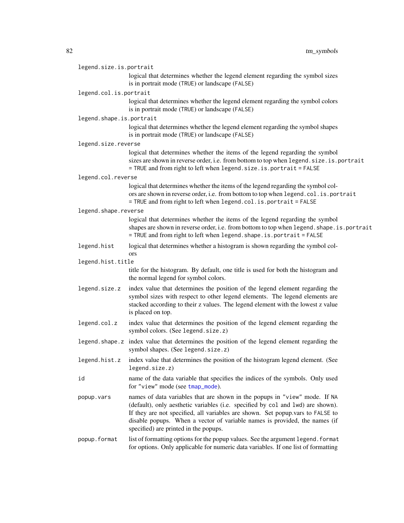<span id="page-81-0"></span>

| legend.size.is.portrait  |                                                                                                                                                                                                                                                                                                                                                                        |
|--------------------------|------------------------------------------------------------------------------------------------------------------------------------------------------------------------------------------------------------------------------------------------------------------------------------------------------------------------------------------------------------------------|
|                          | logical that determines whether the legend element regarding the symbol sizes<br>is in portrait mode (TRUE) or landscape (FALSE)                                                                                                                                                                                                                                       |
| legend.col.is.portrait   |                                                                                                                                                                                                                                                                                                                                                                        |
|                          | logical that determines whether the legend element regarding the symbol colors<br>is in portrait mode (TRUE) or landscape (FALSE)                                                                                                                                                                                                                                      |
| legend.shape.is.portrait |                                                                                                                                                                                                                                                                                                                                                                        |
|                          | logical that determines whether the legend element regarding the symbol shapes<br>is in portrait mode (TRUE) or landscape (FALSE)                                                                                                                                                                                                                                      |
| legend.size.reverse      |                                                                                                                                                                                                                                                                                                                                                                        |
|                          | logical that determines whether the items of the legend regarding the symbol<br>sizes are shown in reverse order, i.e. from bottom to top when legend. size. is. portrait<br>= TRUE and from right to left when legend. size. is. portrait = FALSE                                                                                                                     |
| legend.col.reverse       |                                                                                                                                                                                                                                                                                                                                                                        |
|                          | logical that determines whether the items of the legend regarding the symbol col-<br>ors are shown in reverse order, i.e. from bottom to top when legend.col.is.portrait<br>= TRUE and from right to left when legend.col. is. portrait = FALSE                                                                                                                        |
| legend.shape.reverse     |                                                                                                                                                                                                                                                                                                                                                                        |
|                          | logical that determines whether the items of the legend regarding the symbol<br>shapes are shown in reverse order, i.e. from bottom to top when legend. shape. is. portrait<br>= TRUE and from right to left when legend. shape. is. portrait = FALSE                                                                                                                  |
| legend.hist              | logical that determines whether a histogram is shown regarding the symbol col-<br>ors                                                                                                                                                                                                                                                                                  |
| legend.hist.title        |                                                                                                                                                                                                                                                                                                                                                                        |
|                          | title for the histogram. By default, one title is used for both the histogram and<br>the normal legend for symbol colors.                                                                                                                                                                                                                                              |
| legend.size.z            | index value that determines the position of the legend element regarding the<br>symbol sizes with respect to other legend elements. The legend elements are<br>stacked according to their z values. The legend element with the lowest z value<br>is placed on top.                                                                                                    |
| legend.col.z             | index value that determines the position of the legend element regarding the<br>symbol colors. (See legend.size.z)                                                                                                                                                                                                                                                     |
|                          | legend shape z index value that determines the position of the legend element regarding the<br>symbol shapes. (See legend.size.z)                                                                                                                                                                                                                                      |
| legend.hist.z            | index value that determines the position of the histogram legend element. (See<br>legend.size.z)                                                                                                                                                                                                                                                                       |
| id                       | name of the data variable that specifies the indices of the symbols. Only used<br>for "view" mode (see tmap_mode).                                                                                                                                                                                                                                                     |
| popup.vars               | names of data variables that are shown in the popups in "view" mode. If NA<br>(default), only aesthetic variables (i.e. specified by col and lwd) are shown).<br>If they are not specified, all variables are shown. Set popup.vars to FALSE to<br>disable popups. When a vector of variable names is provided, the names (if<br>specified) are printed in the popups. |
| popup.format             | list of formatting options for the popup values. See the argument legend. format<br>for options. Only applicable for numeric data variables. If one list of formatting                                                                                                                                                                                                 |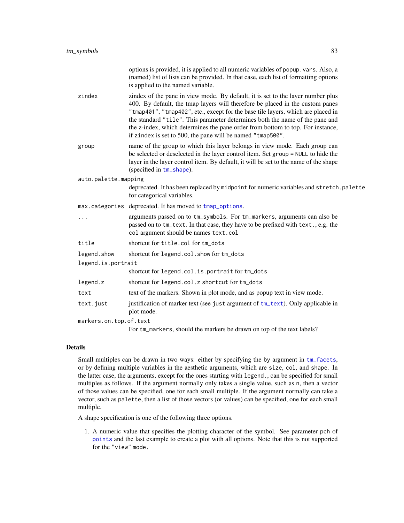<span id="page-82-0"></span>

|                    |                        | options is provided, it is applied to all numeric variables of popup. vars. Also, a<br>(named) list of lists can be provided. In that case, each list of formatting options<br>is applied to the named variable.                                                                                                                                                                                                                                                                     |
|--------------------|------------------------|--------------------------------------------------------------------------------------------------------------------------------------------------------------------------------------------------------------------------------------------------------------------------------------------------------------------------------------------------------------------------------------------------------------------------------------------------------------------------------------|
|                    | zindex                 | zindex of the pane in view mode. By default, it is set to the layer number plus<br>400. By default, the tmap layers will therefore be placed in the custom panes<br>"tmap401", "tmap402", etc., except for the base tile layers, which are placed in<br>the standard "tile". This parameter determines both the name of the pane and<br>the z-index, which determines the pane order from bottom to top. For instance,<br>if zindex is set to 500, the pane will be named "tmap500". |
|                    | group                  | name of the group to which this layer belongs in view mode. Each group can<br>be selected or deselected in the layer control item. Set group = NULL to hide the<br>layer in the layer control item. By default, it will be set to the name of the shape<br>(specified in tm_shape).                                                                                                                                                                                                  |
|                    | auto.palette.mapping   |                                                                                                                                                                                                                                                                                                                                                                                                                                                                                      |
|                    |                        | deprecated. It has been replaced by midpoint for numeric variables and stretch.palette<br>for categorical variables.                                                                                                                                                                                                                                                                                                                                                                 |
|                    |                        | max.categories deprecated. It has moved to tmap_options.                                                                                                                                                                                                                                                                                                                                                                                                                             |
|                    | .                      | arguments passed on to tm_symbols. For tm_markers, arguments can also be<br>passed on to tm_text. In that case, they have to be prefixed with text., e.g. the<br>col argument should be names text.col                                                                                                                                                                                                                                                                               |
|                    | title                  | shortcut for title.col for tm_dots                                                                                                                                                                                                                                                                                                                                                                                                                                                   |
|                    | legend.show            | shortcut for legend.col.show for tm_dots                                                                                                                                                                                                                                                                                                                                                                                                                                             |
| legend.is.portrait |                        |                                                                                                                                                                                                                                                                                                                                                                                                                                                                                      |
|                    |                        | shortcut for legend.col.is.portrait for tm_dots                                                                                                                                                                                                                                                                                                                                                                                                                                      |
|                    | legend.z               | shortcut for legend.col.z shortcut for tm_dots                                                                                                                                                                                                                                                                                                                                                                                                                                       |
|                    | text                   | text of the markers. Shown in plot mode, and as popup text in view mode.                                                                                                                                                                                                                                                                                                                                                                                                             |
|                    | text.just              | justification of marker text (see just argument of tm_text). Only applicable in<br>plot mode.                                                                                                                                                                                                                                                                                                                                                                                        |
|                    | markers.on.top.of.text |                                                                                                                                                                                                                                                                                                                                                                                                                                                                                      |
|                    |                        | For tm_markers, should the markers be drawn on top of the text labels?                                                                                                                                                                                                                                                                                                                                                                                                               |

# Details

Small multiples can be drawn in two ways: either by specifying the by argument in  $tm_f$  facets, or by defining multiple variables in the aesthetic arguments, which are size, col, and shape. In the latter case, the arguments, except for the ones starting with legend., can be specified for small multiples as follows. If the argument normally only takes a single value, such as n, then a vector of those values can be specified, one for each small multiple. If the argument normally can take a vector, such as palette, then a list of those vectors (or values) can be specified, one for each small multiple.

A shape specification is one of the following three options.

1. A numeric value that specifies the plotting character of the symbol. See parameter pch of [points](#page-0-0) and the last example to create a plot with all options. Note that this is not supported for the "view" mode.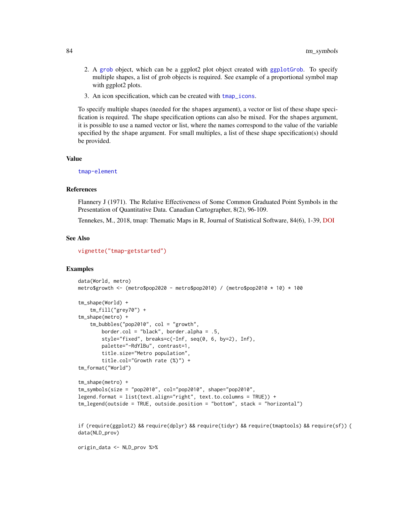- <span id="page-83-0"></span>2. A [grob](#page-0-0) object, which can be a ggplot2 plot object created with [ggplotGrob](#page-0-0). To specify multiple shapes, a list of grob objects is required. See example of a proportional symbol map with ggplot2 plots.
- 3. An icon specification, which can be created with [tmap\\_icons](#page-18-0).

To specify multiple shapes (needed for the shapes argument), a vector or list of these shape specification is required. The shape specification options can also be mixed. For the shapes argument, it is possible to use a named vector or list, where the names correspond to the value of the variable specified by the shape argument. For small multiples, a list of these shape specification(s) should be provided.

#### Value

[tmap-element](#page-13-0)

# References

Flannery J (1971). The Relative Effectiveness of Some Common Graduated Point Symbols in the Presentation of Quantitative Data. Canadian Cartographer, 8(2), 96-109.

Tennekes, M., 2018, tmap: Thematic Maps in R, Journal of Statistical Software, 84(6), 1-39, [DOI](https://doi.org/10.18637/jss.v084.i06)

#### See Also

[vignette\("tmap-getstarted"\)](../doc/tmap-getstarted.html)

# Examples

```
data(World, metro)
metro$growth <- (metro$pop2020 - metro$pop2010) / (metro$pop2010 * 10) * 100
tm_shape(World) +
    tm_fill("grey70") +
tm_shape(metro) +
    tm_bubbles("pop2010", col = "growth",
        border.col = "black", border.alpha = .5,
        style="fixed", breaks=c(-Inf, seq(0, 6, by=2), Inf),
        palette="-RdYlBu", contrast=1,
       title.size="Metro population",
       title.col="Growth rate (%)") +
tm_format("World")
tm_shape(metro) +
tm_symbols(size = "pop2010", col="pop2010", shape="pop2010",
legend.format = list(text.align="right", text.to.columns = TRUE)) +
tm_legend(outside = TRUE, outside.position = "bottom", stack = "horizontal")
if (require(ggplot2) && require(dplyr) && require(tidyr) && require(tmaptools) && require(sf)) {
data(NLD_prov)
```
origin\_data <- NLD\_prov %>%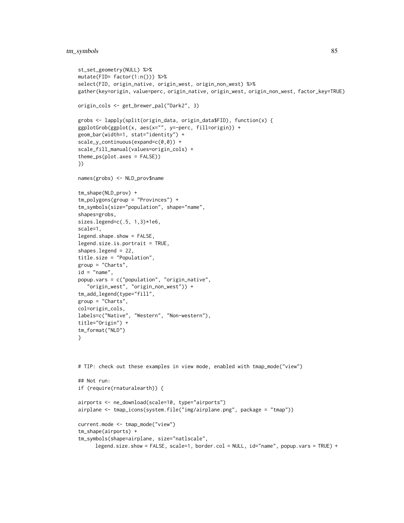```
st_set_geometry(NULL) %>%
mutate(FID= factor(1:n())) %>%
select(FID, origin_native, origin_west, origin_non_west) %>%
gather(key=origin, value=perc, origin_native, origin_west, origin_non_west, factor_key=TRUE)
origin_cols <- get_brewer_pal("Dark2", 3)
grobs <- lapply(split(origin_data, origin_data$FID), function(x) {
ggplotGrob(ggplot(x, aes(x="", y=-perc, fill=origin)) +
geom_bar(width=1, stat="identity") +
scale_y_continuous(expand=c(0,0)) +
scale_fill_manual(values=origin_cols) +
theme_ps(plot.axes = FALSE))
})
names(grobs) <- NLD_prov$name
tm_shape(NLD_prov) +
tm_polygons(group = "Provinces") +
tm_symbols(size="population", shape="name",
shapes=grobs,
sizes.legend=c(.5, 1,3)*1e6,
scale=1,
legend.shape.show = FALSE,
legend.size.is.portrait = TRUE,
shapes.legend = 22,
title.size = "Population",
group = "Charts",
id = "name",popup.vars = c("population", "origin_native",
   "origin_west", "origin_non_west")) +
tm_add_legend(type="fill",
group = "Charts",
col=origin_cols,
labels=c("Native", "Western", "Non-western"),
title="Origin") +
tm_format("NLD")
}
# TIP: check out these examples in view mode, enabled with tmap_mode("view")
## Not run:
if (require(rnaturalearth)) {
airports <- ne_download(scale=10, type="airports")
airplane <- tmap_icons(system.file("img/airplane.png", package = "tmap"))
current.mode <- tmap_mode("view")
tm_shape(airports) +
tm_symbols(shape=airplane, size="natlscale",
      legend.size.show = FALSE, scale=1, border.col = NULL, id="name", popup.vars = TRUE) +
```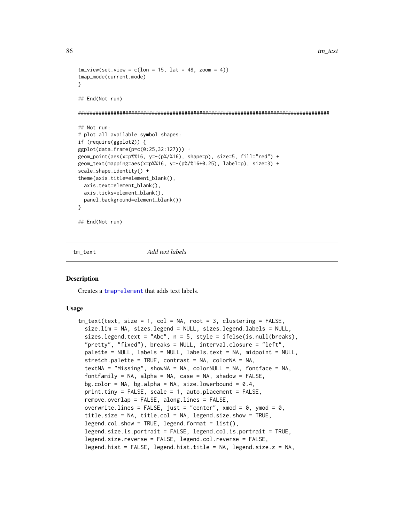```
tm\_view(set.view = c(lon = 15, lat = 48, zoom = 4))tmap_mode(current.mode)
}
## End(Not run)
#####################################################################################
## Not run:
# plot all available symbol shapes:
if (require(ggplot2)) {
ggplot(data.frame(p=c(0:25,32:127))) +
geom_point(aes(x=p%%16, y=-(p%/%16), shape=p), size=5, fill="red") +
geom_text(mapping=aes(x=p%%16, y=-(p%/%16+0.25), label=p), size=3) +
scale_shape_identity() +
theme(axis.title=element_blank(),
 axis.text=element_blank(),
 axis.ticks=element_blank(),
 panel.background=element_blank())
}
## End(Not run)
```
<span id="page-85-0"></span>

tm\_text *Add text labels*

# **Description**

Creates a [tmap-element](#page-13-0) that adds text labels.

```
tm_text(text, size = 1, col = NA, root = 3, clustering = FALSE,
  size.lim = NA, sizes.legend = NULL, sizes.legend.labels = NULL,
  sizes.legend.text = "Abc", n = 5, style = ifelse(is.null(breaks),
  "pretty", "fixed"), breaks = NULL, interval.closure = "left",
  palette = NULL, labels = NULL, labels.text = NA, midpoint = NULL,
  stretch.palette = TRUE, contrast = NA, colorNA = NA,
  textNA = "Missing", showNA = NA, colorNULL = NA, fontface = NA,
  fontfamily = NA, alpha = NA, case = NA, shadow = FALSE,
  bg.color = NA, bg.alpha = NA, size.lowerbound = 0.4,
  print.time = FALSE, scale = 1, auto.placeholder = FALSE,remove.overlap = FALSE, along.lines = FALSE,
 overwrite.lines = FALSE, just = "center", xmod = 0, ymod = 0.
  title.size = NA, title.col = NA, legend.size.show = TRUE,
  legend.col.show = TRUE, legend.format = list(),
  legend.size.is.portrait = FALSE, legend.col.is.portrait = TRUE,
  legend.size.reverse = FALSE, legend.col.reverse = FALSE,
  legend.hist = FALSE, legend.hist.title = NA, legend.size.z = NA,
```
<span id="page-85-1"></span>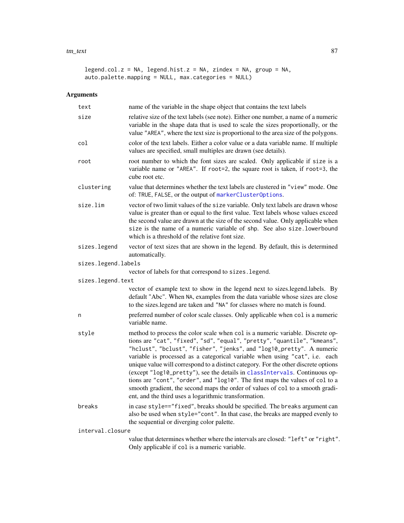#### <span id="page-86-0"></span>tm\_text 87

```
legend.col.z = NA, legend.hist.z = NA, zindex = NA, group = NA,
auto.palette.mapping = NULL, max.categories = NULL)
```

| text                | name of the variable in the shape object that contains the text labels                                                                                                                                                                                                                                                                                                                                                                                                                                                                                                                                                                                                                                             |
|---------------------|--------------------------------------------------------------------------------------------------------------------------------------------------------------------------------------------------------------------------------------------------------------------------------------------------------------------------------------------------------------------------------------------------------------------------------------------------------------------------------------------------------------------------------------------------------------------------------------------------------------------------------------------------------------------------------------------------------------------|
| size                | relative size of the text labels (see note). Either one number, a name of a numeric<br>variable in the shape data that is used to scale the sizes proportionally, or the<br>value "AREA", where the text size is proportional to the area size of the polygons.                                                                                                                                                                                                                                                                                                                                                                                                                                                    |
| col                 | color of the text labels. Either a color value or a data variable name. If multiple<br>values are specified, small multiples are drawn (see details).                                                                                                                                                                                                                                                                                                                                                                                                                                                                                                                                                              |
| root                | root number to which the font sizes are scaled. Only applicable if size is a<br>variable name or "AREA". If root=2, the square root is taken, if root=3, the<br>cube root etc.                                                                                                                                                                                                                                                                                                                                                                                                                                                                                                                                     |
| clustering          | value that determines whether the text labels are clustered in "view" mode. One<br>of: TRUE, FALSE, or the output of markerClusterOptions.                                                                                                                                                                                                                                                                                                                                                                                                                                                                                                                                                                         |
| size.lim            | vector of two limit values of the size variable. Only text labels are drawn whose<br>value is greater than or equal to the first value. Text labels whose values exceed<br>the second value are drawn at the size of the second value. Only applicable when<br>size is the name of a numeric variable of shp. See also size. lowerbound<br>which is a threshold of the relative font size.                                                                                                                                                                                                                                                                                                                         |
| sizes.legend        | vector of text sizes that are shown in the legend. By default, this is determined<br>automatically.                                                                                                                                                                                                                                                                                                                                                                                                                                                                                                                                                                                                                |
| sizes.legend.labels |                                                                                                                                                                                                                                                                                                                                                                                                                                                                                                                                                                                                                                                                                                                    |
| sizes.legend.text   | vector of labels for that correspond to sizes. legend.                                                                                                                                                                                                                                                                                                                                                                                                                                                                                                                                                                                                                                                             |
|                     | vector of example text to show in the legend next to sizes.legend.labels. By<br>default "Abc". When NA, examples from the data variable whose sizes are close<br>to the sizes.legend are taken and "NA" for classes where no match is found.                                                                                                                                                                                                                                                                                                                                                                                                                                                                       |
| n                   | preferred number of color scale classes. Only applicable when col is a numeric<br>variable name.                                                                                                                                                                                                                                                                                                                                                                                                                                                                                                                                                                                                                   |
| style               | method to process the color scale when col is a numeric variable. Discrete op-<br>tions are "cat", "fixed", "sd", "equal", "pretty", "quantile", "kmeans",<br>"hclust", "bclust", "fisher", "jenks", and "log10_pretty". A numeric<br>variable is processed as a categorical variable when using "cat", i.e. each<br>unique value will correspond to a distinct category. For the other discrete options<br>(except "log10_pretty"), see the details in classIntervals. Continuous op-<br>tions are "cont", "order", and "log10". The first maps the values of col to a<br>smooth gradient, the second maps the order of values of col to a smooth gradi-<br>ent, and the third uses a logarithmic transformation. |
| breaks              | in case style=="fixed", breaks should be specified. The breaks argument can<br>also be used when style="cont". In that case, the breaks are mapped evenly to<br>the sequential or diverging color palette.                                                                                                                                                                                                                                                                                                                                                                                                                                                                                                         |
| interval.closure    |                                                                                                                                                                                                                                                                                                                                                                                                                                                                                                                                                                                                                                                                                                                    |
|                     | value that determines whether where the intervals are closed: "left" or "right".<br>Only applicable if col is a numeric variable.                                                                                                                                                                                                                                                                                                                                                                                                                                                                                                                                                                                  |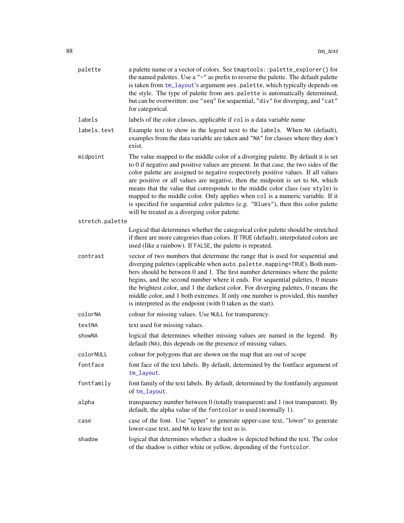<span id="page-87-0"></span>

| palette         | a palette name or a vector of colors. See tmaptools::palette_explorer() for<br>the named palettes. Use a "-" as prefix to reverse the palette. The default palette<br>is taken from tm_layout's argument aes.palette, which typically depends on<br>the style. The type of palette from aes.palette is automatically determined,<br>but can be overwritten: use "seq" for sequential, "div" for diverging, and "cat"<br>for categorical.                                                                                                                                                                                                                     |
|-----------------|--------------------------------------------------------------------------------------------------------------------------------------------------------------------------------------------------------------------------------------------------------------------------------------------------------------------------------------------------------------------------------------------------------------------------------------------------------------------------------------------------------------------------------------------------------------------------------------------------------------------------------------------------------------|
| labels          | labels of the color classes, applicable if col is a data variable name                                                                                                                                                                                                                                                                                                                                                                                                                                                                                                                                                                                       |
| labels.text     | Example text to show in the legend next to the labels. When NA (default),<br>examples from the data variable are taken and "NA" for classes where they don't<br>exist.                                                                                                                                                                                                                                                                                                                                                                                                                                                                                       |
| midpoint        | The value mapped to the middle color of a diverging palette. By default it is set<br>to 0 if negative and positive values are present. In that case, the two sides of the<br>color palette are assigned to negative respectively positive values. If all values<br>are positive or all values are negative, then the midpoint is set to NA, which<br>means that the value that corresponds to the middle color class (see style) is<br>mapped to the middle color. Only applies when col is a numeric variable. If it<br>is specified for sequential color palettes (e.g. "Blues"), then this color palette<br>will be treated as a diverging color palette. |
| stretch.palette |                                                                                                                                                                                                                                                                                                                                                                                                                                                                                                                                                                                                                                                              |
|                 | Logical that determines whether the categorical color palette should be stretched<br>if there are more categories than colors. If TRUE (default), interpolated colors are<br>used (like a rainbow). If FALSE, the palette is repeated.                                                                                                                                                                                                                                                                                                                                                                                                                       |
| contrast        | vector of two numbers that determine the range that is used for sequential and<br>diverging palettes (applicable when auto.palette.mapping=TRUE). Both num-<br>bers should be between 0 and 1. The first number determines where the palette<br>begins, and the second number where it ends. For sequential palettes, 0 means<br>the brightest color, and 1 the darkest color. For diverging palettes, 0 means the<br>middle color, and 1 both extremes. If only one number is provided, this number<br>is interpreted as the endpoint (with 0 taken as the start).                                                                                          |
| colorNA         | colour for missing values. Use NULL for transparency.                                                                                                                                                                                                                                                                                                                                                                                                                                                                                                                                                                                                        |
| textNA          | text used for missing values.                                                                                                                                                                                                                                                                                                                                                                                                                                                                                                                                                                                                                                |
| showNA          | logical that determines whether missing values are named in the legend. By<br>default (NA), this depends on the presence of missing values.                                                                                                                                                                                                                                                                                                                                                                                                                                                                                                                  |
| colorNULL       | colour for polygons that are shown on the map that are out of scope                                                                                                                                                                                                                                                                                                                                                                                                                                                                                                                                                                                          |
| fontface        | font face of the text labels. By default, determined by the fontface argument of<br>tm_layout.                                                                                                                                                                                                                                                                                                                                                                                                                                                                                                                                                               |
| fontfamily      | font family of the text labels. By default, determined by the fontfamily argument<br>of tm_layout.                                                                                                                                                                                                                                                                                                                                                                                                                                                                                                                                                           |
| alpha           | transparency number between 0 (totally transparent) and 1 (not transparent). By<br>default, the alpha value of the fontcolor is used (normally 1).                                                                                                                                                                                                                                                                                                                                                                                                                                                                                                           |
| case            | case of the font. Use "upper" to generate upper-case text, "lower" to generate<br>lower-case text, and NA to leave the text as is.                                                                                                                                                                                                                                                                                                                                                                                                                                                                                                                           |
| shadow          | logical that determines whether a shadow is depicted behind the text. The color<br>of the shadow is either white or yellow, depending of the fontcolor.                                                                                                                                                                                                                                                                                                                                                                                                                                                                                                      |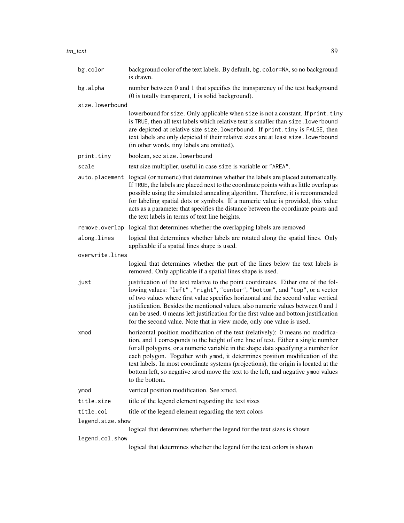bg.alpha number between 0 and 1 that specifies the transparency of the text background (0 is totally transparent, 1 is solid background).

size.lowerbound

lowerbound for size. Only applicable when size is not a constant. If print.tiny is TRUE, then all text labels which relative text is smaller than size.lowerbound are depicted at relative size size.lowerbound. If print.tiny is FALSE, then text labels are only depicted if their relative sizes are at least size.lowerbound (in other words, tiny labels are omitted).

print.tiny boolean, see size.lowerbound

is drawn.

scale text size multiplier, useful in case size is variable or "AREA".

auto.placement logical (or numeric) that determines whether the labels are placed automatically. If TRUE, the labels are placed next to the coordinate points with as little overlap as possible using the simulated annealing algorithm. Therefore, it is recommended for labeling spatial dots or symbols. If a numeric value is provided, this value acts as a parameter that specifies the distance between the coordinate points and the text labels in terms of text line heights.

remove.overlap logical that determines whether the overlapping labels are removed

along.lines logical that determines whether labels are rotated along the spatial lines. Only applicable if a spatial lines shape is used.

overwrite.lines

logical that determines whether the part of the lines below the text labels is removed. Only applicable if a spatial lines shape is used.

just justification of the text relative to the point coordinates. Either one of the following values: "left" , "right", "center", "bottom", and "top", or a vector of two values where first value specifies horizontal and the second value vertical justification. Besides the mentioned values, also numeric values between 0 and 1 can be used. 0 means left justification for the first value and bottom justification for the second value. Note that in view mode, only one value is used.

- xmod horizontal position modification of the text (relatively): 0 means no modification, and 1 corresponds to the height of one line of text. Either a single number for all polygons, or a numeric variable in the shape data specifying a number for each polygon. Together with ymod, it determines position modification of the text labels. In most coordinate systems (projections), the origin is located at the bottom left, so negative xmod move the text to the left, and negative ymod values to the bottom.
- ymod vertical position modification. See xmod.
- title.size title of the legend element regarding the text sizes
- title.col title of the legend element regarding the text colors

legend.size.show

logical that determines whether the legend for the text sizes is shown

legend.col.show

logical that determines whether the legend for the text colors is shown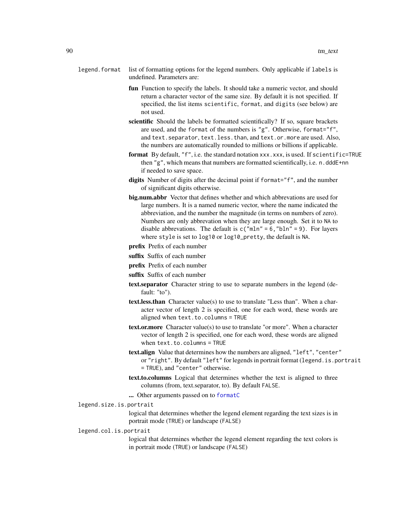- <span id="page-89-0"></span>legend.format list of formatting options for the legend numbers. Only applicable if labels is undefined. Parameters are:
	- fun Function to specify the labels. It should take a numeric vector, and should return a character vector of the same size. By default it is not specified. If specified, the list items scientific, format, and digits (see below) are not used.
	- scientific Should the labels be formatted scientifically? If so, square brackets are used, and the format of the numbers is "g". Otherwise, format="f", and text.separator, text.less.than, and text.or.more are used. Also, the numbers are automatically rounded to millions or billions if applicable.
	- format By default, "f", i.e. the standard notation xxx.xxx, is used. If scientific=TRUE then "g", which means that numbers are formatted scientifically, i.e. n.dddE+nn if needed to save space.
	- digits Number of digits after the decimal point if format="f", and the number of significant digits otherwise.
	- big.num.abbr Vector that defines whether and which abbrevations are used for large numbers. It is a named numeric vector, where the name indicated the abbreviation, and the number the magnitude (in terms on numbers of zero). Numbers are only abbrevation when they are large enough. Set it to NA to disable abbrevations. The default is  $c("mln" = 6, "bln" = 9)$ . For layers where style is set to log10 or log10\_pretty, the default is NA.
	- prefix Prefix of each number
	- suffix Suffix of each number
	- prefix Prefix of each number
	- suffix Suffix of each number
	- text.separator Character string to use to separate numbers in the legend (default: "to").
	- text.less.than Character value(s) to use to translate "Less than". When a character vector of length 2 is specified, one for each word, these words are aligned when text.to.columns = TRUE
	- text.or.more Character value(s) to use to translate "or more". When a character vector of length 2 is specified, one for each word, these words are aligned when text.to.columns = TRUE
	- text.align Value that determines how the numbers are aligned, "left", "center" or "right". By default "left" for legends in portrait format (legend.is.portrait = TRUE), and "center" otherwise.
	- text.to.columns Logical that determines whether the text is aligned to three columns (from, text.separator, to). By default FALSE.
	- ... Other arguments passed on to [formatC](#page-0-0)
- legend.size.is.portrait
	- logical that determines whether the legend element regarding the text sizes is in portrait mode (TRUE) or landscape (FALSE)

## legend.col.is.portrait

logical that determines whether the legend element regarding the text colors is in portrait mode (TRUE) or landscape (FALSE)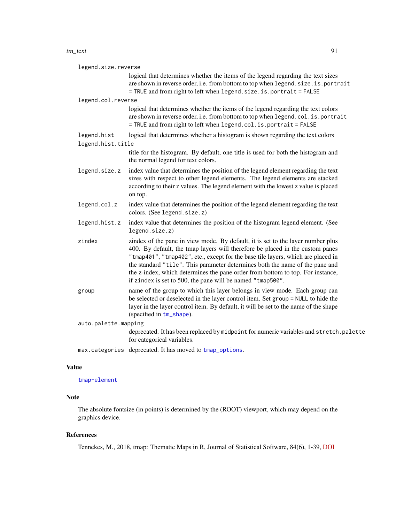#### <span id="page-90-0"></span>tm\_text 91

| legend.size.reverse  |                                                                                                                                                                                                                                                                                                                                                                                                                                                                                      |  |
|----------------------|--------------------------------------------------------------------------------------------------------------------------------------------------------------------------------------------------------------------------------------------------------------------------------------------------------------------------------------------------------------------------------------------------------------------------------------------------------------------------------------|--|
|                      | logical that determines whether the items of the legend regarding the text sizes<br>are shown in reverse order, i.e. from bottom to top when legend. size. is. portrait<br>= TRUE and from right to left when legend.size.is.portrait = FALSE                                                                                                                                                                                                                                        |  |
| legend.col.reverse   |                                                                                                                                                                                                                                                                                                                                                                                                                                                                                      |  |
|                      | logical that determines whether the items of the legend regarding the text colors<br>are shown in reverse order, i.e. from bottom to top when legend.col.is.portrait<br>= TRUE and from right to left when legend.col.is.portrait = FALSE                                                                                                                                                                                                                                            |  |
| legend.hist          | logical that determines whether a histogram is shown regarding the text colors                                                                                                                                                                                                                                                                                                                                                                                                       |  |
| legend.hist.title    |                                                                                                                                                                                                                                                                                                                                                                                                                                                                                      |  |
|                      | title for the histogram. By default, one title is used for both the histogram and<br>the normal legend for text colors.                                                                                                                                                                                                                                                                                                                                                              |  |
| legend.size.z        | index value that determines the position of the legend element regarding the text<br>sizes with respect to other legend elements. The legend elements are stacked<br>according to their z values. The legend element with the lowest z value is placed<br>on top.                                                                                                                                                                                                                    |  |
| legend.col.z         | index value that determines the position of the legend element regarding the text<br>colors. (See legend.size.z)                                                                                                                                                                                                                                                                                                                                                                     |  |
| legend.hist.z        | index value that determines the position of the histogram legend element. (See<br>legend.size.z)                                                                                                                                                                                                                                                                                                                                                                                     |  |
| zindex               | zindex of the pane in view mode. By default, it is set to the layer number plus<br>400. By default, the tmap layers will therefore be placed in the custom panes<br>"tmap401", "tmap402", etc., except for the base tile layers, which are placed in<br>the standard "tile". This parameter determines both the name of the pane and<br>the z-index, which determines the pane order from bottom to top. For instance,<br>if zindex is set to 500, the pane will be named "tmap500". |  |
| group                | name of the group to which this layer belongs in view mode. Each group can<br>be selected or deselected in the layer control item. Set group = NULL to hide the<br>layer in the layer control item. By default, it will be set to the name of the shape<br>(specified in tm_shape).                                                                                                                                                                                                  |  |
| auto.palette.mapping |                                                                                                                                                                                                                                                                                                                                                                                                                                                                                      |  |
|                      | deprecated. It has been replaced by midpoint for numeric variables and stretch.palette<br>for categorical variables.                                                                                                                                                                                                                                                                                                                                                                 |  |
|                      | max.categories deprecated. It has moved to tmap_options.                                                                                                                                                                                                                                                                                                                                                                                                                             |  |

# Value

[tmap-element](#page-13-0)

# Note

The absolute fontsize (in points) is determined by the (ROOT) viewport, which may depend on the graphics device.

# References

Tennekes, M., 2018, tmap: Thematic Maps in R, Journal of Statistical Software, 84(6), 1-39, [DOI](https://doi.org/10.18637/jss.v084.i06)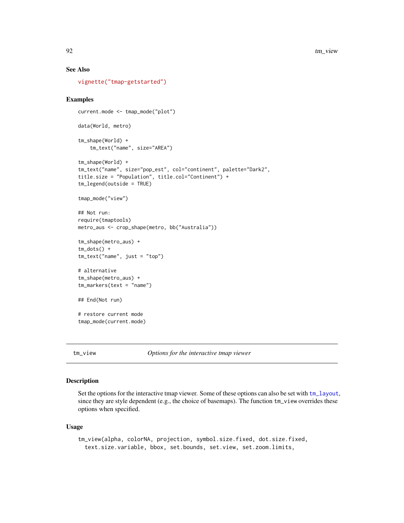# See Also

[vignette\("tmap-getstarted"\)](../doc/tmap-getstarted.html)

# Examples

```
current.mode <- tmap_mode("plot")
data(World, metro)
tm_shape(World) +
    tm_text("name", size="AREA")
tm_shape(World) +
tm_text("name", size="pop_est", col="continent", palette="Dark2",
title.size = "Population", title.col="Continent") +
tm_legend(outside = TRUE)
tmap_mode("view")
## Not run:
require(tmaptools)
metro_aus <- crop_shape(metro, bb("Australia"))
tm_shape(metro_aus) +
tm\_dots() +tm_text("name", just = "top")
# alternative
tm_shape(metro_aus) +
tm_markers(text = "name")
## End(Not run)
# restore current mode
tmap_mode(current.mode)
```
tm\_view *Options for the interactive tmap viewer*

# Description

Set the options for the interactive tmap viewer. Some of these options can also be set with [tm\\_layout](#page-49-0), since they are style dependent (e.g., the choice of basemaps). The function  $tm\_view$  overrides these options when specified.

```
tm_view(alpha, colorNA, projection, symbol.size.fixed, dot.size.fixed,
  text.size.variable, bbox, set.bounds, set.view, set.zoom.limits,
```
<span id="page-91-0"></span>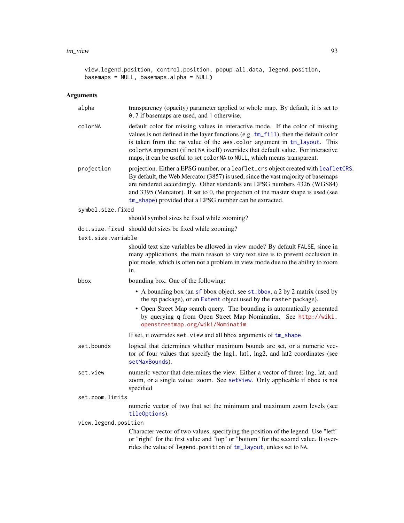#### <span id="page-92-0"></span>tm\_view 93

```
view.legend.position, control.position, popup.all.data, legend.position,
basemaps = NULL, basemaps.alpha = NULL)
```

| alpha                | transparency (opacity) parameter applied to whole map. By default, it is set to<br>0.7 if basemaps are used, and 1 otherwise.                                                                                                                                                                                                                                                                                      |
|----------------------|--------------------------------------------------------------------------------------------------------------------------------------------------------------------------------------------------------------------------------------------------------------------------------------------------------------------------------------------------------------------------------------------------------------------|
| colorNA              | default color for missing values in interactive mode. If the color of missing<br>values is not defined in the layer functions (e.g. $tm_fill$ ), then the default color<br>is taken from the na value of the aes.color argument in tm_layout. This<br>colorNA argument (if not NA itself) overrides that default value. For interactive<br>maps, it can be useful to set colorNA to NULL, which means transparent. |
| projection           | projection. Either a EPSG number, or a leaflet_crs object created with leafletCRS.<br>By default, the Web Mercator (3857) is used, since the vast majority of basemaps<br>are rendered accordingly. Other standards are EPSG numbers 4326 (WGS84)<br>and 3395 (Mercator). If set to 0, the projection of the master shape is used (see<br>tm_shape) provided that a EPSG number can be extracted.                  |
| symbol.size.fixed    |                                                                                                                                                                                                                                                                                                                                                                                                                    |
|                      | should symbol sizes be fixed while zooming?                                                                                                                                                                                                                                                                                                                                                                        |
|                      | dot.size.fixed should dot sizes be fixed while zooming?                                                                                                                                                                                                                                                                                                                                                            |
| text.size.variable   |                                                                                                                                                                                                                                                                                                                                                                                                                    |
|                      | should text size variables be allowed in view mode? By default FALSE, since in<br>many applications, the main reason to vary text size is to prevent occlusion in<br>plot mode, which is often not a problem in view mode due to the ability to zoom<br>in.                                                                                                                                                        |
| bbox                 | bounding box. One of the following:                                                                                                                                                                                                                                                                                                                                                                                |
|                      | • A bounding box (an sf bbox object, see st_bbox, a 2 by 2 matrix (used by<br>the sp package), or an Extent object used by the raster package).                                                                                                                                                                                                                                                                    |
|                      | • Open Street Map search query. The bounding is automatically generated<br>by querying q from Open Street Map Nominatim. See http://wiki.<br>openstreetmap.org/wiki/Nominatim.                                                                                                                                                                                                                                     |
|                      | If set, it overrides set. view and all bbox arguments of tm_shape.                                                                                                                                                                                                                                                                                                                                                 |
| set.bounds           | logical that determines whether maximum bounds are set, or a numeric vec-<br>tor of four values that specify the lng1, lat1, lng2, and lat2 coordinates (see<br>setMaxBounds).                                                                                                                                                                                                                                     |
| set.view             | numeric vector that determines the view. Either a vector of three: lng, lat, and<br>zoom, or a single value: zoom. See setView. Only applicable if bbox is not<br>specified                                                                                                                                                                                                                                        |
| set.zoom.limits      |                                                                                                                                                                                                                                                                                                                                                                                                                    |
|                      | numeric vector of two that set the minimum and maximum zoom levels (see<br>tileOptions).                                                                                                                                                                                                                                                                                                                           |
| view.legend.position |                                                                                                                                                                                                                                                                                                                                                                                                                    |
|                      | Character vector of two values, specifying the position of the legend. Use "left"<br>or "right" for the first value and "top" or "bottom" for the second value. It over-<br>rides the value of legend. position of tm_layout, unless set to NA.                                                                                                                                                                    |
|                      |                                                                                                                                                                                                                                                                                                                                                                                                                    |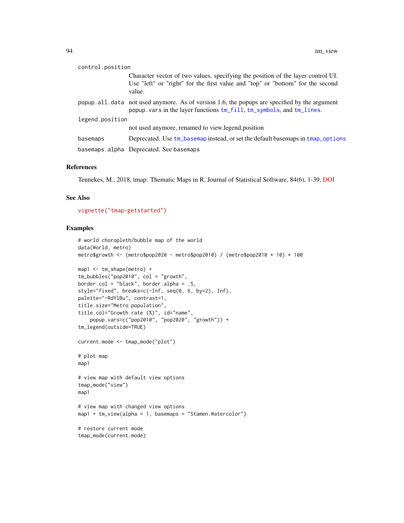<span id="page-93-0"></span>

| control.position |                                                                                                                                                                              |  |
|------------------|------------------------------------------------------------------------------------------------------------------------------------------------------------------------------|--|
|                  | Character vector of two values, specifying the position of the layer control UI.<br>Use "left" or "right" for the first value and "top" or "bottom" for the second<br>value. |  |
|                  | popup all data not used anymore. As of version 1.6, the popups are specified by the argument<br>popup. vars in the layer functions tm_fill, tm_symbols, and tm_lines.        |  |
| legend.position  |                                                                                                                                                                              |  |
|                  | not used anymore, renamed to view.legend.position                                                                                                                            |  |
| basemaps         | Deprecated. Use tm_basemap instead, or set the default basemaps in tmap_options                                                                                              |  |
|                  | basemaps.alpha Deprecated. See basemaps                                                                                                                                      |  |
|                  |                                                                                                                                                                              |  |

# References

Tennekes, M., 2018, tmap: Thematic Maps in R, Journal of Statistical Software, 84(6), 1-39, [DOI](https://doi.org/10.18637/jss.v084.i06)

# See Also

[vignette\("tmap-getstarted"\)](../doc/tmap-getstarted.html)

# Examples

```
# world choropleth/bubble map of the world
data(World, metro)
metro$growth <- (metro$pop2020 - metro$pop2010) / (metro$pop2010 * 10) * 100
map1 <- tm_shape(metro) +
tm_bubbles("pop2010", col = "growth",
border.col = "black", border.alpha = .5,
style="fixed", breaks=c(-Inf, seq(0, 6, by=2), Inf),
palette="-RdYlBu", contrast=1,
title.size="Metro population",
title.col="Growth rate (%)", id="name",
    popup.vars=c("pop2010", "pop2020", "growth")) +
tm_legend(outside=TRUE)
current.mode <- tmap_mode("plot")
# plot map
map1
# view map with default view options
tmap_mode("view")
map1
# view map with changed view options
map1 + tm_view(alpha = 1, basemaps = "Stamen.Watercolor")
# restore current mode
tmap_mode(current.mode)
```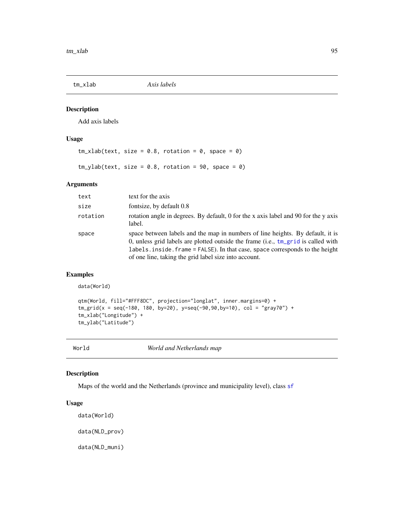<span id="page-94-0"></span>

# Description

Add axis labels

# Usage

```
tm_xlab(text, size = 0.8, rotation = 0, space = 0)tm_ylab(text, size = 0.8, rotation = 90, space = 0)
```
# Arguments

| text     | text for the axis                                                                                                                                                                                                                                                                                                |
|----------|------------------------------------------------------------------------------------------------------------------------------------------------------------------------------------------------------------------------------------------------------------------------------------------------------------------|
| size     | fontsize, by default 0.8                                                                                                                                                                                                                                                                                         |
| rotation | rotation angle in degrees. By default, 0 for the x axis label and 90 for the y axis<br>label.                                                                                                                                                                                                                    |
| space    | space between labels and the map in numbers of line heights. By default, it is<br>0, unless grid labels are plotted outside the frame (i.e., $tm\_grid$ is called with<br>labels. inside. frame = FALSE). In that case, space corresponds to the height<br>of one line, taking the grid label size into account. |

# Examples

data(World)

```
qtm(World, fill="#FFF8DC", projection="longlat", inner.margins=0) +
tm_grid(x = seq(-180, 180, by=20), y=seq(-90,90,by=10), col = "gray70") +
tm_xlab("Longitude") +
tm_ylab("Latitude")
```
World *World and Netherlands map*

# Description

Maps of the world and the Netherlands (province and municipality level), class [sf](#page-0-0)

```
data(World)
data(NLD_prov)
data(NLD_muni)
```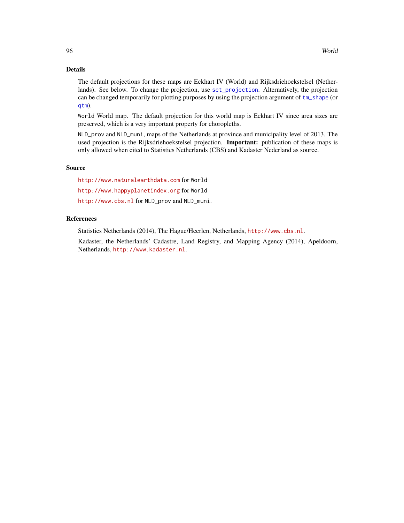# <span id="page-95-0"></span>Details

The default projections for these maps are Eckhart IV (World) and Rijksdriehoekstelsel (Netherlands). See below. To change the projection, use [set\\_projection](#page-0-0). Alternatively, the projection can be changed temporarily for plotting purposes by using the projection argument of [tm\\_shape](#page-73-0) (or [qtm](#page-7-0)).

World World map. The default projection for this world map is Eckhart IV since area sizes are preserved, which is a very important property for choropleths.

NLD\_prov and NLD\_muni, maps of the Netherlands at province and municipality level of 2013. The used projection is the Rijksdriehoekstelsel projection. **Important:** publication of these maps is only allowed when cited to Statistics Netherlands (CBS) and Kadaster Nederland as source.

# Source

<http://www.naturalearthdata.com> for World <http://www.happyplanetindex.org> for World

<http://www.cbs.nl> for NLD\_prov and NLD\_muni.

# References

Statistics Netherlands (2014), The Hague/Heerlen, Netherlands, <http://www.cbs.nl>.

Kadaster, the Netherlands' Cadastre, Land Registry, and Mapping Agency (2014), Apeldoorn, Netherlands, <http://www.kadaster.nl>.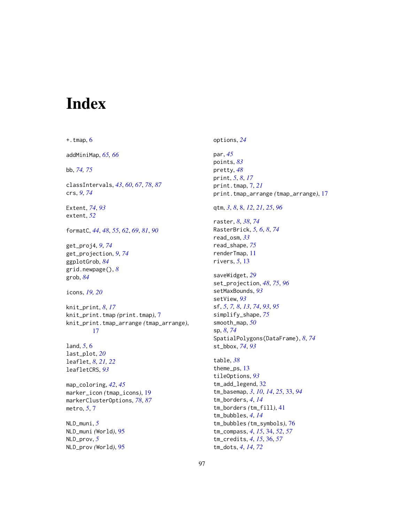# Index

 $+$ . tmap,  $6$ addMiniMap, *[65,](#page-64-0) [66](#page-65-0)* bb, *[74,](#page-73-1) [75](#page-74-0)* classIntervals, *[43](#page-42-0)*, *[60](#page-59-0)*, *[67](#page-66-0)*, *[78](#page-77-0)*, *[87](#page-86-0)* crs, *[9](#page-8-0)*, *[74](#page-73-1)* Extent, *[74](#page-73-1)*, *[93](#page-92-0)* extent, *[52](#page-51-0)* formatC, *[44](#page-43-0)*, *[48](#page-47-0)*, *[55](#page-54-0)*, *[62](#page-61-0)*, *[69](#page-68-0)*, *[81](#page-80-0)*, *[90](#page-89-0)* get\_proj4, *[9](#page-8-0)*, *[74](#page-73-1)* get\_projection, *[9](#page-8-0)*, *[74](#page-73-1)* ggplotGrob, *[84](#page-83-0)* grid.newpage(), *[8](#page-7-1)* grob, *[84](#page-83-0)* icons, *[19,](#page-18-1) [20](#page-19-0)* knit\_print, *[8](#page-7-1)*, *[17](#page-16-0)* knit\_print.tmap *(*print.tmap*)*, [7](#page-6-0) knit\_print.tmap\_arrange *(*tmap\_arrange*)*, [17](#page-16-0) land, *[5](#page-4-0)*, [6](#page-5-0) last\_plot, *[20](#page-19-0)* leaflet, *[8](#page-7-1)*, *[21,](#page-20-0) [22](#page-21-1)* leafletCRS, *[93](#page-92-0)* map\_coloring, *[42](#page-41-0)*, *[45](#page-44-0)* marker\_icon *(*tmap\_icons*)*, [19](#page-18-1) markerClusterOptions, *[78](#page-77-0)*, *[87](#page-86-0)* metro, *[5](#page-4-0)*, [7](#page-6-0) NLD\_muni, *[5](#page-4-0)* NLD\_muni *(*World*)*, [95](#page-94-0) NLD\_prov, *[5](#page-4-0)*

NLD\_prov *(*World*)*, [95](#page-94-0)

options, *[24](#page-23-1)* par, *[45](#page-44-0)* points, *[83](#page-82-0)* pretty, *[48](#page-47-0)* print, *[5](#page-4-0)*, *[8](#page-7-1)*, *[17](#page-16-0)* print.tmap, [7,](#page-6-0) *[21](#page-20-0)* print.tmap\_arrange *(*tmap\_arrange*)*, [17](#page-16-0) qtm, *[3](#page-2-0)*, *[8](#page-7-1)*, [8,](#page-7-1) *[12](#page-11-0)*, *[21](#page-20-0)*, *[25](#page-24-0)*, *[96](#page-95-0)* raster, *[8](#page-7-1)*, *[38](#page-37-0)*, *[74](#page-73-1)* RasterBrick, *[5,](#page-4-0) [6](#page-5-0)*, *[8](#page-7-1)*, *[74](#page-73-1)* read\_osm, *[33](#page-32-1)* read\_shape, *[75](#page-74-0)* renderTmap, [11](#page-10-0) rivers, *[5](#page-4-0)*, [13](#page-12-0) saveWidget, *[29](#page-28-0)* set\_projection, *[48](#page-47-0)*, *[75](#page-74-0)*, *[96](#page-95-0)* setMaxBounds, *[93](#page-92-0)* setView, *[93](#page-92-0)* sf, *[5](#page-4-0)*, *[7,](#page-6-0) [8](#page-7-1)*, *[13](#page-12-0)*, *[74](#page-73-1)*, *[93](#page-92-0)*, *[95](#page-94-0)* simplify\_shape, *[75](#page-74-0)* smooth\_map, *[50](#page-49-1)* sp, *[8](#page-7-1)*, *[74](#page-73-1)* SpatialPolygons(DataFrame), *[8](#page-7-1)*, *[74](#page-73-1)* st\_bbox, *[74](#page-73-1)*, *[93](#page-92-0)* table, *[38](#page-37-0)* theme\_ps, [13](#page-12-0) tileOptions, *[93](#page-92-0)* tm\_add\_legend, [32](#page-31-0) tm\_basemap, *[3](#page-2-0)*, *[10](#page-9-0)*, *[14](#page-13-1)*, *[25](#page-24-0)*, [33,](#page-32-1) *[94](#page-93-0)* tm\_borders, *[4](#page-3-0)*, *[14](#page-13-1)* tm\_borders *(*tm\_fill*)*, [41](#page-40-2) tm\_bubbles, *[4](#page-3-0)*, *[14](#page-13-1)* tm\_bubbles *(*tm\_symbols*)*, [76](#page-75-1) tm\_compass, *[4](#page-3-0)*, *[15](#page-14-0)*, [34,](#page-33-0) *[52](#page-51-0)*, *[57](#page-56-0)* tm\_credits, *[4](#page-3-0)*, *[15](#page-14-0)*, [36,](#page-35-0) *[57](#page-56-0)* tm\_dots, *[4](#page-3-0)*, *[14](#page-13-1)*, *[72](#page-71-0)*